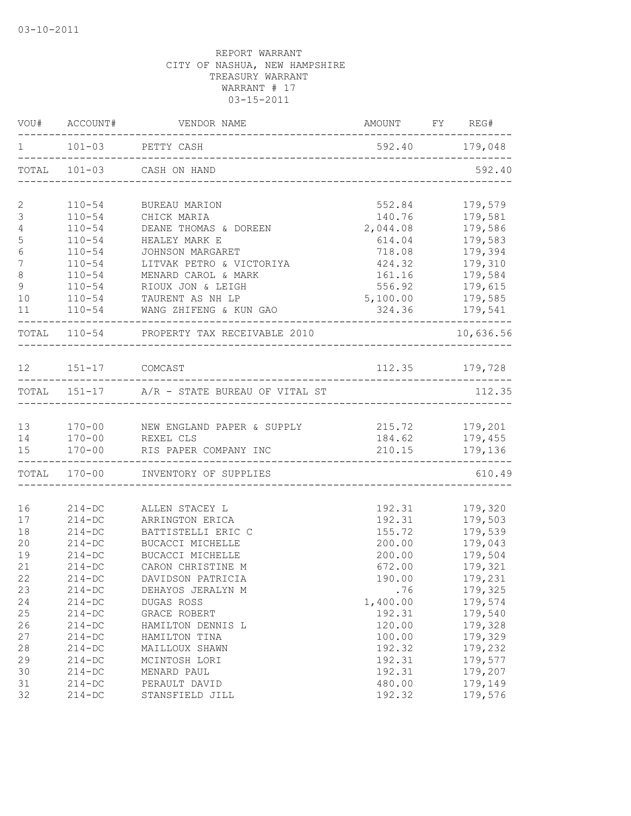|                 |                       | $101-03$ PETTY CASH                                         | 592.40 179,048                    |                |
|-----------------|-----------------------|-------------------------------------------------------------|-----------------------------------|----------------|
|                 |                       | TOTAL 101-03 CASH ON HAND                                   |                                   | 592.40         |
| 2               |                       | 110-54 BUREAU MARION                                        | 552.84                            | 179,579        |
| $\mathfrak{Z}$  | $110 - 54$            | CHICK MARIA                                                 | 140.76                            | 179,581        |
| $\overline{4}$  | $110 - 54$            | DEANE THOMAS & DOREEN                                       | 2,044.08                          | 179,586        |
| $\mathsf S$     |                       | 110-54 HEALEY MARK E                                        |                                   | 614.04 179,583 |
| $\epsilon$      |                       | 110-54 JOHNSON MARGARET                                     |                                   | 718.08 179,394 |
| $7\phantom{.0}$ |                       | 110-54 LITVAK PETRO & VICTORIYA                             |                                   | 424.32 179,310 |
| $\,8\,$         |                       | 110-54 MENARD CAROL & MARK                                  |                                   | 161.16 179,584 |
| 9               |                       | 110-54 RIOUX JON & LEIGH                                    |                                   | 556.92 179,615 |
| 10              |                       | 110-54 TAURENT AS NH LP                                     | 5,100.00 179,585                  |                |
| 11              |                       | 110-54 WANG ZHIFENG & KUN GAO                               | $324.36$ $179,541$                |                |
|                 |                       | TOTAL 110-54 PROPERTY TAX RECEIVABLE 2010                   |                                   | 10,636.56      |
|                 | 12   151-17   COMCAST |                                                             | 112.35 179,728                    |                |
|                 |                       |                                                             |                                   |                |
|                 |                       | TOTAL 151-17 A/R - STATE BUREAU OF VITAL ST                 |                                   | 112.35         |
|                 |                       | 13 170-00 NEW ENGLAND PAPER & SUPPLY<br>14 170-00 REXEL CLS | 215.72 179,201<br>184.62 179,455  |                |
|                 |                       |                                                             |                                   |                |
|                 |                       | 15 170-00 RIS PAPER COMPANY INC                             | --------------------------------- | 210.15 179,136 |
|                 |                       | TOTAL 170-00 INVENTORY OF SUPPLIES                          |                                   | 610.49         |
| 16              |                       | 214-DC ALLEN STACEY L                                       | 192.31                            | 179,320        |
| 17              | $214 - DC$            | ARRINGTON ERICA                                             | 192.31                            | 179,503        |
| 18              | $214-DC$              | BATTISTELLI ERIC C                                          | 155.72                            | 179,539        |
| 20              | $214 - DC$            | BUCACCI MICHELLE                                            | 200.00                            | 179,043        |
| 19              | $214 - DC$            | BUCACCI MICHELLE                                            | 200.00                            | 179,504        |
| 21              | $214 - DC$            | CARON CHRISTINE M                                           | 672.00                            | 179,321        |
| 22              | $214 - DC$            | DAVIDSON PATRICIA                                           | 190.00                            | 179,231        |
| 23              | $214 - DC$            | DEHAYOS JERALYN M                                           | .76                               | 179,325        |
| 24              | $214 - DC$            | DUGAS ROSS                                                  | 1,400.00                          | 179,574        |
| 25              | $214 - DC$            | GRACE ROBERT                                                | 192.31                            | 179,540        |
| 26              | $214 - DC$            | HAMILTON DENNIS L                                           | 120.00                            | 179,328        |
| 27              | $214 - DC$            | HAMILTON TINA                                               | 100.00                            | 179,329        |
| 28              | $214-DC$              | MAILLOUX SHAWN                                              | 192.32                            | 179,232        |
| 29              | $214-DC$              | MCINTOSH LORI                                               | 192.31                            | 179,577        |
| 30              | $214 - DC$            | MENARD PAUL                                                 | 192.31                            | 179,207        |
| 31              | $214 - DC$            | PERAULT DAVID                                               | 480.00                            | 179,149        |
| 32              | $214 - DC$            | STANSFIELD JILL                                             | 192.32                            | 179,576        |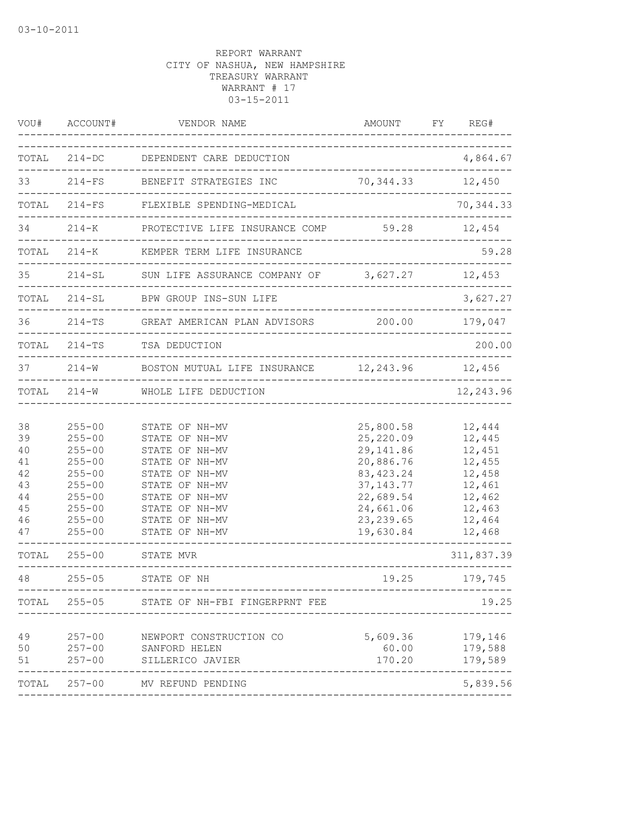| VOU#                                                              | ACCOUNT#                                                                                                                                               | VENDOR NAME                                                                                                                                                                                   | AMOUNT<br>_______________________                                                                                                   | FY REG#                                                                                                        |
|-------------------------------------------------------------------|--------------------------------------------------------------------------------------------------------------------------------------------------------|-----------------------------------------------------------------------------------------------------------------------------------------------------------------------------------------------|-------------------------------------------------------------------------------------------------------------------------------------|----------------------------------------------------------------------------------------------------------------|
| TOTAL                                                             |                                                                                                                                                        | 214-DC DEPENDENT CARE DEDUCTION                                                                                                                                                               | ______________________                                                                                                              | 4,864.67                                                                                                       |
| 33                                                                |                                                                                                                                                        | 214-FS BENEFIT STRATEGIES INC<br>_____________________                                                                                                                                        | 70, 344.33                                                                                                                          | 12,450                                                                                                         |
| TOTAL                                                             |                                                                                                                                                        | 214-FS FLEXIBLE SPENDING-MEDICAL                                                                                                                                                              |                                                                                                                                     | 70, 344.33                                                                                                     |
| 34                                                                | $214 - K$                                                                                                                                              | PROTECTIVE LIFE INSURANCE COMP                                                                                                                                                                | 59.28                                                                                                                               | 12,454                                                                                                         |
| TOTAL                                                             | $214 - K$                                                                                                                                              | KEMPER TERM LIFE INSURANCE                                                                                                                                                                    |                                                                                                                                     | 59.28                                                                                                          |
| 35                                                                | $214 - SL$                                                                                                                                             | SUN LIFE ASSURANCE COMPANY OF 3,627.27                                                                                                                                                        |                                                                                                                                     | 12,453                                                                                                         |
|                                                                   | TOTAL 214-SL                                                                                                                                           | BPW GROUP INS-SUN LIFE                                                                                                                                                                        | ________________                                                                                                                    | 3,627.27                                                                                                       |
| 36                                                                | $214 - TS$                                                                                                                                             | GREAT AMERICAN PLAN ADVISORS<br>__________________________________                                                                                                                            | 200.00 179,047                                                                                                                      |                                                                                                                |
| TOTAL                                                             |                                                                                                                                                        | 214-TS TSA DEDUCTION                                                                                                                                                                          |                                                                                                                                     | 200.00                                                                                                         |
| 37                                                                | $214 - W$                                                                                                                                              | BOSTON MUTUAL LIFE INSURANCE 12,243.96 12,456                                                                                                                                                 |                                                                                                                                     |                                                                                                                |
|                                                                   |                                                                                                                                                        | TOTAL 214-W WHOLE LIFE DEDUCTION                                                                                                                                                              | --------------------------------                                                                                                    | 12,243.96                                                                                                      |
| 38<br>39<br>40<br>41<br>42<br>43<br>44<br>45<br>46<br>47<br>TOTAL | $255 - 00$<br>$255 - 00$<br>$255 - 00$<br>$255 - 00$<br>$255 - 00$<br>$255 - 00$<br>$255 - 00$<br>$255 - 00$<br>$255 - 00$<br>$255 - 00$<br>$255 - 00$ | STATE OF NH-MV<br>STATE OF NH-MV<br>STATE OF NH-MV<br>STATE OF NH-MV<br>STATE OF NH-MV<br>STATE OF NH-MV<br>STATE OF NH-MV<br>STATE OF NH-MV<br>STATE OF NH-MV<br>STATE OF NH-MV<br>STATE MVR | 25,800.58<br>25,220.09<br>29, 141.86<br>20,886.76<br>83, 423.24<br>37, 143. 77<br>22,689.54<br>24,661.06<br>23, 239.65<br>19,630.84 | 12,444<br>12,445<br>12,451<br>12,455<br>12,458<br>12,461<br>12,462<br>12,463<br>12,464<br>12,468<br>311,837.39 |
| 48                                                                | $255 - 05$                                                                                                                                             | STATE OF NH                                                                                                                                                                                   | 19.25                                                                                                                               | 179,745                                                                                                        |
| TOTAL                                                             | $255 - 05$                                                                                                                                             | STATE OF NH-FBI FINGERPRNT FEE                                                                                                                                                                |                                                                                                                                     | 19.25                                                                                                          |
| 49<br>50<br>51                                                    | $257 - 00$<br>$257 - 00$<br>$257 - 00$                                                                                                                 | NEWPORT CONSTRUCTION CO<br>SANFORD HELEN<br>SILLERICO JAVIER                                                                                                                                  | 5,609.36<br>170.20                                                                                                                  | 179,146<br>60.00 179,588<br>179,589                                                                            |
|                                                                   |                                                                                                                                                        | TOTAL 257-00 MV REFUND PENDING                                                                                                                                                                |                                                                                                                                     | 5,839.56                                                                                                       |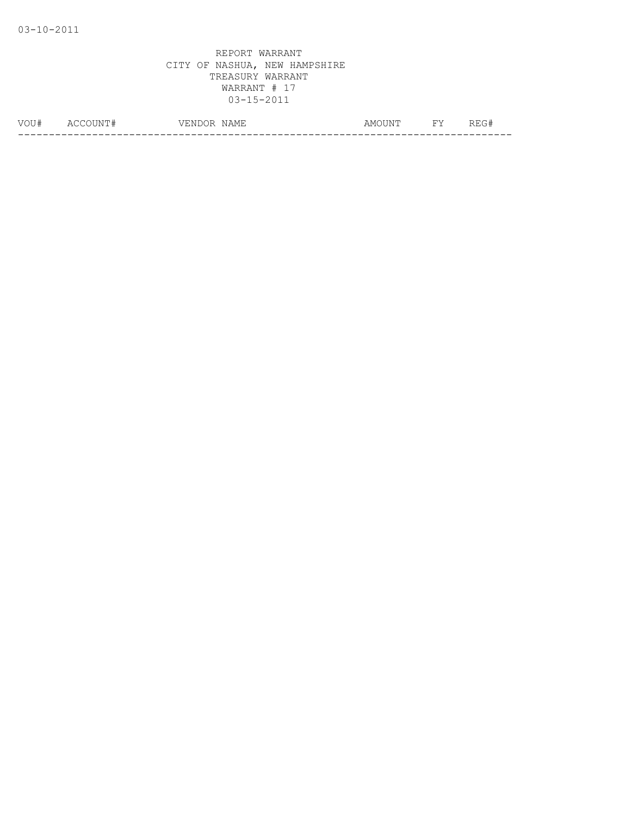| VOU# | $\Delta$ (<br><b>IN</b><br>$\sim$ | -----<br>7 F.N.<br>◝ | $-$<br>NAMH.<br>ᅭᆇ<br>. | ۱۸T۳،<br>AMC<br>. | <b>TTT</b> . | ---<br>______ |
|------|-----------------------------------|----------------------|-------------------------|-------------------|--------------|---------------|
|      |                                   |                      |                         |                   |              |               |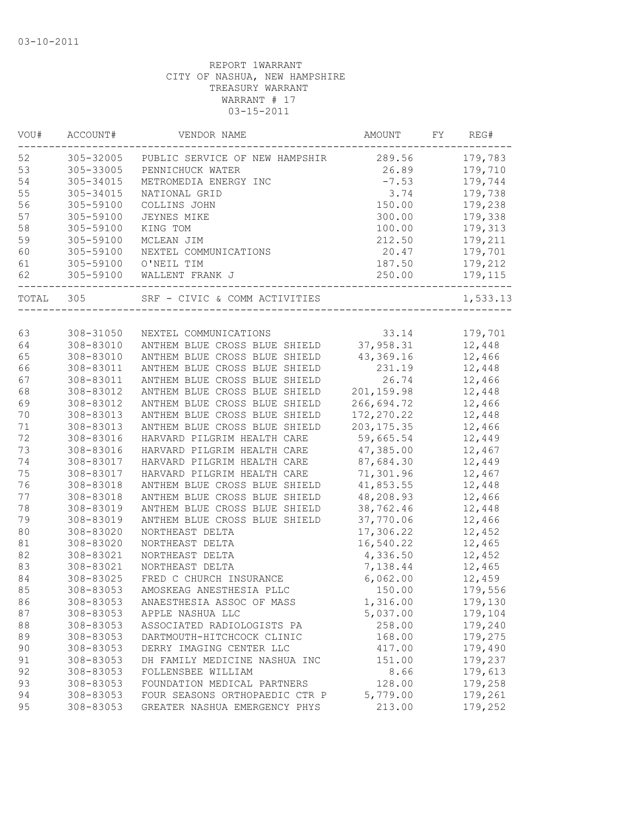| VOU#  | ACCOUNT#  | VENDOR NAME                    | AMOUNT      | FY. | REG#     |
|-------|-----------|--------------------------------|-------------|-----|----------|
| 52    | 305-32005 | PUBLIC SERVICE OF NEW HAMPSHIR | 289.56      |     | 179,783  |
| 53    | 305-33005 | PENNICHUCK WATER               | 26.89       |     | 179,710  |
| 54    | 305-34015 | METROMEDIA ENERGY INC          | $-7.53$     |     | 179,744  |
| 55    | 305-34015 | NATIONAL GRID                  | 3.74        |     | 179,738  |
| 56    | 305-59100 | COLLINS JOHN                   | 150.00      |     | 179,238  |
| 57    | 305-59100 | <b>JEYNES MIKE</b>             | 300.00      |     | 179,338  |
| 58    | 305-59100 | KING TOM                       | 100.00      |     | 179,313  |
| 59    | 305-59100 | MCLEAN JIM                     | 212.50      |     | 179,211  |
| 60    | 305-59100 | NEXTEL COMMUNICATIONS          | 20.47       |     | 179,701  |
| 61    | 305-59100 | O'NEIL TIM                     | 187.50      |     | 179,212  |
| 62    | 305-59100 | WALLENT FRANK J                | 250.00      |     | 179,115  |
| TOTAL | 305       | SRF - CIVIC & COMM ACTIVITIES  |             |     | 1,533.13 |
|       |           |                                |             |     |          |
| 63    | 308-31050 | NEXTEL COMMUNICATIONS          | 33.14       |     | 179,701  |
| 64    | 308-83010 | ANTHEM BLUE CROSS BLUE SHIELD  | 37,958.31   |     | 12,448   |
| 65    | 308-83010 | ANTHEM BLUE CROSS BLUE SHIELD  | 43,369.16   |     | 12,466   |
| 66    | 308-83011 | ANTHEM BLUE CROSS BLUE SHIELD  | 231.19      |     | 12,448   |
| 67    | 308-83011 | ANTHEM BLUE CROSS BLUE SHIELD  | 26.74       |     | 12,466   |
| 68    | 308-83012 | ANTHEM BLUE CROSS BLUE SHIELD  | 201, 159.98 |     | 12,448   |
| 69    | 308-83012 | ANTHEM BLUE CROSS BLUE SHIELD  | 266,694.72  |     | 12,466   |
| 70    | 308-83013 | ANTHEM BLUE CROSS BLUE SHIELD  | 172, 270.22 |     | 12,448   |
| 71    | 308-83013 | ANTHEM BLUE CROSS BLUE SHIELD  | 203, 175.35 |     | 12,466   |
| 72    | 308-83016 | HARVARD PILGRIM HEALTH CARE    | 59,665.54   |     | 12,449   |
| 73    | 308-83016 | HARVARD PILGRIM HEALTH CARE    | 47,385.00   |     | 12,467   |
| 74    | 308-83017 | HARVARD PILGRIM HEALTH CARE    | 87,684.30   |     | 12,449   |
| 75    | 308-83017 | HARVARD PILGRIM HEALTH CARE    | 71,301.96   |     | 12,467   |
| 76    | 308-83018 | ANTHEM BLUE CROSS BLUE SHIELD  | 41,853.55   |     | 12,448   |
| 77    | 308-83018 | ANTHEM BLUE CROSS BLUE SHIELD  | 48,208.93   |     | 12,466   |
| 78    | 308-83019 | ANTHEM BLUE CROSS BLUE SHIELD  | 38,762.46   |     | 12,448   |
| 79    | 308-83019 | ANTHEM BLUE CROSS BLUE SHIELD  | 37,770.06   |     | 12,466   |
| 80    | 308-83020 | NORTHEAST DELTA                | 17,306.22   |     | 12,452   |
| 81    | 308-83020 | NORTHEAST DELTA                | 16,540.22   |     | 12,465   |
| 82    | 308-83021 | NORTHEAST DELTA                | 4,336.50    |     | 12,452   |
| 83    | 308-83021 | NORTHEAST DELTA                | 7,138.44    |     | 12,465   |
| 84    | 308-83025 | FRED C CHURCH INSURANCE        | 6,062.00    |     | 12,459   |
| 85    | 308-83053 | AMOSKEAG ANESTHESIA PLLC       | 150.00      |     | 179,556  |
| 86    | 308-83053 | ANAESTHESIA ASSOC OF MASS      | 1,316.00    |     | 179,130  |
| 87    | 308-83053 | APPLE NASHUA LLC               | 5,037.00    |     | 179,104  |
| 88    | 308-83053 | ASSOCIATED RADIOLOGISTS PA     | 258.00      |     | 179,240  |
| 89    | 308-83053 | DARTMOUTH-HITCHCOCK CLINIC     | 168.00      |     | 179,275  |
| 90    | 308-83053 | DERRY IMAGING CENTER LLC       | 417.00      |     | 179,490  |
| 91    | 308-83053 | DH FAMILY MEDICINE NASHUA INC  | 151.00      |     | 179,237  |
| 92    | 308-83053 | FOLLENSBEE WILLIAM             | 8.66        |     | 179,613  |
| 93    | 308-83053 | FOUNDATION MEDICAL PARTNERS    | 128.00      |     | 179,258  |
| 94    | 308-83053 | FOUR SEASONS ORTHOPAEDIC CTR P | 5,779.00    |     | 179,261  |
| 95    | 308-83053 | GREATER NASHUA EMERGENCY PHYS  | 213.00      |     | 179,252  |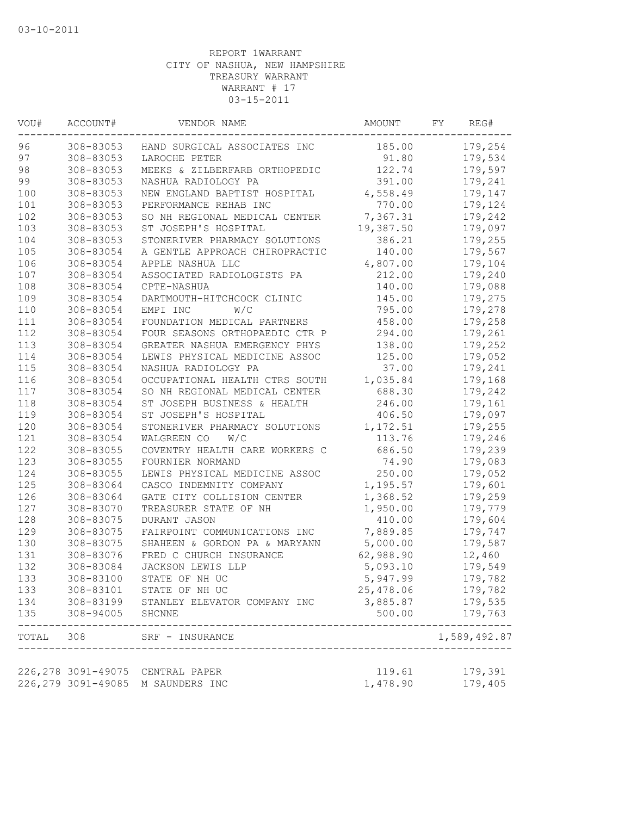| VOU#      | ACCOUNT#           | VENDOR NAME                             | AMOUNT    | FY. | REG#                     |
|-----------|--------------------|-----------------------------------------|-----------|-----|--------------------------|
| 96        | 308-83053          | HAND SURGICAL ASSOCIATES INC            | 185.00    |     | 179,254                  |
| 97        | 308-83053          | LAROCHE PETER                           | 91.80     |     | 179,534                  |
| 98        | 308-83053          | MEEKS & ZILBERFARB ORTHOPEDIC           | 122.74    |     | 179,597                  |
| 99        | 308-83053          | NASHUA RADIOLOGY PA                     | 391.00    |     | 179,241                  |
| 100       | 308-83053          | NEW ENGLAND BAPTIST HOSPITAL            | 4,558.49  |     | 179,147                  |
| 101       | 308-83053          | PERFORMANCE REHAB INC                   | 770.00    |     | 179,124                  |
| 102       | 308-83053          | SO NH REGIONAL MEDICAL CENTER           | 7,367.31  |     | 179,242                  |
| 103       | 308-83053          | ST JOSEPH'S HOSPITAL                    | 19,387.50 |     | 179,097                  |
| 104       | 308-83053          | STONERIVER PHARMACY SOLUTIONS           | 386.21    |     | 179,255                  |
| 105       | 308-83054          | A GENTLE APPROACH CHIROPRACTIC          | 140.00    |     | 179,567                  |
| 106       | 308-83054          | APPLE NASHUA LLC                        | 4,807.00  |     | 179,104                  |
| 107       | 308-83054          | ASSOCIATED RADIOLOGISTS PA              | 212.00    |     | 179,240                  |
| 108       | 308-83054          | CPTE-NASHUA                             | 140.00    |     | 179,088                  |
| 109       | 308-83054          | DARTMOUTH-HITCHCOCK CLINIC              | 145.00    |     | 179,275                  |
| 110       | 308-83054          | EMPI INC<br>W/C                         | 795.00    |     | 179,278                  |
| 111       | 308-83054          | FOUNDATION MEDICAL PARTNERS             | 458.00    |     | 179,258                  |
| 112       | 308-83054          | FOUR SEASONS ORTHOPAEDIC CTR P          | 294.00    |     | 179,261                  |
| 113       | 308-83054          | GREATER NASHUA EMERGENCY PHYS           | 138.00    |     | 179,252                  |
| 114       | 308-83054          | LEWIS PHYSICAL MEDICINE ASSOC           | 125.00    |     | 179,052                  |
| 115       | 308-83054          | NASHUA RADIOLOGY PA                     | 37.00     |     | 179,241                  |
| 116       | 308-83054          | OCCUPATIONAL HEALTH CTRS SOUTH          | 1,035.84  |     | 179,168                  |
| 117       | 308-83054          | SO NH REGIONAL MEDICAL CENTER           | 688.30    |     | 179,242                  |
| 118       | 308-83054          | ST JOSEPH BUSINESS & HEALTH             | 246.00    |     | 179,161                  |
| 119       | 308-83054          | ST JOSEPH'S HOSPITAL                    | 406.50    |     | 179,097                  |
| 120       | 308-83054          | STONERIVER PHARMACY SOLUTIONS           | 1,172.51  |     | 179,255                  |
| 121       | 308-83054          | W/C<br>WALGREEN CO                      | 113.76    |     | 179,246                  |
| 122       | 308-83055          | COVENTRY HEALTH CARE WORKERS C          | 686.50    |     | 179,239                  |
| 123       | 308-83055          | FOURNIER NORMAND                        | 74.90     |     | 179,083                  |
| 124       | 308-83055          | LEWIS PHYSICAL MEDICINE ASSOC           | 250.00    |     | 179,052                  |
| 125       | 308-83064          | CASCO INDEMNITY COMPANY                 | 1,195.57  |     | 179,601                  |
| 126       | 308-83064          | GATE CITY COLLISION CENTER              | 1,368.52  |     | 179,259                  |
| 127       | 308-83070          | TREASURER STATE OF NH                   | 1,950.00  |     | 179,779                  |
| 128       | 308-83075          | DURANT JASON                            | 410.00    |     | 179,604                  |
| 129       | 308-83075          | FAIRPOINT COMMUNICATIONS INC            | 7,889.85  |     | 179,747                  |
| 130       | 308-83075          | SHAHEEN & GORDON PA & MARYANN           | 5,000.00  |     | 179,587                  |
| 131       | 308-83076          | FRED C CHURCH INSURANCE                 | 62,988.90 |     | 12,460                   |
| 132       | 308-83084          | JACKSON LEWIS LLP                       | 5,093.10  |     | 179,549                  |
| 133       | 308-83100          | STATE OF NH UC                          | 5,947.99  |     | 179,782                  |
| 133       | 308-83101          | STATE OF NH UC                          | 25,478.06 |     | 179,782                  |
| 134       | 308-83199          | STANLEY ELEVATOR COMPANY INC            | 3,885.87  |     | 179,535                  |
| 135       | 308-94005          | SHCNNE                                  | 500.00    |     | 179,763                  |
| TOTAL 308 |                    | SRF - INSURANCE<br>____________________ |           |     | --------<br>1,589,492.87 |
|           |                    |                                         |           |     |                          |
|           |                    | 226,278 3091-49075 CENTRAL PAPER        | 119.61    |     | 179,391                  |
|           | 226,279 3091-49085 | M SAUNDERS INC                          | 1,478.90  |     | 179,405                  |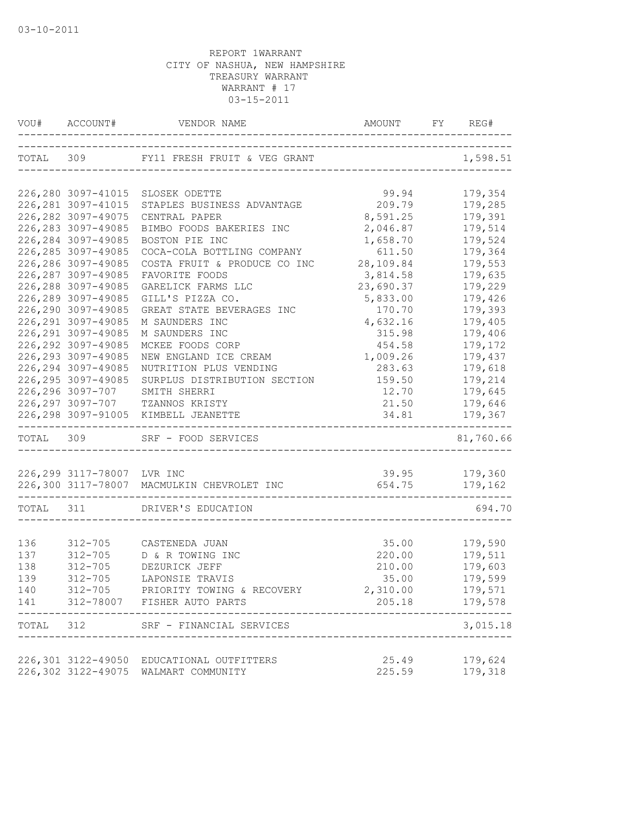|           | VOU# ACCOUNT#              | VENDOR NAME                                | AMOUNT                     | FY | REG#                     |
|-----------|----------------------------|--------------------------------------------|----------------------------|----|--------------------------|
|           |                            | TOTAL 309 FY11 FRESH FRUIT & VEG GRANT     | __________________________ |    | 1,598.51                 |
|           | 226,280 3097-41015         | SLOSEK ODETTE                              | 99.94                      |    | 179,354                  |
|           | 226, 281 3097-41015        | STAPLES BUSINESS ADVANTAGE                 | 209.79                     |    | 179,285                  |
|           | 226, 282 3097-49075        | CENTRAL PAPER                              | 8,591.25                   |    | 179,391                  |
|           | 226, 283 3097-49085        | BIMBO FOODS BAKERIES INC                   | 2,046.87                   |    | 179,514                  |
|           | 226, 284 3097-49085        | BOSTON PIE INC                             | 1,658.70                   |    | 179,524                  |
|           | 226, 285 3097-49085        | COCA-COLA BOTTLING COMPANY                 | 611.50                     |    | 179,364                  |
|           | 226,286 3097-49085         | COSTA FRUIT & PRODUCE CO INC               | 28,109.84                  |    | 179,553                  |
|           | 226, 287 3097-49085        | FAVORITE FOODS                             | 3,814.58                   |    | 179,635                  |
|           | 226,288 3097-49085         | GARELICK FARMS LLC                         | 23,690.37                  |    | 179,229                  |
|           | 226,289 3097-49085         | GILL'S PIZZA CO.                           | 5,833.00                   |    | 179,426                  |
|           | 226,290 3097-49085         | GREAT STATE BEVERAGES INC                  | 170.70                     |    | 179,393                  |
|           | 226, 291 3097-49085        | M SAUNDERS INC                             | 4,632.16                   |    | 179,405                  |
|           | 226, 291 3097-49085        | M SAUNDERS INC                             | 315.98                     |    | 179,406                  |
|           | 226, 292 3097-49085        | MCKEE FOODS CORP                           | 454.58                     |    | 179,172                  |
|           | 226, 293 3097-49085        | NEW ENGLAND ICE CREAM                      | 1,009.26                   |    | 179,437                  |
|           | 226, 294 3097-49085        | NUTRITION PLUS VENDING                     | 283.63                     |    | 179,618                  |
|           | 226, 295 3097-49085        | SURPLUS DISTRIBUTION SECTION               | 159.50                     |    | 179,214                  |
|           | 226,296 3097-707           | SMITH SHERRI                               | 12.70                      |    | 179,645                  |
|           |                            | 226, 297 3097-707 TZANNOS KRISTY           | 21.50                      |    | 179,646                  |
|           |                            | 226, 298 3097-91005 KIMBELL JEANETTE       | 34.81                      |    | 179,367<br>$- - - - - -$ |
| TOTAL 309 |                            | SRF - FOOD SERVICES                        |                            |    | 81,760.66                |
|           |                            |                                            |                            |    |                          |
|           | 226,299 3117-78007 LVR INC |                                            | 39.95 179,360              |    |                          |
|           |                            | 226,300 3117-78007 MACMULKIN CHEVROLET INC | 654.75                     |    | 179,162                  |
| TOTAL 311 |                            | DRIVER'S EDUCATION                         |                            |    | 694.70                   |
|           |                            |                                            |                            |    |                          |
| 136       |                            | 312-705 CASTENEDA JUAN                     | 35.00                      |    | 179,590                  |
| 137       | $312 - 705$                | D & R TOWING INC                           | 220.00                     |    | 179,511                  |
| 138       | $312 - 705$                | DEZURICK JEFF                              | 210.00                     |    | 179,603                  |
| 139       | $312 - 705$                | LAPONSIE TRAVIS                            | 35.00                      |    | 179,599                  |
| 140       |                            | 312-705 PRIORITY TOWING & RECOVERY         | 2,310.00                   |    | 179,571                  |
|           |                            | 141 312-78007 FISHER AUTO PARTS            |                            |    | 205.18 179,578           |
|           |                            | TOTAL 312 SRF - FINANCIAL SERVICES         |                            |    | 3,015.18                 |
|           |                            | 226,301 3122-49050 EDUCATIONAL OUTFITTERS  | 25.49                      |    | 179,624                  |
|           |                            | 226,302 3122-49075 WALMART COMMUNITY       | 225.59                     |    | 179,318                  |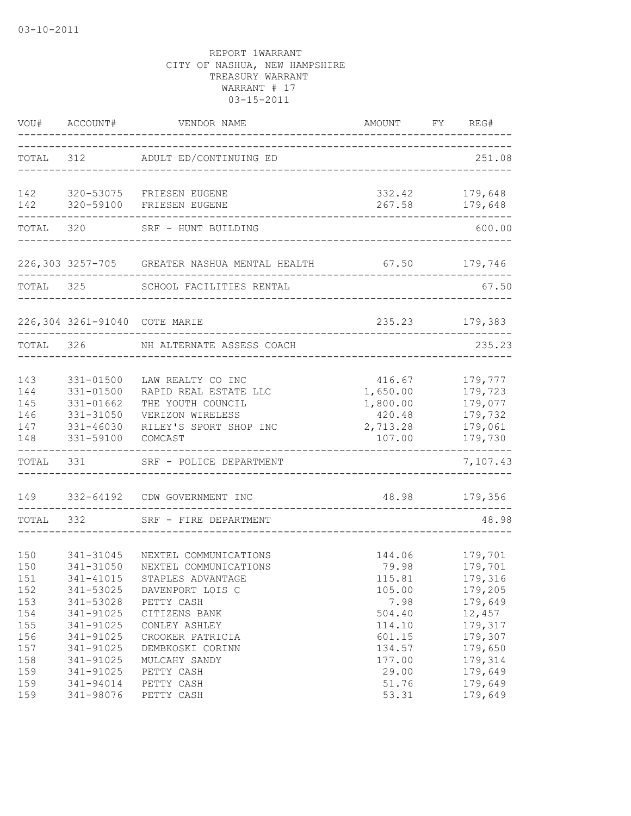|                                        | VOU# ACCOUNT#                                                                  | VENDOR NAME                                                                                                              | AMOUNT FY REG#<br>_____________________                        |                                                                |
|----------------------------------------|--------------------------------------------------------------------------------|--------------------------------------------------------------------------------------------------------------------------|----------------------------------------------------------------|----------------------------------------------------------------|
|                                        |                                                                                | TOTAL 312 ADULT ED/CONTINUING ED                                                                                         |                                                                | 251.08                                                         |
| 142<br>142                             | 320-59100                                                                      | 320-53075 FRIESEN EUGENE<br>FRIESEN EUGENE                                                                               | 267.58                                                         | 332.42 179,648<br>179,648                                      |
| TOTAL                                  | 320                                                                            | SRF - HUNT BUILDING                                                                                                      |                                                                | 600.00                                                         |
|                                        |                                                                                | 226,303 3257-705 GREATER NASHUA MENTAL HEALTH 67.50 179,746                                                              |                                                                |                                                                |
| TOTAL 325                              |                                                                                | SCHOOL FACILITIES RENTAL                                                                                                 |                                                                | 67.50                                                          |
|                                        | 226,304 3261-91040 COTE MARIE                                                  |                                                                                                                          | 235.23                                                         | 179,383                                                        |
| TOTAL                                  | 326                                                                            | NH ALTERNATE ASSESS COACH                                                                                                |                                                                | 235.23                                                         |
| 143<br>144<br>145<br>146<br>147<br>148 | $331 - 01500$<br>331-01500<br>331-01662<br>331-31050<br>331-46030<br>331-59100 | LAW REALTY CO INC<br>RAPID REAL ESTATE LLC<br>THE YOUTH COUNCIL<br>VERIZON WIRELESS<br>RILEY'S SPORT SHOP INC<br>COMCAST | 416.67<br>1,650.00<br>1,800.00<br>420.48<br>2,713.28<br>107.00 | 179,777<br>179,723<br>179,077<br>179,732<br>179,061<br>179,730 |
| TOTAL                                  | 331                                                                            | SRF - POLICE DEPARTMENT                                                                                                  |                                                                | 7,107.43                                                       |
| 149                                    |                                                                                | 332-64192 CDW GOVERNMENT INC                                                                                             |                                                                | 48.98 179,356                                                  |
| TOTAL                                  | 332                                                                            | SRF - FIRE DEPARTMENT                                                                                                    |                                                                | 48.98                                                          |
| 150<br>150<br>151<br>152<br>153        | 341-31045<br>341-31050<br>341-41015<br>341-53025<br>341-53028                  | NEXTEL COMMUNICATIONS<br>NEXTEL COMMUNICATIONS<br>STAPLES ADVANTAGE<br>DAVENPORT LOIS C<br>PETTY CASH                    | 144.06<br>79.98<br>115.81<br>105.00<br>7.98                    | 179,701<br>179,701<br>179,316<br>179,205<br>179,649            |
| 154<br>155<br>156<br>157<br>158<br>159 | 341-91025<br>341-91025<br>341-91025<br>341-91025<br>341-91025<br>341-91025     | CITIZENS BANK<br>CONLEY ASHLEY<br>CROOKER PATRICIA<br>DEMBKOSKI CORINN<br>MULCAHY SANDY<br>PETTY CASH                    | 504.40<br>114.10<br>601.15<br>134.57<br>177.00<br>29.00        | 12,457<br>179,317<br>179,307<br>179,650<br>179,314<br>179,649  |
| 159<br>159                             | 341-94014<br>341-98076                                                         | PETTY CASH<br>PETTY CASH                                                                                                 | 51.76<br>53.31                                                 | 179,649<br>179,649                                             |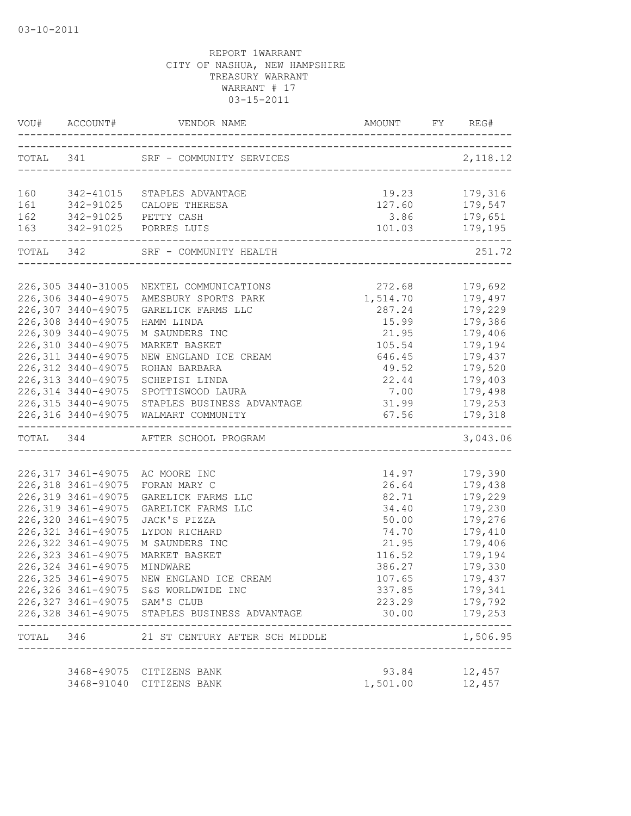| VOU# ACCOUNT#                  |                                                                                       |          | FY REG#                  |
|--------------------------------|---------------------------------------------------------------------------------------|----------|--------------------------|
|                                | TOTAL 341 SRF - COMMUNITY SERVICES 2,11                                               |          | 2, 118.12                |
|                                |                                                                                       |          |                          |
|                                | 160 342-41015 STAPLES ADVANTAGE                                                       | 19.23    | 179,316                  |
|                                |                                                                                       | 127.60   | 179,547                  |
|                                | 161 342-91025 CALOPE THERESA<br>162 342-91025 PETTY CASH<br>163 342-91025 PORRES LUIS | 3.86     |                          |
| ._____________________________ |                                                                                       |          |                          |
|                                | TOTAL 342 SRF - COMMUNITY HEALTH                                                      |          | 251.72<br>___________    |
|                                | 226,305 3440-31005 NEXTEL COMMUNICATIONS                                              | 272.68   | 179,692                  |
| 226,306 3440-49075             | AMESBURY SPORTS PARK                                                                  | 1,514.70 | 179,497                  |
| 226,307 3440-49075             | GARELICK FARMS LLC                                                                    | 287.24   | 179,229                  |
| 226,308 3440-49075             | HAMM LINDA                                                                            | 15.99    | 179,386                  |
| 226,309 3440-49075             | M SAUNDERS INC                                                                        | 21.95    | 179,406                  |
| 226,310 3440-49075             | MARKET BASKET                                                                         | 105.54   | 179,194                  |
| 226, 311 3440-49075            | NEW ENGLAND ICE CREAM                                                                 | 646.45   | 179,437                  |
| 226,312 3440-49075             | ROHAN BARBARA                                                                         | 49.52    | 179,520                  |
| 226, 313 3440-49075            | SCHEPISI LINDA                                                                        | 22.44    | 179,403                  |
|                                | 226,314 3440-49075 SPOTTISWOOD LAURA                                                  | 7.00     | 179,498                  |
|                                | 226, 315 3440-49075 STAPLES BUSINESS ADVANTAGE                                        | 31.99    | 179,253                  |
|                                | 226,316 3440-49075 WALMART COMMUNITY                                                  | 67.56    | 179,318                  |
|                                | TOTAL 344 AFTER SCHOOL PROGRAM                                                        |          | 3,043.06                 |
|                                |                                                                                       |          |                          |
|                                | 226,317 3461-49075 AC MOORE INC                                                       | 14.97    | 179,390                  |
| 226, 318 3461-49075            | FORAN MARY C                                                                          | 26.64    | 179,438                  |
| 226, 319 3461-49075            | GARELICK FARMS LLC                                                                    | 82.71    | 179,229                  |
| 226, 319 3461-49075            | GARELICK FARMS LLC                                                                    | 34.40    | 179,230                  |
| 226,320 3461-49075             | JACK'S PIZZA                                                                          | 50.00    | 179,276                  |
| 226, 321 3461-49075            | LYDON RICHARD                                                                         | 74.70    | 179,410                  |
| 226,322 3461-49075             | M SAUNDERS INC                                                                        | 21.95    | 179,406                  |
| 226, 323 3461-49075            | MARKET BASKET                                                                         | 116.52   | 179,194                  |
| 226, 324 3461-49075            | MINDWARE                                                                              | 386.27   | 179,330                  |
|                                | 226,325 3461-49075 NEW ENGLAND ICE CREAM                                              | 107.65   | 179,437                  |
|                                | 226,326 3461-49075 S&S WORLDWIDE INC                                                  | 337.85   | 179,341                  |
| 226,327 3461-49075 SAM'S CLUB  | 226,328 3461-49075 STAPLES BUSINESS ADVANTAGE                                         | 223.29   | 179,792<br>30.00 179,253 |
|                                | TOTAL 346 21 ST CENTURY AFTER SCH MIDDLE                                              |          | ----------<br>1,506.95   |
|                                |                                                                                       |          |                          |
|                                | 3468-49075 CITIZENS BANK                                                              | 93.84    | 12,457                   |
|                                | 3468-91040 CITIZENS BANK                                                              | 1,501.00 | 12,457                   |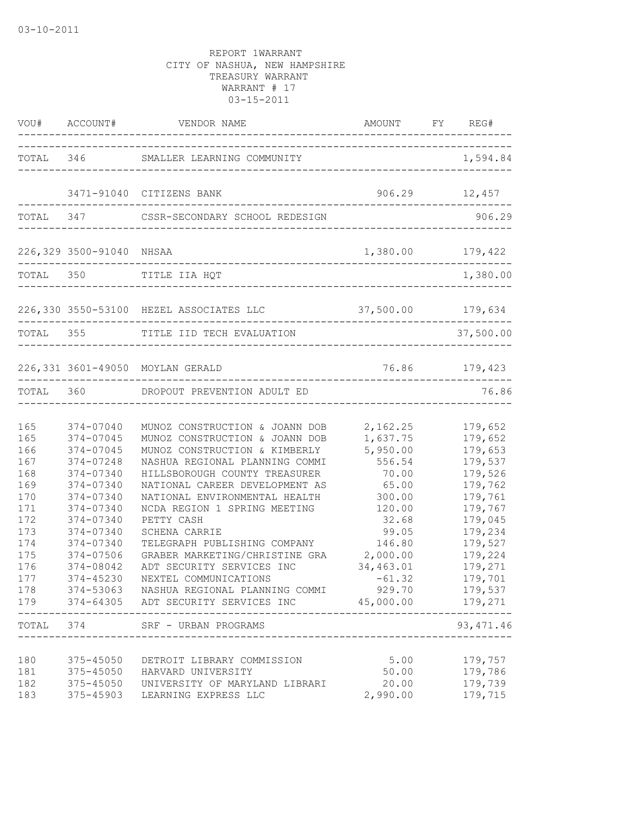|                                                                                                              |                                                                                                                                                                                       | VOU# ACCOUNT# VENDOR NAME<br>______________________________                                                                                                                                                                                                                                                                                                                                                                                                                                                                        |                                                                                                                                                                                         | AMOUNT FY REG#                                                                                                                                                               |
|--------------------------------------------------------------------------------------------------------------|---------------------------------------------------------------------------------------------------------------------------------------------------------------------------------------|------------------------------------------------------------------------------------------------------------------------------------------------------------------------------------------------------------------------------------------------------------------------------------------------------------------------------------------------------------------------------------------------------------------------------------------------------------------------------------------------------------------------------------|-----------------------------------------------------------------------------------------------------------------------------------------------------------------------------------------|------------------------------------------------------------------------------------------------------------------------------------------------------------------------------|
|                                                                                                              | TOTAL 346                                                                                                                                                                             | SMALLER LEARNING COMMUNITY                                                                                                                                                                                                                                                                                                                                                                                                                                                                                                         |                                                                                                                                                                                         | 1,594.84                                                                                                                                                                     |
|                                                                                                              |                                                                                                                                                                                       | 3471-91040 CITIZENS BANK                                                                                                                                                                                                                                                                                                                                                                                                                                                                                                           |                                                                                                                                                                                         | 906.29 12,457                                                                                                                                                                |
|                                                                                                              |                                                                                                                                                                                       | TOTAL 347 CSSR-SECONDARY SCHOOL REDESIGN                                                                                                                                                                                                                                                                                                                                                                                                                                                                                           |                                                                                                                                                                                         | 906.29                                                                                                                                                                       |
|                                                                                                              | 226,329 3500-91040 NHSAA                                                                                                                                                              | ---------------------------------                                                                                                                                                                                                                                                                                                                                                                                                                                                                                                  | 1,380.00                                                                                                                                                                                | 179,422                                                                                                                                                                      |
|                                                                                                              |                                                                                                                                                                                       | TOTAL 350 TITLE IIA HQT                                                                                                                                                                                                                                                                                                                                                                                                                                                                                                            |                                                                                                                                                                                         | 1,380.00                                                                                                                                                                     |
|                                                                                                              |                                                                                                                                                                                       | 226,330 3550-53100 HEZEL ASSOCIATES LLC 37,500.00 179,634                                                                                                                                                                                                                                                                                                                                                                                                                                                                          |                                                                                                                                                                                         |                                                                                                                                                                              |
|                                                                                                              |                                                                                                                                                                                       | TOTAL 355 TITLE IID TECH EVALUATION                                                                                                                                                                                                                                                                                                                                                                                                                                                                                                |                                                                                                                                                                                         | 37,500.00                                                                                                                                                                    |
|                                                                                                              |                                                                                                                                                                                       | 226,331 3601-49050 MOYLAN GERALD                                                                                                                                                                                                                                                                                                                                                                                                                                                                                                   |                                                                                                                                                                                         | 76.86 179,423                                                                                                                                                                |
|                                                                                                              |                                                                                                                                                                                       | TOTAL 360 DROPOUT PREVENTION ADULT ED                                                                                                                                                                                                                                                                                                                                                                                                                                                                                              |                                                                                                                                                                                         | 76.86                                                                                                                                                                        |
| 165<br>165<br>166<br>167<br>168<br>169<br>170<br>171<br>172<br>173<br>174<br>175<br>176<br>177<br>178<br>179 | 374-07040<br>374-07045<br>374-07045<br>374-07248<br>374-07340<br>374-07340<br>374-07340<br>374-07340<br>374-07340<br>374-07340<br>374-07340<br>374-07506<br>374-08042<br>____________ | MUNOZ CONSTRUCTION & JOANN DOB<br>MUNOZ CONSTRUCTION & JOANN DOB<br>MUNOZ CONSTRUCTION & KIMBERLY<br>NASHUA REGIONAL PLANNING COMMI<br>HILLSBOROUGH COUNTY TREASURER<br>NATIONAL CAREER DEVELOPMENT AS<br>NATIONAL ENVIRONMENTAL HEALTH<br>NCDA REGION 1 SPRING MEETING<br>PETTY CASH<br><b>SCHENA CARRIE</b><br>TELEGRAPH PUBLISHING COMPANY<br>GRABER MARKETING/CHRISTINE GRA<br>ADT SECURITY SERVICES INC<br>374-45230 NEXTEL COMMUNICATIONS<br>374-53063 NASHUA REGIONAL PLANNING COMMI<br>374-64305 ADT SECURITY SERVICES INC | 2,162.25<br>1,637.75<br>5,950.00<br>556.54<br>70.00<br>65.00<br>300.00<br>120.00<br>32.68<br>99.05<br>146.80<br>2,000.00<br>34,463.01<br>$-61.32$<br>929.70<br>45,000.00<br>$- - - - -$ | 179,652<br>179,652<br>179,653<br>179,537<br>179,526<br>179,762<br>179,761<br>179,767<br>179,045<br>179,234<br>179,527<br>179,224<br>179,271<br>179,701<br>179,537<br>179,271 |
|                                                                                                              |                                                                                                                                                                                       | TOTAL 374 SRF - URBAN PROGRAMS                                                                                                                                                                                                                                                                                                                                                                                                                                                                                                     |                                                                                                                                                                                         | 93, 471.46                                                                                                                                                                   |
| 180<br>181<br>182<br>183                                                                                     | 375-45050<br>375-45050                                                                                                                                                                | DETROIT LIBRARY COMMISSION<br>HARVARD UNIVERSITY<br>375-45050 UNIVERSITY OF MARYLAND LIBRARI<br>375-45903 LEARNING EXPRESS LLC                                                                                                                                                                                                                                                                                                                                                                                                     | 5.00<br>50.00<br>20.00<br>2,990.00                                                                                                                                                      | 179,757<br>179,786<br>179,739<br>179,715                                                                                                                                     |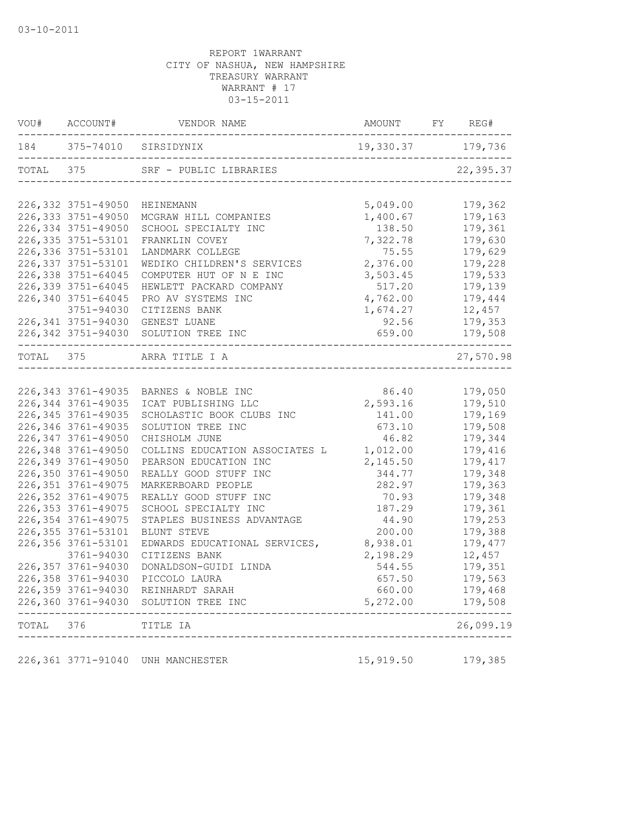|           |                     | VOU# ACCOUNT# VENDOR NAME AMOUNT FY REG#                                   |                    |                    |
|-----------|---------------------|----------------------------------------------------------------------------|--------------------|--------------------|
|           |                     | 184 375-74010 SIRSIDYNIX                                                   | 19,330.37 179,736  |                    |
|           |                     | TOTAL 375 SRF - PUBLIC LIBRARIES<br>------------------------               |                    | 22,395.37          |
|           | 226,332 3751-49050  | HEINEMANN                                                                  | 5,049.00           | 179,362            |
|           | 226, 333 3751-49050 | MCGRAW HILL COMPANIES                                                      | 1,400.67           | 179,163            |
|           | 226,334 3751-49050  | SCHOOL SPECIALTY INC                                                       | 138.50             | 179,361            |
|           | 226, 335 3751-53101 | FRANKLIN COVEY                                                             | 7,322.78           | 179,630            |
|           | 226,336 3751-53101  | LANDMARK COLLEGE                                                           | 75.55              | 179,629            |
|           | 226, 337 3751-53101 | WEDIKO CHILDREN'S SERVICES                                                 | 2,376.00           | 179,228            |
|           | 226,338 3751-64045  | COMPUTER HUT OF N E INC                                                    | 3,503.45           | 179,533            |
|           | 226,339 3751-64045  | HEWLETT PACKARD COMPANY                                                    | 517.20             | 179,139            |
|           | 226,340 3751-64045  | PRO AV SYSTEMS INC                                                         | 4,762.00           | 179,444            |
|           | 3751-94030          | CITIZENS BANK                                                              | 1,674.27           | 12,457             |
|           |                     | 226,341 3751-94030 GENEST LUANE                                            | 92.56              | 179,353            |
|           |                     | 226,342 3751-94030 SOLUTION TREE INC                                       | 659.00             | 179,508            |
|           |                     | TOTAL 375 ARRA TITLE I A                                                   |                    | 27,570.98          |
|           |                     |                                                                            |                    |                    |
|           | 226,343 3761-49035  | BARNES & NOBLE INC                                                         | 86.40              | 179,050            |
|           | 226, 344 3761-49035 | ICAT PUBLISHING LLC                                                        | 2,593.16           | 179,510            |
|           | 226, 345 3761-49035 | SCHOLASTIC BOOK CLUBS INC                                                  | 141.00             | 179,169            |
|           | 226,346 3761-49035  | SOLUTION TREE INC                                                          | 673.10             | 179,508            |
|           | 226,347 3761-49050  | CHISHOLM JUNE                                                              | 46.82              | 179,344            |
|           | 226,348 3761-49050  | COLLINS EDUCATION ASSOCIATES L                                             | 1,012.00           | 179,416            |
|           | 226,349 3761-49050  | PEARSON EDUCATION INC                                                      | 2,145.50           | 179,417            |
|           | 226,350 3761-49050  | REALLY GOOD STUFF INC                                                      | 344.77             | 179,348            |
|           | 226, 351 3761-49075 | MARKERBOARD PEOPLE                                                         | 282.97             | 179,363            |
|           | 226, 352 3761-49075 | REALLY GOOD STUFF INC                                                      | 70.93              | 179,348            |
|           | 226, 353 3761-49075 | SCHOOL SPECIALTY INC                                                       | 187.29             | 179,361            |
|           | 226,354 3761-49075  | STAPLES BUSINESS ADVANTAGE                                                 | 44.90              | 179,253            |
|           | 226,355 3761-53101  | BLUNT STEVE                                                                | 200.00             | 179,388            |
|           | 226, 356 3761-53101 | EDWARDS EDUCATIONAL SERVICES,                                              | 8,938.01           | 179,477            |
|           | 3761-94030          | CITIZENS BANK                                                              | 2,198.29           | 12,457             |
|           | 226,357 3761-94030  | DONALDSON-GUIDI LINDA                                                      | 544.55             | 179,351            |
|           |                     | 226,358 3761-94030 PICCOLO LAURA                                           | 657.50             | 179,563            |
|           |                     | 226,359 3761-94030 REINHARDT SARAH<br>226,360 3761-94030 SOLUTION TREE INC | 660.00<br>5,272.00 | 179,468<br>179,508 |
| TOTAL 376 |                     | TITLE IA                                                                   |                    | 26,099.19          |
|           |                     |                                                                            |                    |                    |
|           |                     | 226,361 3771-91040 UNH MANCHESTER                                          | 15,919.50          | 179,385            |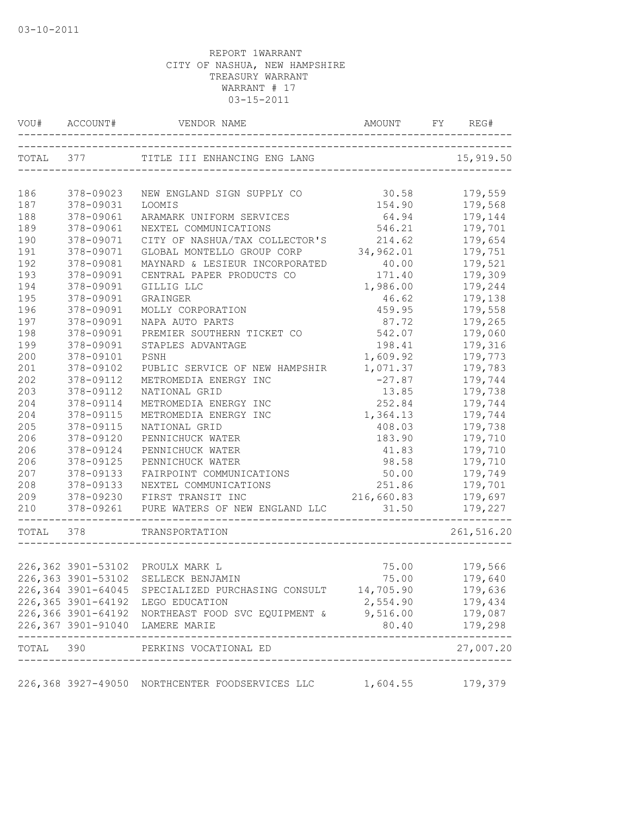| TOTAL 377<br>TITLE III ENHANCING ENG LANG<br>_______________________<br>186<br>378-09023<br>NEW ENGLAND SIGN SUPPLY CO<br>187<br>378-09031<br>LOOMIS<br>188<br>378-09061<br>ARAMARK UNIFORM SERVICES<br>189<br>378-09061<br>NEXTEL COMMUNICATIONS<br>190<br>378-09071<br>CITY OF NASHUA/TAX COLLECTOR'S<br>191<br>34,962.01<br>378-09071<br>GLOBAL MONTELLO GROUP CORP<br>192<br>378-09081<br>MAYNARD & LESIEUR INCORPORATED | 15,919.50<br>30.58<br>179,559<br>154.90<br>179,568<br>179,144<br>64.94<br>546.21<br>179,701<br>214.62<br>179,654<br>179,751<br>40.00<br>179,521<br>171.40<br>179,309<br>1,986.00<br>179,244 |
|------------------------------------------------------------------------------------------------------------------------------------------------------------------------------------------------------------------------------------------------------------------------------------------------------------------------------------------------------------------------------------------------------------------------------|---------------------------------------------------------------------------------------------------------------------------------------------------------------------------------------------|
|                                                                                                                                                                                                                                                                                                                                                                                                                              |                                                                                                                                                                                             |
|                                                                                                                                                                                                                                                                                                                                                                                                                              |                                                                                                                                                                                             |
|                                                                                                                                                                                                                                                                                                                                                                                                                              |                                                                                                                                                                                             |
|                                                                                                                                                                                                                                                                                                                                                                                                                              |                                                                                                                                                                                             |
|                                                                                                                                                                                                                                                                                                                                                                                                                              |                                                                                                                                                                                             |
|                                                                                                                                                                                                                                                                                                                                                                                                                              |                                                                                                                                                                                             |
|                                                                                                                                                                                                                                                                                                                                                                                                                              |                                                                                                                                                                                             |
|                                                                                                                                                                                                                                                                                                                                                                                                                              |                                                                                                                                                                                             |
| 193<br>378-09091<br>CENTRAL PAPER PRODUCTS CO                                                                                                                                                                                                                                                                                                                                                                                |                                                                                                                                                                                             |
| 194<br>378-09091<br>GILLIG LLC                                                                                                                                                                                                                                                                                                                                                                                               |                                                                                                                                                                                             |
| 195<br>378-09091<br>GRAINGER                                                                                                                                                                                                                                                                                                                                                                                                 | 46.62<br>179,138                                                                                                                                                                            |
| 196<br>378-09091<br>MOLLY CORPORATION                                                                                                                                                                                                                                                                                                                                                                                        | 459.95<br>179,558                                                                                                                                                                           |
| 197<br>378-09091<br>NAPA AUTO PARTS                                                                                                                                                                                                                                                                                                                                                                                          | 179,265<br>87.72                                                                                                                                                                            |
| 198<br>378-09091<br>PREMIER SOUTHERN TICKET CO                                                                                                                                                                                                                                                                                                                                                                               | 179,060<br>542.07                                                                                                                                                                           |
| 199<br>378-09091<br>STAPLES ADVANTAGE                                                                                                                                                                                                                                                                                                                                                                                        | 179,316<br>198.41                                                                                                                                                                           |
| 200<br>1,609.92<br>378-09101<br>PSNH                                                                                                                                                                                                                                                                                                                                                                                         | 179,773                                                                                                                                                                                     |
| 1,071.37<br>201<br>378-09102<br>PUBLIC SERVICE OF NEW HAMPSHIR                                                                                                                                                                                                                                                                                                                                                               | 179,783                                                                                                                                                                                     |
| 202<br>378-09112<br>METROMEDIA ENERGY INC                                                                                                                                                                                                                                                                                                                                                                                    | $-27.87$<br>179,744                                                                                                                                                                         |
| 203<br>378-09112<br>NATIONAL GRID                                                                                                                                                                                                                                                                                                                                                                                            | 13.85<br>179,738                                                                                                                                                                            |
| 204<br>378-09114<br>METROMEDIA ENERGY INC                                                                                                                                                                                                                                                                                                                                                                                    | 252.84<br>179,744                                                                                                                                                                           |
| 204<br>378-09115<br>METROMEDIA ENERGY INC                                                                                                                                                                                                                                                                                                                                                                                    | 1,364.13<br>179,744                                                                                                                                                                         |
| 205<br>378-09115<br>NATIONAL GRID                                                                                                                                                                                                                                                                                                                                                                                            | 179,738<br>408.03                                                                                                                                                                           |
| 206<br>378-09120<br>PENNICHUCK WATER                                                                                                                                                                                                                                                                                                                                                                                         | 183.90<br>179,710                                                                                                                                                                           |
| 206<br>378-09124<br>PENNICHUCK WATER                                                                                                                                                                                                                                                                                                                                                                                         | 41.83<br>179,710                                                                                                                                                                            |
| 206<br>378-09125<br>PENNICHUCK WATER                                                                                                                                                                                                                                                                                                                                                                                         | 98.58<br>179,710                                                                                                                                                                            |
| 207<br>378-09133<br>FAIRPOINT COMMUNICATIONS                                                                                                                                                                                                                                                                                                                                                                                 | 50.00<br>179,749                                                                                                                                                                            |
| 208<br>378-09133<br>NEXTEL COMMUNICATIONS                                                                                                                                                                                                                                                                                                                                                                                    | 251.86<br>179,701                                                                                                                                                                           |
| 209<br>378-09230<br>FIRST TRANSIT INC<br>216,660.83                                                                                                                                                                                                                                                                                                                                                                          | 179,697                                                                                                                                                                                     |
| 210<br>378-09261<br>PURE WATERS OF NEW ENGLAND LLC                                                                                                                                                                                                                                                                                                                                                                           | 179,227<br>31.50                                                                                                                                                                            |
| TOTAL<br>378<br>TRANSPORTATION                                                                                                                                                                                                                                                                                                                                                                                               | 261,516.20                                                                                                                                                                                  |
|                                                                                                                                                                                                                                                                                                                                                                                                                              |                                                                                                                                                                                             |
| 226,362 3901-53102 PROULX MARK L                                                                                                                                                                                                                                                                                                                                                                                             | 75.00<br>179,566                                                                                                                                                                            |
| 226,363 3901-53102 SELLECK BENJAMIN                                                                                                                                                                                                                                                                                                                                                                                          | 75.00<br>179,640                                                                                                                                                                            |
| 226,364 3901-64045 SPECIALIZED PURCHASING CONSULT 14,705.90                                                                                                                                                                                                                                                                                                                                                                  | 179,636                                                                                                                                                                                     |
| 226,365 3901-64192 LEGO EDUCATION                                                                                                                                                                                                                                                                                                                                                                                            | 2,554.90 179,434                                                                                                                                                                            |
| 226,366 3901-64192 NORTHEAST FOOD SVC EQUIPMENT & 9,516.00 179,087                                                                                                                                                                                                                                                                                                                                                           |                                                                                                                                                                                             |
| 226,367 3901-91040 LAMERE MARIE<br>80.40<br>---------------------                                                                                                                                                                                                                                                                                                                                                            | 179,298<br>-------------                                                                                                                                                                    |
| TOTAL 390 PERKINS VOCATIONAL ED<br>--------------------------------------                                                                                                                                                                                                                                                                                                                                                    | 27,007.20                                                                                                                                                                                   |
| 226,368 3927-49050 NORTHCENTER FOODSERVICES LLC<br>1,604.55                                                                                                                                                                                                                                                                                                                                                                  | 179,379                                                                                                                                                                                     |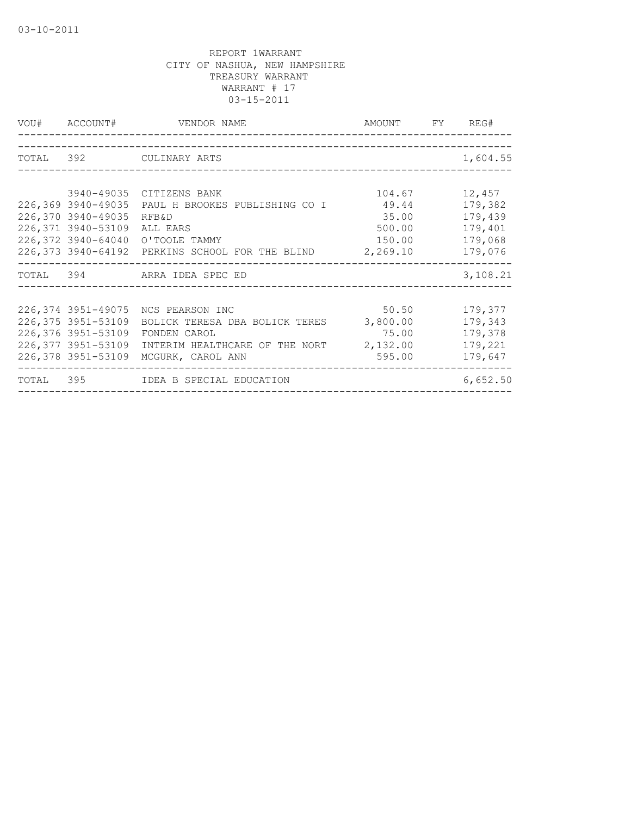| VOU# ACCOUNT#      | VENDOR NAME                                              | AMOUNT FY REG# |          |
|--------------------|----------------------------------------------------------|----------------|----------|
|                    |                                                          |                |          |
|                    | TOTAL 392 CULINARY ARTS                                  |                | 1,604.55 |
|                    |                                                          |                |          |
|                    | 3940-49035 CITIZENS BANK                                 | 104.67         | 12,457   |
| 226,369 3940-49035 | PAUL H BROOKES PUBLISHING CO I                           | 49.44          | 179,382  |
| 226,370 3940-49035 | RFB&D                                                    | 35.00          | 179,439  |
| 226,371 3940-53109 | ALL EARS                                                 | 500.00         | 179,401  |
| 226,372 3940-64040 | O'TOOLE TAMMY                                            | 150.00         | 179,068  |
|                    | 226,373 3940-64192 PERKINS SCHOOL FOR THE BLIND 2,269.10 |                | 179,076  |
|                    | TOTAL 394 ARRA IDEA SPEC ED                              |                | 3,108.21 |
|                    |                                                          |                |          |
|                    | 226,374 3951-49075 NCS PEARSON INC                       | 50.50          | 179,377  |
| 226,375 3951-53109 | BOLICK TERESA DBA BOLICK TERES                           | 3,800.00       | 179,343  |
| 226,376 3951-53109 | FONDEN CAROL                                             | 75.00          | 179,378  |
| 226,377 3951-53109 | INTERIM HEALTHCARE OF THE NORT 2,132.00                  |                | 179,221  |
| 226,378 3951-53109 | MCGURK, CAROL ANN                                        | 595.00         | 179,647  |
|                    | TOTAL 395 IDEA B SPECIAL EDUCATION                       |                | 6,652.50 |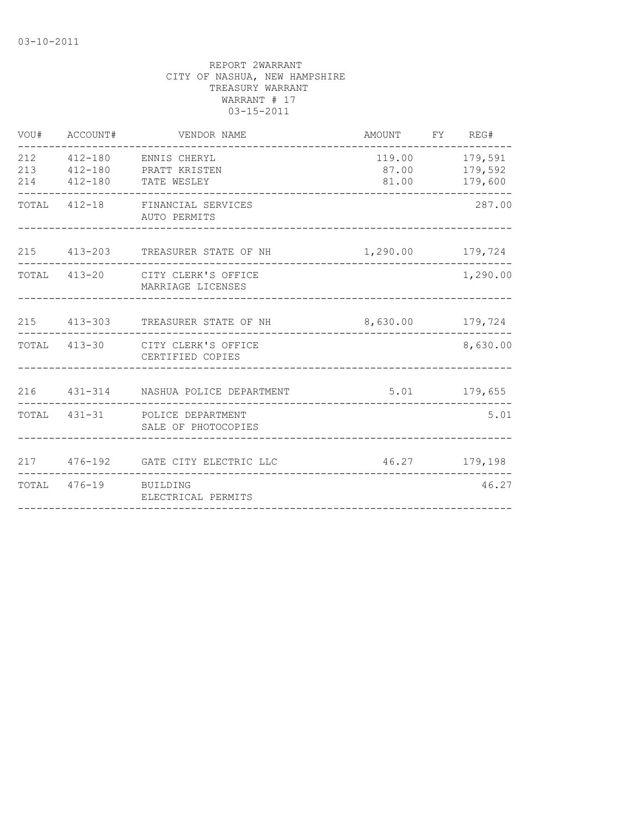| VOU#              | ACCOUNT#              | VENDOR NAME                                                                                   | AMOUNT                           | FY REG#            |
|-------------------|-----------------------|-----------------------------------------------------------------------------------------------|----------------------------------|--------------------|
| 212<br>213<br>214 |                       | 412-180 ENNIS CHERYL<br>412-180 PRATT KRISTEN<br>412-180 TATE WESLEY                          | 119.00<br>87.00 179,592<br>81.00 | 179,591<br>179,600 |
|                   | -------------         | TOTAL 412-18 FINANCIAL SERVICES<br>AUTO PERMITS                                               |                                  | 287.00             |
|                   |                       | 215 413-203 TREASURER STATE OF NH                                                             | 1,290.00 179,724                 |                    |
|                   |                       | TOTAL 413-20 CITY CLERK'S OFFICE<br>MARRIAGE LICENSES                                         |                                  | 1,290.00           |
|                   |                       | 215 413-303 TREASURER STATE OF NH                                                             | 8,630.00 179,724                 | $- - - - - -$      |
| TOTAL             |                       | 413-30 CITY CLERK'S OFFICE<br>CERTIFIED COPIES                                                |                                  | 8,630.00           |
|                   |                       | 216  431-314  NASHUA POLICE DEPARTMENT                                                        |                                  | 5.01 179,655       |
|                   |                       | TOTAL 431-31 POLICE DEPARTMENT<br>SALE OF PHOTOCOPIES<br>------------------------------------ |                                  | 5.01               |
|                   |                       | 217 476-192 GATE CITY ELECTRIC LLC                                                            |                                  | 46.27 179,198      |
|                   | TOTAL 476-19 BUILDING | ELECTRICAL PERMITS                                                                            |                                  | 46.27              |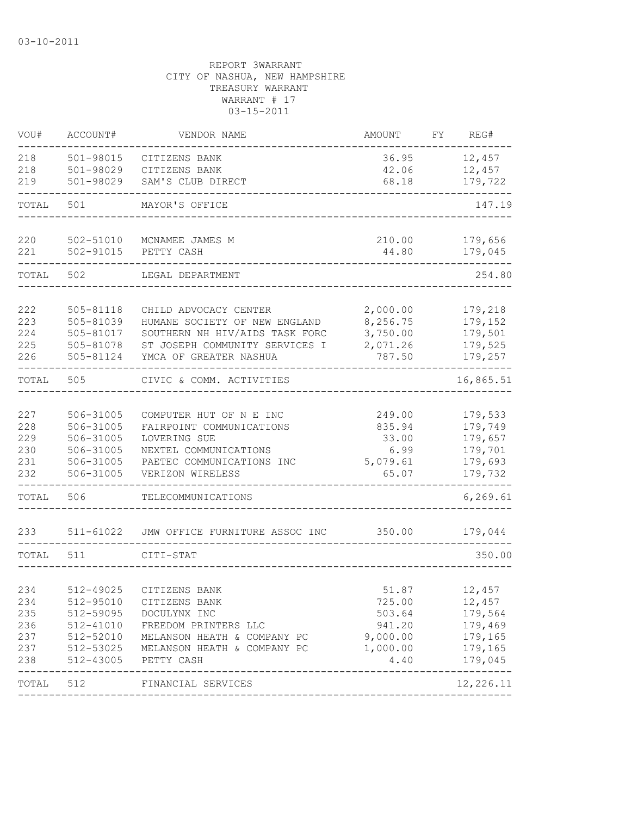| VOU#       | ACCOUNT#               | VENDOR NAME                                      | AMOUNT               | FΥ | REG#                      |
|------------|------------------------|--------------------------------------------------|----------------------|----|---------------------------|
| 218        | 501-98015              | CITIZENS BANK                                    | 36.95                |    | 12,457                    |
| 218        | 501-98029              | CITIZENS BANK                                    | 42.06                |    | 12,457                    |
| 219        | 501-98029              | SAM'S CLUB DIRECT                                | 68.18                |    | 179,722                   |
| TOTAL      | 501                    | MAYOR'S OFFICE                                   |                      |    | 147.19                    |
| 220        | 502-51010              | MCNAMEE JAMES M                                  | 210.00               |    | 179,656                   |
| 221        | 502-91015              | PETTY CASH                                       | 44.80                |    | 179,045                   |
| TOTAL      | 502                    | LEGAL DEPARTMENT                                 |                      |    | 254.80                    |
|            |                        | CHILD ADVOCACY CENTER                            |                      |    |                           |
| 222<br>223 | 505-81118<br>505-81039 | HUMANE SOCIETY OF NEW ENGLAND                    | 2,000.00<br>8,256.75 |    | 179,218<br>179,152        |
| 224        | 505-81017              | SOUTHERN NH HIV/AIDS TASK FORC                   | 3,750.00             |    | 179,501                   |
| 225        | 505-81078              | ST JOSEPH COMMUNITY SERVICES I                   | 2,071.26             |    | 179,525                   |
| 226        | 505-81124              | YMCA OF GREATER NASHUA                           | 787.50               |    | 179,257                   |
| TOTAL      | 505                    | CIVIC & COMM. ACTIVITIES                         |                      |    | 16,865.51                 |
|            |                        |                                                  |                      |    |                           |
| 227        | 506-31005              | COMPUTER HUT OF N E INC                          | 249.00               |    | 179,533                   |
| 228        | 506-31005              | FAIRPOINT COMMUNICATIONS                         | 835.94               |    | 179,749                   |
| 229        | 506-31005              | LOVERING SUE                                     | 33.00                |    | 179,657                   |
| 230        | 506-31005              | NEXTEL COMMUNICATIONS                            | 6.99                 |    | 179,701                   |
| 231        | 506-31005              | PAETEC COMMUNICATIONS INC                        | 5,079.61             |    | 179,693                   |
| 232        | 506-31005              | VERIZON WIRELESS                                 | 65.07                |    | 179,732                   |
| TOTAL      | 506                    | TELECOMMUNICATIONS                               |                      |    | 6, 269.61                 |
| 233        | 511-61022              | JMW OFFICE FURNITURE ASSOC INC                   | 350.00               |    | 179,044                   |
| TOTAL      | 511                    | CITI-STAT                                        |                      |    | 350.00                    |
|            |                        |                                                  |                      |    |                           |
| 234        | 512-49025              | CITIZENS BANK                                    | 51.87                |    | 12,457                    |
| 234        | 512-95010              | CITIZENS BANK                                    | 725.00               |    | 12,457                    |
| 235        | 512-59095              | DOCULYNX INC                                     | 503.64               |    | 179,564                   |
| 236        | 512-41010              | FREEDOM PRINTERS LLC                             | 941.20               |    | 179,469                   |
| 237        | 512-52010              | MELANSON HEATH & COMPANY PC                      | 9,000.00             |    | 179,165                   |
| 237        | 512-53025              | MELANSON HEATH & COMPANY PC                      | 1,000.00             |    | 179,165                   |
| 238        | 512-43005              | PETTY CASH<br>---------------------------------- | 4.40                 |    | 179,045<br>-------------- |
| TOTAL      | 512                    | FINANCIAL SERVICES                               |                      |    | 12,226.11                 |
|            |                        |                                                  |                      |    |                           |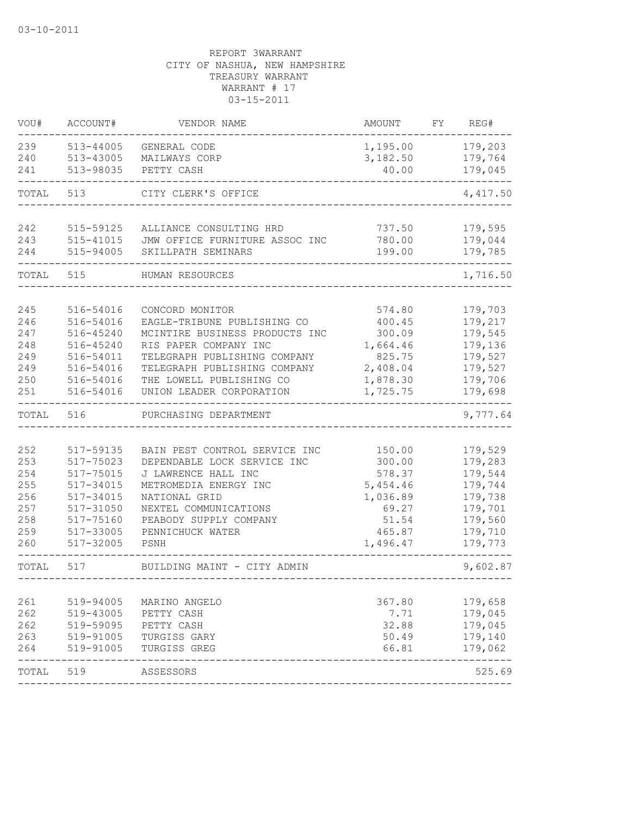| VOU#       | ACCOUNT#               | VENDOR NAME                                              | AMOUNT               | FY. | REG#               |
|------------|------------------------|----------------------------------------------------------|----------------------|-----|--------------------|
| 239        | 513-44005              | GENERAL CODE                                             | 1,195.00             |     | 179,203            |
| 240        | 513-43005              | MAILWAYS CORP                                            | 3,182.50             |     | 179,764            |
| 241        | 513-98035              | PETTY CASH                                               | 40.00                |     | 179,045            |
| TOTAL      | 513                    | CITY CLERK'S OFFICE                                      |                      |     | 4,417.50           |
| 242        | 515-59125              | ALLIANCE CONSULTING HRD                                  | 737.50               |     | 179,595            |
| 243        | 515-41015              | JMW OFFICE FURNITURE ASSOC INC                           | 780.00               |     | 179,044            |
| 244        | 515-94005              | SKILLPATH SEMINARS                                       | 199.00               |     | 179,785            |
| TOTAL      | 515                    | HUMAN RESOURCES                                          |                      |     | 1,716.50           |
|            |                        |                                                          |                      |     |                    |
| 245        | 516-54016              | CONCORD MONITOR                                          | 574.80               |     | 179,703            |
| 246        | 516-54016              | EAGLE-TRIBUNE PUBLISHING CO                              | 400.45               |     | 179,217            |
| 247        | 516-45240              | MCINTIRE BUSINESS PRODUCTS INC                           | 300.09               |     | 179,545            |
| 248        | 516-45240              | RIS PAPER COMPANY INC                                    | 1,664.46             |     | 179,136            |
| 249        | 516-54011              | TELEGRAPH PUBLISHING COMPANY                             | 825.75               |     | 179,527            |
| 249<br>250 | 516-54016<br>516-54016 | TELEGRAPH PUBLISHING COMPANY<br>THE LOWELL PUBLISHING CO | 2,408.04<br>1,878.30 |     | 179,527<br>179,706 |
| 251        | 516-54016              | UNION LEADER CORPORATION                                 | 1,725.75             |     | 179,698            |
| TOTAL      | 516                    | PURCHASING DEPARTMENT                                    |                      |     | 9,777.64           |
|            |                        |                                                          |                      |     |                    |
| 252        | 517-59135              | BAIN PEST CONTROL SERVICE INC                            | 150.00               |     | 179,529            |
| 253        | 517-75023              | DEPENDABLE LOCK SERVICE INC                              | 300.00               |     | 179,283            |
| 254        | 517-75015              | J LAWRENCE HALL INC                                      | 578.37               |     | 179,544            |
| 255        | 517-34015              | METROMEDIA ENERGY INC                                    | 5,454.46             |     | 179,744            |
| 256        | 517-34015              | NATIONAL GRID                                            | 1,036.89             |     | 179,738            |
| 257        | 517-31050              | NEXTEL COMMUNICATIONS                                    | 69.27                |     | 179,701            |
| 258        | 517-75160              | PEABODY SUPPLY COMPANY                                   | 51.54                |     | 179,560            |
| 259        | 517-33005              | PENNICHUCK WATER                                         | 465.87               |     | 179,710            |
| 260        | 517-32005              | PSNH                                                     | 1,496.47             |     | 179,773            |
| TOTAL      | 517                    | BUILDING MAINT - CITY ADMIN                              |                      |     | 9,602.87           |
|            |                        |                                                          |                      |     |                    |
| 261        | 519-94005              | MARINO ANGELO                                            | 367.80               |     | 179,658            |
| 262        | 519-43005              | PETTY CASH                                               | 7.71                 |     | 179,045            |
| 262        | 519-59095              | PETTY CASH                                               | 32.88                |     | 179,045            |
| 263        | 519-91005              | TURGISS GARY                                             | 50.49                |     | 179,140            |
| 264        | 519-91005              | TURGISS GREG                                             | 66.81                |     | 179,062            |
| TOTAL      | 519                    | ASSESSORS                                                |                      |     | 525.69             |
|            |                        |                                                          |                      |     |                    |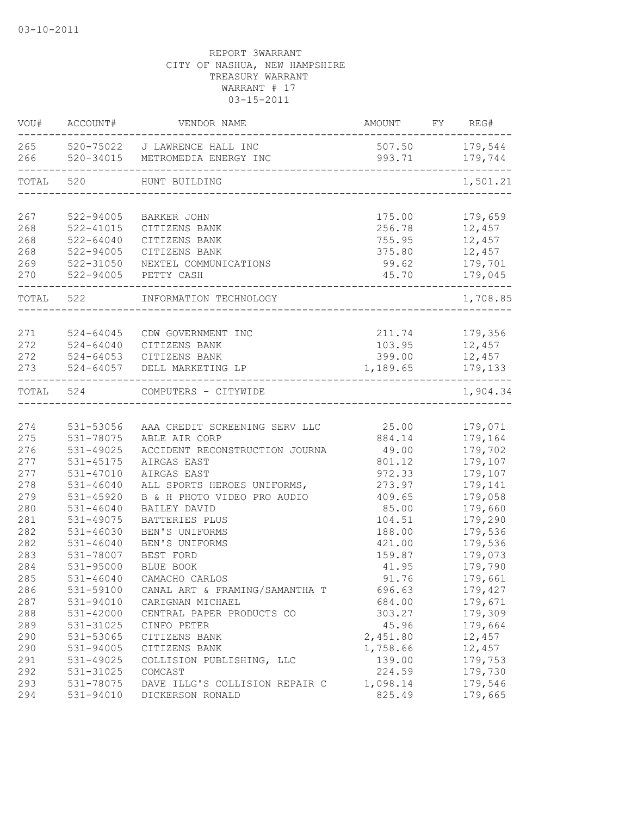| VOU#                     | ACCOUNT#                                | VENDOR NAME                                                                         | AMOUNT                                 | FY REG#                                |
|--------------------------|-----------------------------------------|-------------------------------------------------------------------------------------|----------------------------------------|----------------------------------------|
|                          |                                         | 265 520-75022 J LAWRENCE HALL INC<br>266 520-34015 METROMEDIA ENERGY INC            | 507.50 179,544<br>993.71 179,744       |                                        |
| TOTAL                    | 520                                     | HUNT BUILDING                                                                       |                                        | 1,501.21                               |
| 267                      | 522-94005                               | BARKER JOHN                                                                         | 175.00                                 | 179,659                                |
| 268                      | $522 - 41015$                           | CITIZENS BANK                                                                       | 256.78                                 | 12,457                                 |
| 268                      | $522 - 64040$                           | CITIZENS BANK                                                                       | 755.95                                 | 12,457                                 |
| 268                      | 522-94005                               | CITIZENS BANK                                                                       | 375.80                                 | 12,457                                 |
| 269                      | 522-31050                               | NEXTEL COMMUNICATIONS                                                               | 99.62                                  | 179,701                                |
| 270                      | 522-94005                               | PETTY CASH                                                                          | 45.70                                  | 179,045                                |
| TOTAL 522                |                                         | INFORMATION TECHNOLOGY                                                              |                                        | 1,708.85                               |
| 271<br>272<br>272<br>273 | 524-64045<br>$524 - 64040$<br>524-64053 | CDW GOVERNMENT INC<br>CITIZENS BANK<br>CITIZENS BANK<br>524-64057 DELL MARKETING LP | 211.74<br>103.95<br>399.00<br>1,189.65 | 179,356<br>12,457<br>12,457<br>179,133 |
| TOTAL 524                |                                         | COMPUTERS - CITYWIDE                                                                |                                        | $- - - - - -$<br>1,904.34              |
| 274                      | 531-53056                               | AAA CREDIT SCREENING SERV LLC                                                       | 25.00                                  | 179,071                                |
| 275                      | 531-78075                               | ABLE AIR CORP                                                                       | 884.14                                 | 179,164                                |
| 276                      | 531-49025                               | ACCIDENT RECONSTRUCTION JOURNA                                                      | 49.00                                  | 179,702                                |
| 277                      | 531-45175                               | AIRGAS EAST                                                                         | 801.12                                 | 179,107                                |
| 277                      | 531-47010                               | AIRGAS EAST                                                                         | 972.33                                 | 179,107                                |
| 278                      | $531 - 46040$                           | ALL SPORTS HEROES UNIFORMS,                                                         | 273.97                                 | 179,141                                |
| 279                      | 531-45920                               | B & H PHOTO VIDEO PRO AUDIO                                                         | 409.65                                 | 179,058                                |
| 280                      | $531 - 46040$                           | BAILEY DAVID                                                                        | 85.00                                  | 179,660                                |
| 281                      | 531-49075                               | BATTERIES PLUS                                                                      | 104.51                                 | 179,290                                |
| 282                      | 531-46030                               | BEN'S UNIFORMS                                                                      | 188.00                                 | 179,536                                |
| 282                      | $531 - 46040$                           | BEN'S UNIFORMS                                                                      | 421.00                                 | 179,536                                |
| 283                      | 531-78007                               | BEST FORD                                                                           | 159.87                                 | 179,073                                |
| 284                      | 531-95000                               | BLUE BOOK                                                                           | 41.95                                  | 179,790                                |
| 285                      | $531 - 46040$                           | CAMACHO CARLOS                                                                      | 91.76                                  | 179,661                                |
| 286                      | 531-59100                               | CANAL ART & FRAMING/SAMANTHA T                                                      | 696.63                                 | 179,427                                |
| 287                      | 531-94010                               | CARIGNAN MICHAEL                                                                    | 684.00                                 | 179,671                                |
| 288                      | 531-42000                               | CENTRAL PAPER PRODUCTS CO                                                           | 303.27                                 | 179,309                                |
| 289                      | 531-31025                               | CINFO PETER                                                                         | 45.96                                  | 179,664                                |
| 290                      | 531-53065                               | CITIZENS BANK                                                                       | 2,451.80                               | 12,457                                 |
| 290                      | 531-94005                               | CITIZENS BANK                                                                       | 1,758.66                               | 12,457                                 |
| 291                      | 531-49025                               | COLLISION PUBLISHING, LLC                                                           | 139.00                                 | 179,753                                |
| 292                      | 531-31025                               | COMCAST                                                                             | 224.59                                 | 179,730                                |
| 293                      | 531-78075                               | DAVE ILLG'S COLLISION REPAIR C                                                      | 1,098.14                               | 179,546                                |
| 294                      | 531-94010                               | DICKERSON RONALD                                                                    | 825.49                                 | 179,665                                |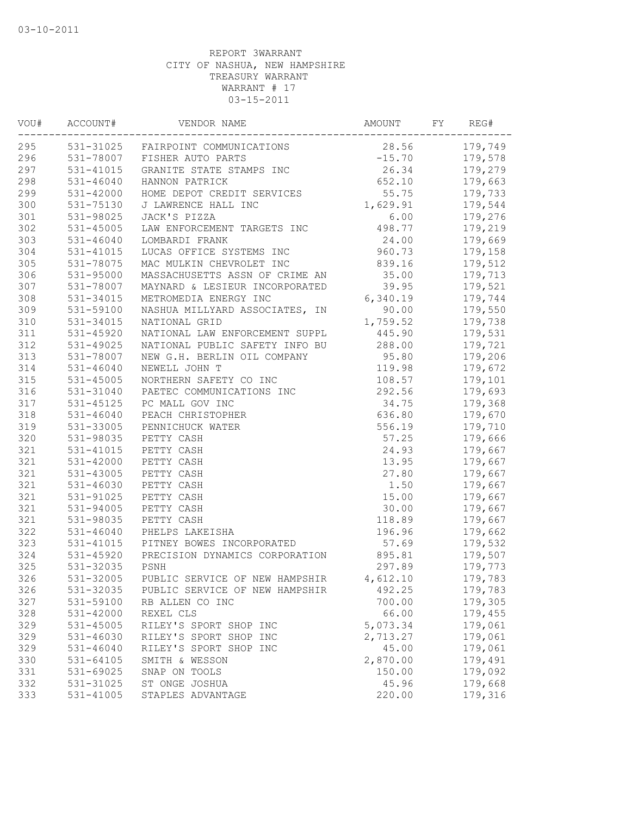| VOU# | ACCOUNT#      | VENDOR NAME                        | AMOUNT   | FY | REG#    |
|------|---------------|------------------------------------|----------|----|---------|
| 295  |               | 531-31025 FAIRPOINT COMMUNICATIONS | 28.56    |    | 179,749 |
| 296  |               | 531-78007 FISHER AUTO PARTS        | $-15.70$ |    | 179,578 |
| 297  | 531-41015     | GRANITE STATE STAMPS INC           | 26.34    |    | 179,279 |
| 298  | $531 - 46040$ | HANNON PATRICK                     | 652.10   |    | 179,663 |
| 299  | $531 - 42000$ | HOME DEPOT CREDIT SERVICES         | 55.75    |    | 179,733 |
| 300  | 531-75130     | J LAWRENCE HALL INC                | 1,629.91 |    | 179,544 |
| 301  | 531-98025     | JACK'S PIZZA                       | 6.00     |    | 179,276 |
| 302  | 531-45005     | LAW ENFORCEMENT TARGETS INC        | 498.77   |    | 179,219 |
| 303  | 531-46040     | LOMBARDI FRANK                     | 24.00    |    | 179,669 |
| 304  | 531-41015     | LUCAS OFFICE SYSTEMS INC           | 960.73   |    | 179,158 |
| 305  | 531-78075     | MAC MULKIN CHEVROLET INC           | 839.16   |    | 179,512 |
| 306  | 531-95000     | MASSACHUSETTS ASSN OF CRIME AN     | 35.00    |    | 179,713 |
| 307  | 531-78007     | MAYNARD & LESIEUR INCORPORATED     | 39.95    |    | 179,521 |
| 308  | 531-34015     | METROMEDIA ENERGY INC              | 6,340.19 |    | 179,744 |
| 309  | 531-59100     | NASHUA MILLYARD ASSOCIATES, IN     | 90.00    |    | 179,550 |
| 310  | 531-34015     | NATIONAL GRID                      | 1,759.52 |    | 179,738 |
| 311  | $531 - 45920$ | NATIONAL LAW ENFORCEMENT SUPPL     | 445.90   |    | 179,531 |
| 312  | 531-49025     | NATIONAL PUBLIC SAFETY INFO BU     | 288.00   |    | 179,721 |
| 313  | 531-78007     | NEW G.H. BERLIN OIL COMPANY        | 95.80    |    | 179,206 |
| 314  | $531 - 46040$ | NEWELL JOHN T                      | 119.98   |    | 179,672 |
| 315  | 531-45005     | NORTHERN SAFETY CO INC             | 108.57   |    | 179,101 |
| 316  | 531-31040     | PAETEC COMMUNICATIONS INC          | 292.56   |    | 179,693 |
| 317  | $531 - 45125$ | PC MALL GOV INC                    | 34.75    |    | 179,368 |
| 318  | $531 - 46040$ | PEACH CHRISTOPHER                  | 636.80   |    | 179,670 |
| 319  | 531-33005     | PENNICHUCK WATER                   | 556.19   |    | 179,710 |
| 320  | 531-98035     | PETTY CASH                         | 57.25    |    | 179,666 |
| 321  | 531-41015     | PETTY CASH                         | 24.93    |    | 179,667 |
| 321  | 531-42000     | PETTY CASH                         | 13.95    |    | 179,667 |
| 321  | 531-43005     | PETTY CASH                         | 27.80    |    | 179,667 |
| 321  | 531-46030     | PETTY CASH                         | 1.50     |    | 179,667 |
| 321  | 531-91025     | PETTY CASH                         | 15.00    |    | 179,667 |
| 321  | 531-94005     | PETTY CASH                         | 30.00    |    | 179,667 |
| 321  | 531-98035     | PETTY CASH                         | 118.89   |    | 179,667 |
| 322  | $531 - 46040$ | PHELPS LAKEISHA                    | 196.96   |    | 179,662 |
| 323  | 531-41015     | PITNEY BOWES INCORPORATED          | 57.69    |    | 179,532 |
| 324  | 531-45920     | PRECISION DYNAMICS CORPORATION     | 895.81   |    | 179,507 |
| 325  | 531-32035     | PSNH                               | 297.89   |    | 179,773 |
| 326  | 531-32005     | PUBLIC SERVICE OF NEW HAMPSHIR     | 4,612.10 |    | 179,783 |
| 326  | 531-32035     | PUBLIC SERVICE OF NEW HAMPSHIR     | 492.25   |    | 179,783 |
| 327  | 531-59100     | RB ALLEN CO INC                    | 700.00   |    | 179,305 |
| 328  | 531-42000     | REXEL CLS                          | 66.00    |    | 179,455 |
| 329  | 531-45005     | RILEY'S SPORT SHOP INC             | 5,073.34 |    | 179,061 |
| 329  | 531-46030     | RILEY'S SPORT SHOP INC             | 2,713.27 |    | 179,061 |
| 329  | $531 - 46040$ | RILEY'S SPORT SHOP INC             | 45.00    |    | 179,061 |
| 330  | 531-64105     | SMITH & WESSON                     | 2,870.00 |    | 179,491 |
| 331  | 531-69025     | SNAP ON TOOLS                      | 150.00   |    | 179,092 |
| 332  | 531-31025     | ST ONGE JOSHUA                     | 45.96    |    | 179,668 |
| 333  | 531-41005     | STAPLES ADVANTAGE                  | 220.00   |    | 179,316 |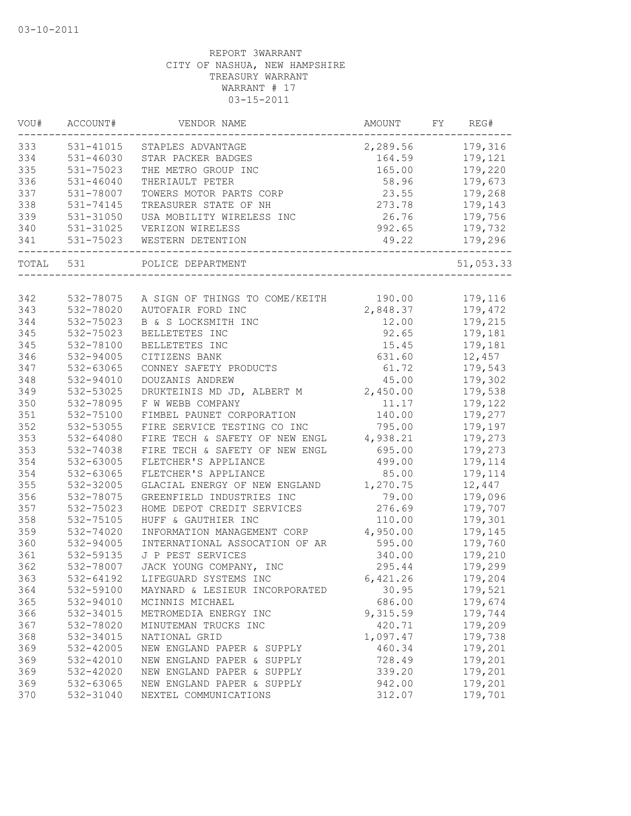| VOU#  | ACCOUNT#      | VENDOR NAME                                     | AMOUNT   | FY. | REG#      |
|-------|---------------|-------------------------------------------------|----------|-----|-----------|
| 333   | 531-41015     | STAPLES ADVANTAGE                               | 2,289.56 |     | 179,316   |
| 334   | 531-46030     | STAR PACKER BADGES                              | 164.59   |     | 179,121   |
| 335   | 531-75023     | THE METRO GROUP INC                             | 165.00   |     | 179,220   |
| 336   | $531 - 46040$ | THERIAULT PETER                                 | 58.96    |     | 179,673   |
| 337   | 531-78007     | TOWERS MOTOR PARTS CORP                         | 23.55    |     | 179,268   |
| 338   | 531-74145     | TREASURER STATE OF NH                           | 273.78   |     | 179,143   |
| 339   | 531-31050     | USA MOBILITY WIRELESS INC                       | 26.76    |     | 179,756   |
| 340   | 531-31025     | VERIZON WIRELESS                                | 992.65   |     | 179,732   |
| 341   | 531-75023     | WESTERN DETENTION                               | 49.22    |     | 179,296   |
| TOTAL | 531           | POLICE DEPARTMENT                               |          |     | 51,053.33 |
|       |               |                                                 |          |     |           |
| 342   |               | 532-78075 A SIGN OF THINGS TO COME/KEITH 190.00 |          |     | 179,116   |
| 343   | 532-78020     | AUTOFAIR FORD INC                               | 2,848.37 |     | 179,472   |
| 344   | 532-75023     | B & S LOCKSMITH INC                             | 12.00    |     | 179,215   |
| 345   | 532-75023     | BELLETETES INC                                  | 92.65    |     | 179,181   |
| 345   | 532-78100     | BELLETETES INC                                  | 15.45    |     | 179,181   |
| 346   | 532-94005     | CITIZENS BANK                                   | 631.60   |     | 12,457    |
| 347   | 532-63065     | CONNEY SAFETY PRODUCTS                          | 61.72    |     | 179,543   |
| 348   | 532-94010     | DOUZANIS ANDREW                                 | 45.00    |     | 179,302   |
| 349   | 532-53025     | DRUKTEINIS MD JD, ALBERT M                      | 2,450.00 |     | 179,538   |
| 350   | 532-78095     | F W WEBB COMPANY                                | 11.17    |     | 179,122   |
| 351   | 532-75100     | FIMBEL PAUNET CORPORATION                       | 140.00   |     | 179,277   |
| 352   | 532-53055     | FIRE SERVICE TESTING CO INC                     | 795.00   |     | 179,197   |
| 353   | 532-64080     | FIRE TECH & SAFETY OF NEW ENGL                  | 4,938.21 |     | 179,273   |
| 353   | 532-74038     | FIRE TECH & SAFETY OF NEW ENGL                  | 695.00   |     | 179,273   |
| 354   | 532-63005     | FLETCHER'S APPLIANCE                            | 499.00   |     | 179,114   |
| 354   | 532-63065     | FLETCHER'S APPLIANCE                            | 85.00    |     | 179,114   |
| 355   | 532-32005     | GLACIAL ENERGY OF NEW ENGLAND                   | 1,270.75 |     | 12,447    |
| 356   | 532-78075     | GREENFIELD INDUSTRIES INC                       | 79.00    |     | 179,096   |
| 357   | 532-75023     | HOME DEPOT CREDIT SERVICES                      | 276.69   |     | 179,707   |
| 358   | 532-75105     | HUFF & GAUTHIER INC                             | 110.00   |     | 179,301   |
| 359   | 532-74020     | INFORMATION MANAGEMENT CORP                     | 4,950.00 |     | 179,145   |
| 360   | 532-94005     | INTERNATIONAL ASSOCATION OF AR                  | 595.00   |     | 179,760   |
| 361   | 532-59135     | J P PEST SERVICES                               | 340.00   |     | 179,210   |
| 362   | 532-78007     | JACK YOUNG COMPANY, INC                         | 295.44   |     | 179,299   |
| 363   | 532-64192     | LIFEGUARD SYSTEMS INC                           | 6,421.26 |     | 179,204   |
| 364   | 532-59100     | MAYNARD & LESIEUR INCORPORATED                  | 30.95    |     | 179,521   |
| 365   | 532-94010     | MCINNIS MICHAEL                                 | 686.00   |     | 179,674   |
| 366   | 532-34015     | METROMEDIA ENERGY INC                           | 9,315.59 |     | 179,744   |
| 367   | 532-78020     | MINUTEMAN TRUCKS INC                            | 420.71   |     | 179,209   |
| 368   | 532-34015     | NATIONAL GRID                                   | 1,097.47 |     | 179,738   |
| 369   | 532-42005     | NEW ENGLAND PAPER & SUPPLY                      | 460.34   |     | 179,201   |
| 369   | 532-42010     | NEW ENGLAND PAPER & SUPPLY                      | 728.49   |     | 179,201   |
| 369   | 532-42020     | NEW ENGLAND PAPER & SUPPLY                      | 339.20   |     | 179,201   |
| 369   | 532-63065     | NEW ENGLAND PAPER & SUPPLY                      | 942.00   |     | 179,201   |
| 370   | 532-31040     | NEXTEL COMMUNICATIONS                           | 312.07   |     | 179,701   |
|       |               |                                                 |          |     |           |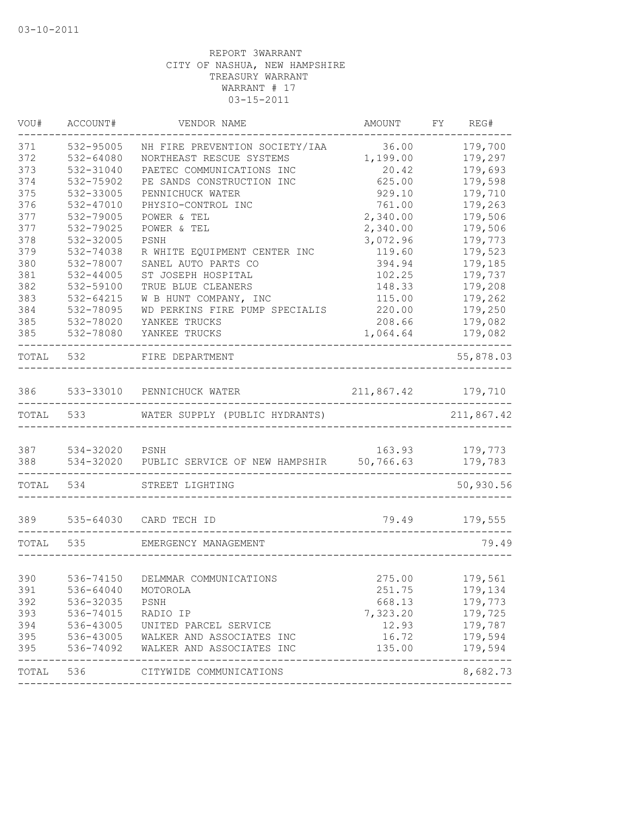| 371<br>532-95005<br>36.00<br>NH FIRE PREVENTION SOCIETY/IAA<br>372<br>1,199.00<br>532-64080<br>NORTHEAST RESCUE SYSTEMS<br>373<br>PAETEC COMMUNICATIONS INC<br>532-31040<br>20.42<br>374<br>625.00<br>532-75902<br>PE SANDS CONSTRUCTION INC<br>375<br>532-33005<br>PENNICHUCK WATER<br>929.10<br>376<br>532-47010<br>761.00<br>PHYSIO-CONTROL INC | 179,700<br>179,297<br>179,693 |
|----------------------------------------------------------------------------------------------------------------------------------------------------------------------------------------------------------------------------------------------------------------------------------------------------------------------------------------------------|-------------------------------|
|                                                                                                                                                                                                                                                                                                                                                    |                               |
|                                                                                                                                                                                                                                                                                                                                                    |                               |
|                                                                                                                                                                                                                                                                                                                                                    |                               |
|                                                                                                                                                                                                                                                                                                                                                    | 179,598                       |
|                                                                                                                                                                                                                                                                                                                                                    | 179,710                       |
|                                                                                                                                                                                                                                                                                                                                                    | 179,263                       |
| 377<br>2,340.00<br>532-79005<br>POWER & TEL                                                                                                                                                                                                                                                                                                        | 179,506                       |
| 377<br>532-79025<br>2,340.00<br>POWER & TEL                                                                                                                                                                                                                                                                                                        | 179,506                       |
| 378<br>3,072.96<br>532-32005<br>PSNH                                                                                                                                                                                                                                                                                                               | 179,773                       |
| 379<br>532-74038<br>R WHITE EQUIPMENT CENTER INC<br>119.60                                                                                                                                                                                                                                                                                         | 179,523                       |
| 380<br>532-78007<br>SANEL AUTO PARTS CO<br>394.94                                                                                                                                                                                                                                                                                                  | 179,185                       |
| 381<br>ST JOSEPH HOSPITAL<br>532-44005<br>102.25                                                                                                                                                                                                                                                                                                   | 179,737                       |
| 382<br>532-59100<br>TRUE BLUE CLEANERS<br>148.33                                                                                                                                                                                                                                                                                                   | 179,208                       |
| 383<br>532-64215<br>W B HUNT COMPANY, INC<br>115.00                                                                                                                                                                                                                                                                                                | 179,262                       |
| 384<br>WD PERKINS FIRE PUMP SPECIALIS<br>532-78095<br>220.00                                                                                                                                                                                                                                                                                       | 179,250                       |
| 385<br>532-78020<br>208.66<br>YANKEE TRUCKS                                                                                                                                                                                                                                                                                                        | 179,082                       |
| 385<br>1,064.64<br>532-78080<br>YANKEE TRUCKS                                                                                                                                                                                                                                                                                                      | 179,082                       |
| TOTAL<br>532<br>FIRE DEPARTMENT                                                                                                                                                                                                                                                                                                                    | 55,878.03                     |
|                                                                                                                                                                                                                                                                                                                                                    |                               |
| 533-33010 PENNICHUCK WATER<br>211,867.42<br>386                                                                                                                                                                                                                                                                                                    | 179,710                       |
| TOTAL<br>533<br>WATER SUPPLY (PUBLIC HYDRANTS)                                                                                                                                                                                                                                                                                                     | 211,867.42                    |
|                                                                                                                                                                                                                                                                                                                                                    |                               |
| 387<br>534-32020 PSNH<br>163.93                                                                                                                                                                                                                                                                                                                    | 179,773                       |
| 388<br>534-32020<br>PUBLIC SERVICE OF NEW HAMPSHIR<br>50,766.63                                                                                                                                                                                                                                                                                    | 179,783                       |
| TOTAL<br>534<br>STREET LIGHTING                                                                                                                                                                                                                                                                                                                    | 50,930.56                     |
| 389<br>535-64030 CARD TECH ID<br>79.49                                                                                                                                                                                                                                                                                                             | 179,555                       |
|                                                                                                                                                                                                                                                                                                                                                    |                               |
| 535<br>TOTAL<br>EMERGENCY MANAGEMENT                                                                                                                                                                                                                                                                                                               | 79.49                         |
|                                                                                                                                                                                                                                                                                                                                                    |                               |
| 390<br>536-74150<br>DELMMAR COMMUNICATIONS<br>275.00                                                                                                                                                                                                                                                                                               | 179,561                       |
| 391<br>536-64040<br>251.75<br>MOTOROLA                                                                                                                                                                                                                                                                                                             | 179,134                       |
| 536-32035<br>392<br>668.13<br>PSNH                                                                                                                                                                                                                                                                                                                 | 179,773                       |
| 393<br>536-74015<br>7,323.20<br>RADIO IP                                                                                                                                                                                                                                                                                                           | 179,725                       |
| 394<br>536-43005<br>12.93<br>UNITED PARCEL SERVICE                                                                                                                                                                                                                                                                                                 | 179,787                       |
| 536-43005<br>395<br>16.72<br>WALKER AND ASSOCIATES INC                                                                                                                                                                                                                                                                                             | 179,594                       |
| 395<br>135.00<br>536-74092<br>WALKER AND ASSOCIATES INC                                                                                                                                                                                                                                                                                            | 179,594                       |
| TOTAL<br>536<br>CITYWIDE COMMUNICATIONS                                                                                                                                                                                                                                                                                                            | 8,682.73                      |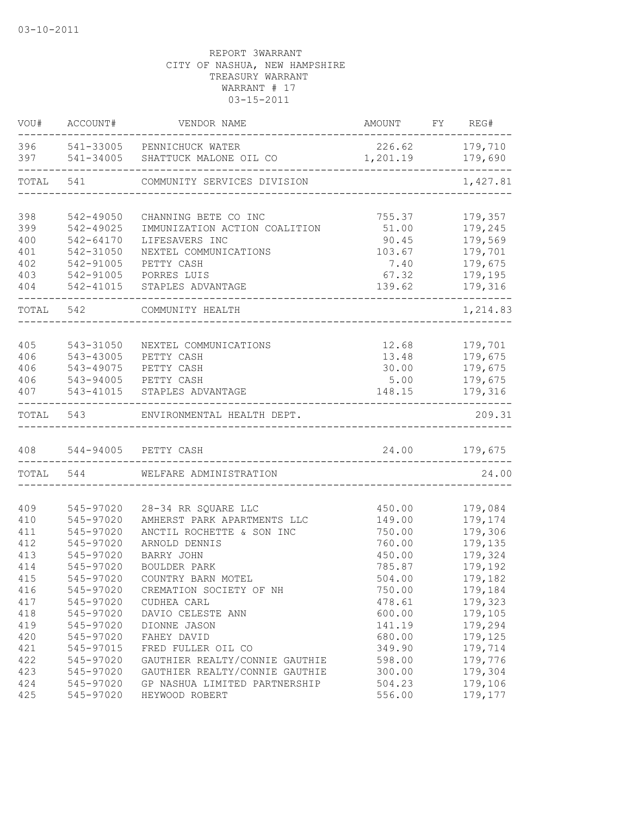| VOU#       | ACCOUNT#  | VENDOR NAME                                                    | AMOUNT         | FY REG#                   |
|------------|-----------|----------------------------------------------------------------|----------------|---------------------------|
| 396<br>397 |           | 541-33005 PENNICHUCK WATER<br>541-34005 SHATTUCK MALONE OIL CO | 1,201.19       | 226.62 179,710<br>179,690 |
| TOTAL      | 541       | ------------<br>COMMUNITY SERVICES DIVISION                    |                | ----------<br>1,427.81    |
|            |           |                                                                |                |                           |
| 398        | 542-49050 | CHANNING BETE CO INC                                           | 755.37         | 179,357                   |
| 399        | 542-49025 | IMMUNIZATION ACTION COALITION                                  | 51.00          | 179,245                   |
| 400        | 542-64170 | LIFESAVERS INC                                                 | 90.45          | 179,569                   |
| 401        | 542-31050 | NEXTEL COMMUNICATIONS                                          | 103.67         | 179,701                   |
| 402        | 542-91005 | PETTY CASH                                                     | 7.40           | 179,675                   |
| 403        | 542-91005 | PORRES LUIS                                                    | 67.32          | 179,195                   |
| 404        | 542-41015 | STAPLES ADVANTAGE                                              | 139.62         | 179,316                   |
|            | TOTAL 542 | COMMUNITY HEALTH                                               |                | 1,214.83                  |
|            |           |                                                                |                |                           |
| 405        | 543-31050 | NEXTEL COMMUNICATIONS                                          | 12.68          | 179,701                   |
| 406        | 543-43005 | PETTY CASH                                                     | 13.48          | 179,675                   |
| 406        | 543-49075 | PETTY CASH                                                     | 30.00          | 179,675                   |
| 406        |           | 543-94005 PETTY CASH                                           | 5.00           | 179,675                   |
| 407        | 543-41015 | STAPLES ADVANTAGE                                              | 148.15         | 179,316                   |
| TOTAL      |           | 543 ENVIRONMENTAL HEALTH DEPT.                                 |                | 209.31                    |
| 408        |           | 544-94005 PETTY CASH                                           |                | 24.00 179,675             |
|            | TOTAL 544 | WELFARE ADMINISTRATION                                         | ______________ | 24.00                     |
|            |           |                                                                |                |                           |
| 409        | 545-97020 | 28-34 RR SQUARE LLC                                            | 450.00         | 179,084                   |
| 410        | 545-97020 | AMHERST PARK APARTMENTS LLC                                    | 149.00         | 179,174                   |
| 411        | 545-97020 | ANCTIL ROCHETTE & SON INC                                      | 750.00         | 179,306                   |
| 412        | 545-97020 | ARNOLD DENNIS                                                  | 760.00         | 179,135                   |
| 413        | 545-97020 | BARRY JOHN                                                     | 450.00         | 179,324                   |
| 414        | 545-97020 | BOULDER PARK                                                   | 785.87         | 179,192                   |
| 415        | 545-97020 | COUNTRY BARN MOTEL                                             | 504.00         | 179,182                   |
| 416        | 545-97020 | CREMATION SOCIETY OF NH                                        | 750.00         | 179,184                   |
| 417        | 545-97020 | CUDHEA CARL                                                    | 478.61         | 179,323                   |
| 418        | 545-97020 | DAVIO CELESTE ANN                                              | 600.00         | 179,105                   |
| 419        | 545-97020 | DIONNE JASON                                                   | 141.19         | 179,294                   |
| 420        | 545-97020 | FAHEY DAVID                                                    | 680.00         | 179,125                   |
| 421        | 545-97015 | FRED FULLER OIL CO                                             | 349.90         | 179,714                   |
| 422        | 545-97020 | GAUTHIER REALTY/CONNIE GAUTHIE                                 | 598.00         | 179,776                   |
| 423        | 545-97020 | GAUTHIER REALTY/CONNIE GAUTHIE                                 | 300.00         | 179,304                   |
| 424        | 545-97020 | GP NASHUA LIMITED PARTNERSHIP                                  | 504.23         | 179,106                   |
| 425        | 545-97020 | HEYWOOD ROBERT                                                 | 556.00         | 179,177                   |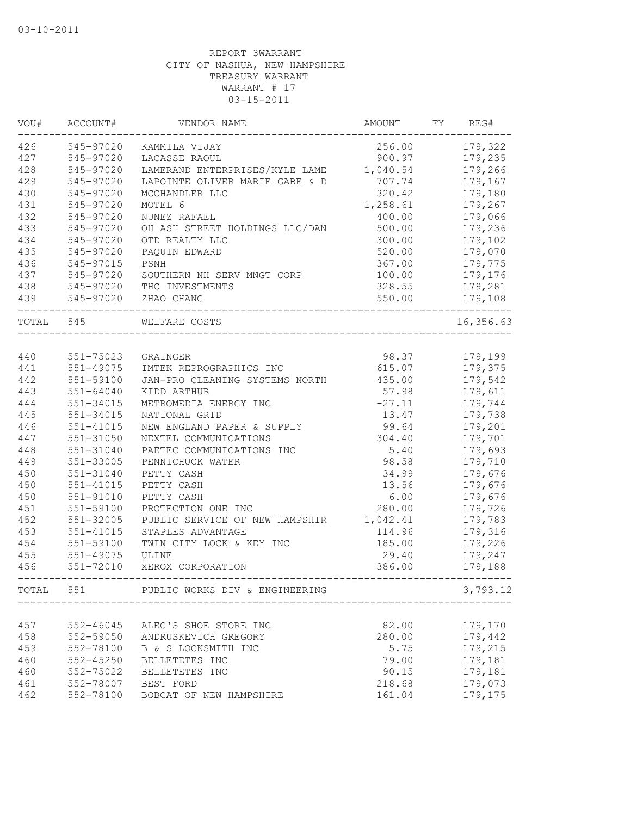| VOU#      | ACCOUNT#      | VENDOR NAME                    | AMOUNT   | FY | REG#      |
|-----------|---------------|--------------------------------|----------|----|-----------|
| 426       | 545-97020     | KAMMILA VIJAY                  | 256.00   |    | 179,322   |
| 427       | 545-97020     | LACASSE RAOUL                  | 900.97   |    | 179,235   |
| 428       | 545-97020     | LAMERAND ENTERPRISES/KYLE LAME | 1,040.54 |    | 179,266   |
| 429       | 545-97020     | LAPOINTE OLIVER MARIE GABE & D | 707.74   |    | 179,167   |
| 430       | 545-97020     | MCCHANDLER LLC                 | 320.42   |    | 179,180   |
| 431       | 545-97020     | MOTEL 6                        | 1,258.61 |    | 179,267   |
| 432       | 545-97020     | NUNEZ RAFAEL                   | 400.00   |    | 179,066   |
| 433       | 545-97020     | OH ASH STREET HOLDINGS LLC/DAN | 500.00   |    | 179,236   |
| 434       | 545-97020     | OTD REALTY LLC                 | 300.00   |    | 179,102   |
| 435       | 545-97020     | PAQUIN EDWARD                  | 520.00   |    | 179,070   |
| 436       | 545-97015     | PSNH                           | 367.00   |    | 179,775   |
| 437       | 545-97020     | SOUTHERN NH SERV MNGT CORP     | 100.00   |    | 179,176   |
| 438       | 545-97020     | THC INVESTMENTS                | 328.55   |    | 179,281   |
| 439       | 545-97020     | ZHAO CHANG                     | 550.00   |    | 179,108   |
| TOTAL 545 |               | WELFARE COSTS                  |          |    | 16,356.63 |
|           |               |                                |          |    |           |
| 440       | 551-75023     | GRAINGER                       | 98.37    |    | 179,199   |
| 441       | 551-49075     | IMTEK REPROGRAPHICS INC        | 615.07   |    | 179,375   |
| 442       | 551-59100     | JAN-PRO CLEANING SYSTEMS NORTH | 435.00   |    | 179,542   |
| 443       | 551-64040     | KIDD ARTHUR                    | 57.98    |    | 179,611   |
| 444       | 551-34015     | METROMEDIA ENERGY INC          | $-27.11$ |    | 179,744   |
| 445       | 551-34015     | NATIONAL GRID                  | 13.47    |    | 179,738   |
| 446       | 551-41015     | NEW ENGLAND PAPER & SUPPLY     | 99.64    |    | 179,201   |
| 447       | 551-31050     | NEXTEL COMMUNICATIONS          | 304.40   |    | 179,701   |
| 448       | 551-31040     | PAETEC COMMUNICATIONS INC      | 5.40     |    | 179,693   |
| 449       | 551-33005     | PENNICHUCK WATER               | 98.58    |    | 179,710   |
| 450       | 551-31040     | PETTY CASH                     | 34.99    |    | 179,676   |
| 450       | 551-41015     | PETTY CASH                     | 13.56    |    | 179,676   |
| 450       | 551-91010     | PETTY CASH                     | 6.00     |    | 179,676   |
| 451       | 551-59100     | PROTECTION ONE INC             | 280.00   |    | 179,726   |
| 452       | 551-32005     | PUBLIC SERVICE OF NEW HAMPSHIR | 1,042.41 |    | 179,783   |
| 453       | 551-41015     | STAPLES ADVANTAGE              | 114.96   |    | 179,316   |
| 454       | 551-59100     | TWIN CITY LOCK & KEY INC       | 185.00   |    | 179,226   |
| 455       | $551 - 49075$ | ULINE                          | 29.40    |    | 179,247   |
| 456       | 551-72010     | XEROX CORPORATION              | 386.00   |    | 179,188   |
| TOTAL     | 551           | PUBLIC WORKS DIV & ENGINEERING |          |    | 3,793.12  |
|           |               |                                |          |    |           |
| 457       | 552-46045     | ALEC'S SHOE STORE INC          | 82.00    |    | 179,170   |
| 458       | 552-59050     | ANDRUSKEVICH GREGORY           | 280.00   |    | 179,442   |
| 459       | 552-78100     | B & S LOCKSMITH INC            | 5.75     |    | 179,215   |
| 460       | $552 - 45250$ | BELLETETES INC                 | 79.00    |    | 179,181   |
| 460       | 552-75022     | BELLETETES INC                 | 90.15    |    | 179,181   |
| 461       | 552-78007     | BEST FORD                      | 218.68   |    | 179,073   |
| 462       | 552-78100     | BOBCAT OF NEW HAMPSHIRE        | 161.04   |    | 179,175   |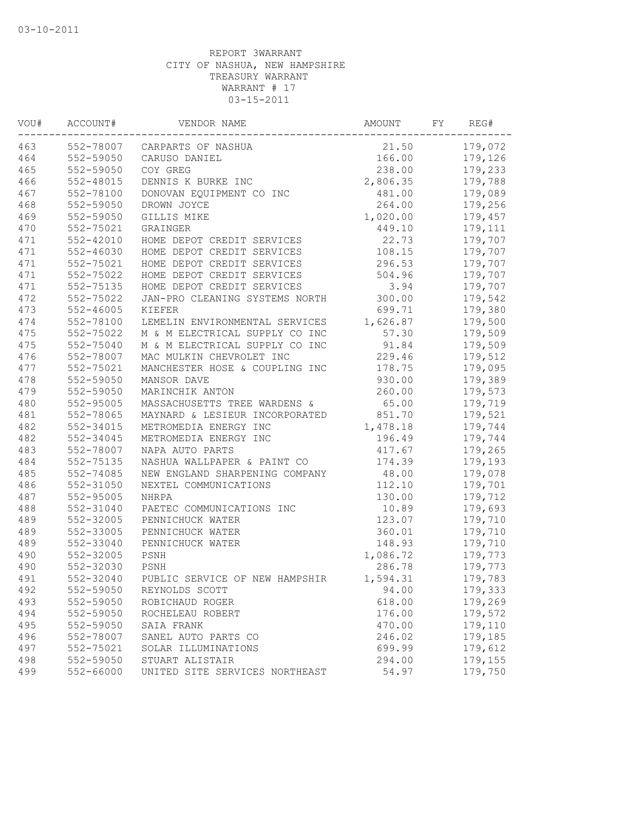| 463<br>552-78007<br>21.50<br>CARPARTS OF NASHUA<br>464<br>552-59050<br>166.00<br>CARUSO DANIEL<br>465<br>552-59050<br>COY GREG<br>238.00<br>466<br>552-48015<br>DENNIS K BURKE INC<br>2,806.35<br>467<br>552-78100<br>DONOVAN EQUIPMENT CO INC<br>481.00<br>468<br>552-59050<br>DROWN JOYCE<br>264.00<br>469<br>552-59050<br>GILLIS MIKE<br>1,020.00<br>470<br>552-75021<br>449.10<br>GRAINGER<br>471<br>552-42010<br>HOME DEPOT CREDIT SERVICES<br>22.73<br>471<br>$552 - 46030$<br>108.15<br>HOME DEPOT CREDIT SERVICES<br>471<br>552-75021<br>HOME DEPOT CREDIT SERVICES<br>296.53<br>471<br>552-75022<br>HOME DEPOT CREDIT SERVICES<br>504.96<br>471<br>HOME DEPOT CREDIT SERVICES<br>3.94<br>552-75135<br>472<br>552-75022<br>JAN-PRO CLEANING SYSTEMS NORTH<br>300.00<br>473<br>699.71<br>$552 - 46005$<br>KIEFER<br>474<br>552-78100<br>1,626.87<br>LEMELIN ENVIRONMENTAL SERVICES<br>57.30<br>475<br>552-75022<br>M & M ELECTRICAL SUPPLY CO INC<br>475<br>552-75040<br>M & M ELECTRICAL SUPPLY CO INC<br>91.84<br>476<br>552-78007<br>MAC MULKIN CHEVROLET INC<br>229.46 |         |
|-----------------------------------------------------------------------------------------------------------------------------------------------------------------------------------------------------------------------------------------------------------------------------------------------------------------------------------------------------------------------------------------------------------------------------------------------------------------------------------------------------------------------------------------------------------------------------------------------------------------------------------------------------------------------------------------------------------------------------------------------------------------------------------------------------------------------------------------------------------------------------------------------------------------------------------------------------------------------------------------------------------------------------------------------------------------------------------|---------|
|                                                                                                                                                                                                                                                                                                                                                                                                                                                                                                                                                                                                                                                                                                                                                                                                                                                                                                                                                                                                                                                                                   | 179,072 |
|                                                                                                                                                                                                                                                                                                                                                                                                                                                                                                                                                                                                                                                                                                                                                                                                                                                                                                                                                                                                                                                                                   | 179,126 |
|                                                                                                                                                                                                                                                                                                                                                                                                                                                                                                                                                                                                                                                                                                                                                                                                                                                                                                                                                                                                                                                                                   | 179,233 |
|                                                                                                                                                                                                                                                                                                                                                                                                                                                                                                                                                                                                                                                                                                                                                                                                                                                                                                                                                                                                                                                                                   | 179,788 |
|                                                                                                                                                                                                                                                                                                                                                                                                                                                                                                                                                                                                                                                                                                                                                                                                                                                                                                                                                                                                                                                                                   | 179,089 |
|                                                                                                                                                                                                                                                                                                                                                                                                                                                                                                                                                                                                                                                                                                                                                                                                                                                                                                                                                                                                                                                                                   | 179,256 |
|                                                                                                                                                                                                                                                                                                                                                                                                                                                                                                                                                                                                                                                                                                                                                                                                                                                                                                                                                                                                                                                                                   | 179,457 |
|                                                                                                                                                                                                                                                                                                                                                                                                                                                                                                                                                                                                                                                                                                                                                                                                                                                                                                                                                                                                                                                                                   | 179,111 |
|                                                                                                                                                                                                                                                                                                                                                                                                                                                                                                                                                                                                                                                                                                                                                                                                                                                                                                                                                                                                                                                                                   | 179,707 |
|                                                                                                                                                                                                                                                                                                                                                                                                                                                                                                                                                                                                                                                                                                                                                                                                                                                                                                                                                                                                                                                                                   | 179,707 |
|                                                                                                                                                                                                                                                                                                                                                                                                                                                                                                                                                                                                                                                                                                                                                                                                                                                                                                                                                                                                                                                                                   | 179,707 |
|                                                                                                                                                                                                                                                                                                                                                                                                                                                                                                                                                                                                                                                                                                                                                                                                                                                                                                                                                                                                                                                                                   | 179,707 |
|                                                                                                                                                                                                                                                                                                                                                                                                                                                                                                                                                                                                                                                                                                                                                                                                                                                                                                                                                                                                                                                                                   | 179,707 |
|                                                                                                                                                                                                                                                                                                                                                                                                                                                                                                                                                                                                                                                                                                                                                                                                                                                                                                                                                                                                                                                                                   | 179,542 |
|                                                                                                                                                                                                                                                                                                                                                                                                                                                                                                                                                                                                                                                                                                                                                                                                                                                                                                                                                                                                                                                                                   | 179,380 |
|                                                                                                                                                                                                                                                                                                                                                                                                                                                                                                                                                                                                                                                                                                                                                                                                                                                                                                                                                                                                                                                                                   | 179,500 |
|                                                                                                                                                                                                                                                                                                                                                                                                                                                                                                                                                                                                                                                                                                                                                                                                                                                                                                                                                                                                                                                                                   | 179,509 |
|                                                                                                                                                                                                                                                                                                                                                                                                                                                                                                                                                                                                                                                                                                                                                                                                                                                                                                                                                                                                                                                                                   | 179,509 |
|                                                                                                                                                                                                                                                                                                                                                                                                                                                                                                                                                                                                                                                                                                                                                                                                                                                                                                                                                                                                                                                                                   | 179,512 |
| 477<br>552-75021<br>MANCHESTER HOSE & COUPLING INC<br>178.75                                                                                                                                                                                                                                                                                                                                                                                                                                                                                                                                                                                                                                                                                                                                                                                                                                                                                                                                                                                                                      | 179,095 |
| 478<br>552-59050<br>930.00<br>MANSOR DAVE                                                                                                                                                                                                                                                                                                                                                                                                                                                                                                                                                                                                                                                                                                                                                                                                                                                                                                                                                                                                                                         | 179,389 |
| 479<br>552-59050<br>260.00<br>MARINCHIK ANTON                                                                                                                                                                                                                                                                                                                                                                                                                                                                                                                                                                                                                                                                                                                                                                                                                                                                                                                                                                                                                                     | 179,573 |
| 480<br>552-95005<br>MASSACHUSETTS TREE WARDENS &<br>65.00                                                                                                                                                                                                                                                                                                                                                                                                                                                                                                                                                                                                                                                                                                                                                                                                                                                                                                                                                                                                                         | 179,719 |
| 481<br>552-78065<br>851.70<br>MAYNARD & LESIEUR INCORPORATED                                                                                                                                                                                                                                                                                                                                                                                                                                                                                                                                                                                                                                                                                                                                                                                                                                                                                                                                                                                                                      | 179,521 |
| 482<br>552-34015<br>METROMEDIA ENERGY INC<br>1,478.18                                                                                                                                                                                                                                                                                                                                                                                                                                                                                                                                                                                                                                                                                                                                                                                                                                                                                                                                                                                                                             | 179,744 |
| 482<br>552-34045<br>196.49<br>METROMEDIA ENERGY INC                                                                                                                                                                                                                                                                                                                                                                                                                                                                                                                                                                                                                                                                                                                                                                                                                                                                                                                                                                                                                               | 179,744 |
| 483<br>552-78007<br>NAPA AUTO PARTS<br>417.67                                                                                                                                                                                                                                                                                                                                                                                                                                                                                                                                                                                                                                                                                                                                                                                                                                                                                                                                                                                                                                     | 179,265 |
| 484<br>552-75135<br>174.39<br>NASHUA WALLPAPER & PAINT CO                                                                                                                                                                                                                                                                                                                                                                                                                                                                                                                                                                                                                                                                                                                                                                                                                                                                                                                                                                                                                         | 179,193 |
| 485<br>552-74085<br>NEW ENGLAND SHARPENING COMPANY<br>48.00                                                                                                                                                                                                                                                                                                                                                                                                                                                                                                                                                                                                                                                                                                                                                                                                                                                                                                                                                                                                                       | 179,078 |
| 486<br>552-31050<br>NEXTEL COMMUNICATIONS<br>112.10                                                                                                                                                                                                                                                                                                                                                                                                                                                                                                                                                                                                                                                                                                                                                                                                                                                                                                                                                                                                                               | 179,701 |
| 487<br>552-95005<br>130.00<br><b>NHRPA</b>                                                                                                                                                                                                                                                                                                                                                                                                                                                                                                                                                                                                                                                                                                                                                                                                                                                                                                                                                                                                                                        | 179,712 |
| 488<br>552-31040<br>PAETEC COMMUNICATIONS INC<br>10.89                                                                                                                                                                                                                                                                                                                                                                                                                                                                                                                                                                                                                                                                                                                                                                                                                                                                                                                                                                                                                            | 179,693 |
| 489<br>552-32005<br>123.07<br>PENNICHUCK WATER                                                                                                                                                                                                                                                                                                                                                                                                                                                                                                                                                                                                                                                                                                                                                                                                                                                                                                                                                                                                                                    | 179,710 |
| 489<br>552-33005<br>360.01<br>PENNICHUCK WATER                                                                                                                                                                                                                                                                                                                                                                                                                                                                                                                                                                                                                                                                                                                                                                                                                                                                                                                                                                                                                                    | 179,710 |
| 489<br>552-33040<br>148.93<br>PENNICHUCK WATER                                                                                                                                                                                                                                                                                                                                                                                                                                                                                                                                                                                                                                                                                                                                                                                                                                                                                                                                                                                                                                    | 179,710 |
| 490<br>552-32005<br>PSNH<br>1,086.72                                                                                                                                                                                                                                                                                                                                                                                                                                                                                                                                                                                                                                                                                                                                                                                                                                                                                                                                                                                                                                              | 179,773 |
| 490<br>552-32030<br>PSNH<br>286.78                                                                                                                                                                                                                                                                                                                                                                                                                                                                                                                                                                                                                                                                                                                                                                                                                                                                                                                                                                                                                                                | 179,773 |
| 491<br>552-32040<br>1,594.31<br>PUBLIC SERVICE OF NEW HAMPSHIR                                                                                                                                                                                                                                                                                                                                                                                                                                                                                                                                                                                                                                                                                                                                                                                                                                                                                                                                                                                                                    | 179,783 |
| 552-59050<br>492<br>REYNOLDS SCOTT<br>94.00                                                                                                                                                                                                                                                                                                                                                                                                                                                                                                                                                                                                                                                                                                                                                                                                                                                                                                                                                                                                                                       | 179,333 |
| 493<br>552-59050<br>ROBICHAUD ROGER<br>618.00                                                                                                                                                                                                                                                                                                                                                                                                                                                                                                                                                                                                                                                                                                                                                                                                                                                                                                                                                                                                                                     | 179,269 |
| 494<br>552-59050<br>176.00<br>ROCHELEAU ROBERT                                                                                                                                                                                                                                                                                                                                                                                                                                                                                                                                                                                                                                                                                                                                                                                                                                                                                                                                                                                                                                    | 179,572 |
| 495<br>552-59050<br>SAIA FRANK<br>470.00                                                                                                                                                                                                                                                                                                                                                                                                                                                                                                                                                                                                                                                                                                                                                                                                                                                                                                                                                                                                                                          | 179,110 |
| 496<br>552-78007<br>SANEL AUTO PARTS CO<br>246.02                                                                                                                                                                                                                                                                                                                                                                                                                                                                                                                                                                                                                                                                                                                                                                                                                                                                                                                                                                                                                                 | 179,185 |
| 497<br>552-75021<br>SOLAR ILLUMINATIONS<br>699.99                                                                                                                                                                                                                                                                                                                                                                                                                                                                                                                                                                                                                                                                                                                                                                                                                                                                                                                                                                                                                                 | 179,612 |
| 498<br>294.00<br>552-59050<br>STUART ALISTAIR                                                                                                                                                                                                                                                                                                                                                                                                                                                                                                                                                                                                                                                                                                                                                                                                                                                                                                                                                                                                                                     | 179,155 |
| 499<br>552-66000<br>UNITED SITE SERVICES NORTHEAST<br>54.97                                                                                                                                                                                                                                                                                                                                                                                                                                                                                                                                                                                                                                                                                                                                                                                                                                                                                                                                                                                                                       | 179,750 |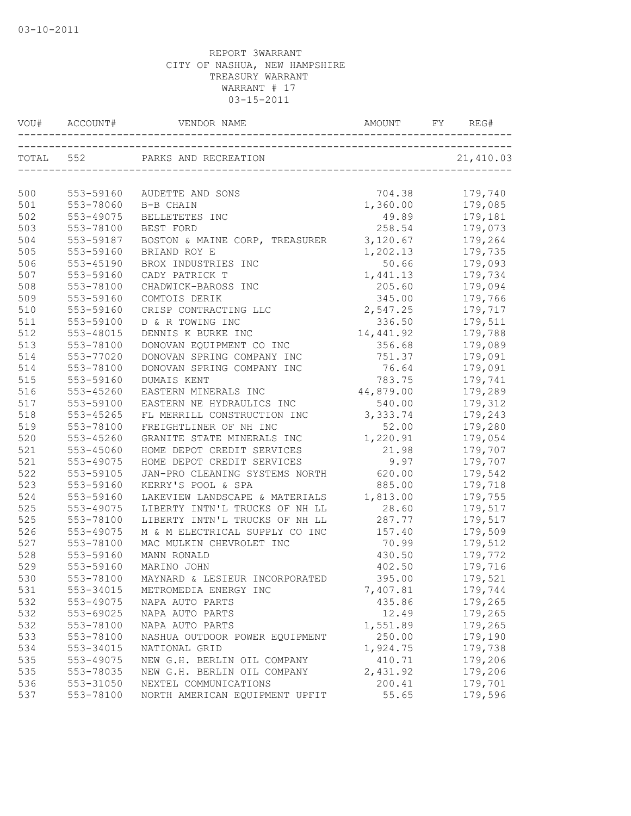| VOU#       |                        |                                | AMOUNT     | REG#      |
|------------|------------------------|--------------------------------|------------|-----------|
|            | TOTAL 552              | PARKS AND RECREATION           |            | 21,410.03 |
|            |                        |                                |            |           |
| 500        | 553-59160              | AUDETTE AND SONS               | 704.38     | 179,740   |
| 501<br>502 | 553-78060              | B-B CHAIN                      | 1,360.00   | 179,085   |
|            | 553-49075              | BELLETETES INC                 | 49.89      | 179,181   |
| 503        | 553-78100<br>553-59187 | BEST FORD                      | 258.54     | 179,073   |
| 504        |                        | BOSTON & MAINE CORP, TREASURER | 3,120.67   | 179,264   |
| 505<br>506 | 553-59160              | BRIAND ROY E                   | 1,202.13   | 179,735   |
|            | 553-45190              | BROX INDUSTRIES INC            | 50.66      | 179,093   |
| 507        | 553-59160              | CADY PATRICK T                 | 1,441.13   | 179,734   |
| 508        | 553-78100              | CHADWICK-BAROSS INC            | 205.60     | 179,094   |
| 509        | 553-59160              | COMTOIS DERIK                  | 345.00     | 179,766   |
| 510        | 553-59160              | CRISP CONTRACTING LLC          | 2,547.25   | 179,717   |
| 511        | 553-59100              | D & R TOWING INC               | 336.50     | 179,511   |
| 512        | 553-48015              | DENNIS K BURKE INC             | 14,441.92  | 179,788   |
| 513        | 553-78100              | DONOVAN EQUIPMENT CO INC       | 356.68     | 179,089   |
| 514        | 553-77020              | DONOVAN SPRING COMPANY INC     | 751.37     | 179,091   |
| 514        | 553-78100              | DONOVAN SPRING COMPANY INC     | 76.64      | 179,091   |
| 515        | 553-59160              | <b>DUMAIS KENT</b>             | 783.75     | 179,741   |
| 516        | 553-45260              | EASTERN MINERALS INC           | 44,879.00  | 179,289   |
| 517        | 553-59100              | EASTERN NE HYDRAULICS INC      | 540.00     | 179,312   |
| 518        | 553-45265              | FL MERRILL CONSTRUCTION INC    | 3, 333. 74 | 179,243   |
| 519        | 553-78100              | FREIGHTLINER OF NH INC         | 52.00      | 179,280   |
| 520        | 553-45260              | GRANITE STATE MINERALS INC     | 1,220.91   | 179,054   |
| 521        | 553-45060              | HOME DEPOT CREDIT SERVICES     | 21.98      | 179,707   |
| 521        | 553-49075              | HOME DEPOT CREDIT SERVICES     | 9.97       | 179,707   |
| 522        | 553-59105              | JAN-PRO CLEANING SYSTEMS NORTH | 620.00     | 179,542   |
| 523        | 553-59160              | KERRY'S POOL & SPA             | 885.00     | 179,718   |
| 524        | 553-59160              | LAKEVIEW LANDSCAPE & MATERIALS | 1,813.00   | 179,755   |
| 525        | 553-49075              | LIBERTY INTN'L TRUCKS OF NH LL | 28.60      | 179,517   |
| 525        | 553-78100              | LIBERTY INTN'L TRUCKS OF NH LL | 287.77     | 179,517   |
| 526        | 553-49075              | M & M ELECTRICAL SUPPLY CO INC | 157.40     | 179,509   |
| 527        | 553-78100              | MAC MULKIN CHEVROLET INC       | 70.99      | 179,512   |
| 528        | 553-59160              | MANN RONALD                    | 430.50     | 179,772   |
| 529        | 553-59160              | MARINO JOHN                    | 402.50     | 179,716   |
| 530        | 553-78100              | MAYNARD & LESIEUR INCORPORATED | 395.00     | 179,521   |
| 531        | 553-34015              | METROMEDIA ENERGY INC          | 7,407.81   | 179,744   |
| 532        | 553-49075              | NAPA AUTO PARTS                | 435.86     | 179,265   |
| 532        | 553-69025              | NAPA AUTO PARTS                | 12.49      | 179,265   |
| 532        | 553-78100              | NAPA AUTO PARTS                | 1,551.89   | 179,265   |
| 533        | 553-78100              | NASHUA OUTDOOR POWER EQUIPMENT | 250.00     | 179,190   |
| 534        | 553-34015              | NATIONAL GRID                  | 1,924.75   | 179,738   |
| 535        | 553-49075              | NEW G.H. BERLIN OIL COMPANY    | 410.71     | 179,206   |
| 535        | 553-78035              | NEW G.H. BERLIN OIL COMPANY    | 2,431.92   | 179,206   |
| 536        | 553-31050              | NEXTEL COMMUNICATIONS          | 200.41     | 179,701   |
| 537        | 553-78100              | NORTH AMERICAN EQUIPMENT UPFIT | 55.65      | 179,596   |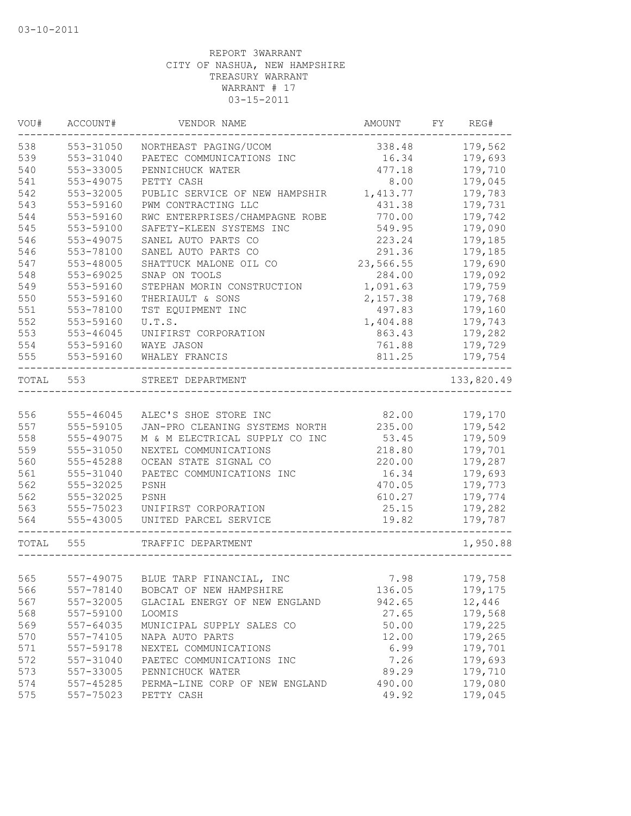| VOU#  | ACCOUNT#      | VENDOR NAME                        | AMOUNT    | FY REG#    |
|-------|---------------|------------------------------------|-----------|------------|
| 538   | 553-31050     | NORTHEAST PAGING/UCOM              | 338.48    | 179,562    |
| 539   | 553-31040     | PAETEC COMMUNICATIONS INC          | 16.34     | 179,693    |
| 540   | 553-33005     | PENNICHUCK WATER                   | 477.18    | 179,710    |
| 541   | 553-49075     | PETTY CASH                         | 8.00      | 179,045    |
| 542   | 553-32005     | PUBLIC SERVICE OF NEW HAMPSHIR     | 1,413.77  | 179,783    |
| 543   | 553-59160     | PWM CONTRACTING LLC                | 431.38    | 179,731    |
| 544   | 553-59160     | RWC ENTERPRISES/CHAMPAGNE ROBE     | 770.00    | 179,742    |
| 545   | 553-59100     | SAFETY-KLEEN SYSTEMS INC           | 549.95    | 179,090    |
| 546   | 553-49075     | SANEL AUTO PARTS CO                | 223.24    | 179,185    |
| 546   | 553-78100     | SANEL AUTO PARTS CO                | 291.36    | 179,185    |
| 547   | 553-48005     | SHATTUCK MALONE OIL CO             | 23,566.55 | 179,690    |
| 548   | 553-69025     | SNAP ON TOOLS                      | 284.00    | 179,092    |
| 549   | 553-59160     | STEPHAN MORIN CONSTRUCTION         | 1,091.63  | 179,759    |
| 550   | 553-59160     | THERIAULT & SONS                   | 2,157.38  | 179,768    |
| 551   | 553-78100     | TST EQUIPMENT INC                  | 497.83    | 179,160    |
| 552   | 553-59160     | U.T.S.                             | 1,404.88  | 179,743    |
| 553   | $553 - 46045$ | UNIFIRST CORPORATION               | 863.43    | 179,282    |
| 554   | 553-59160     | WAYE JASON                         | 761.88    | 179,729    |
| 555   | 553-59160     | WHALEY FRANCIS                     | 811.25    | 179,754    |
| TOTAL | 553           | STREET DEPARTMENT                  |           | 133,820.49 |
|       |               |                                    |           |            |
| 556   | 555-46045     | ALEC'S SHOE STORE INC              | 82.00     | 179,170    |
| 557   | 555-59105     | JAN-PRO CLEANING SYSTEMS NORTH     | 235.00    | 179,542    |
| 558   | 555-49075     | M & M ELECTRICAL SUPPLY CO INC     | 53.45     | 179,509    |
| 559   | 555-31050     | NEXTEL COMMUNICATIONS              | 218.80    | 179,701    |
| 560   | 555-45288     | OCEAN STATE SIGNAL CO              | 220.00    | 179,287    |
| 561   | 555-31040     | PAETEC COMMUNICATIONS INC          | 16.34     | 179,693    |
| 562   | 555-32025     | PSNH                               | 470.05    | 179,773    |
| 562   | 555-32025     | PSNH                               | 610.27    | 179,774    |
| 563   | 555-75023     | UNIFIRST CORPORATION               | 25.15     | 179,282    |
| 564   | 555-43005     | UNITED PARCEL SERVICE              | 19.82     | 179,787    |
| TOTAL | 555           | TRAFFIC DEPARTMENT                 |           | 1,950.88   |
|       |               |                                    |           |            |
| 565   |               | 557-49075 BLUE TARP FINANCIAL, INC | 7.98      | 179,758    |
| 566   | 557-78140     | BOBCAT OF NEW HAMPSHIRE            | 136.05    | 179,175    |
| 567   | 557-32005     | GLACIAL ENERGY OF NEW ENGLAND      | 942.65    | 12,446     |
| 568   | 557-59100     | LOOMIS                             | 27.65     | 179,568    |
| 569   | 557-64035     | MUNICIPAL SUPPLY SALES CO          | 50.00     | 179,225    |
| 570   | 557-74105     | NAPA AUTO PARTS                    | 12.00     | 179,265    |
| 571   | 557-59178     | NEXTEL COMMUNICATIONS              | 6.99      | 179,701    |
| 572   | 557-31040     | PAETEC COMMUNICATIONS INC          | 7.26      | 179,693    |
| 573   | 557-33005     | PENNICHUCK WATER                   | 89.29     | 179,710    |
| 574   | 557-45285     | PERMA-LINE CORP OF NEW ENGLAND     | 490.00    | 179,080    |
| 575   | 557-75023     | PETTY CASH                         | 49.92     | 179,045    |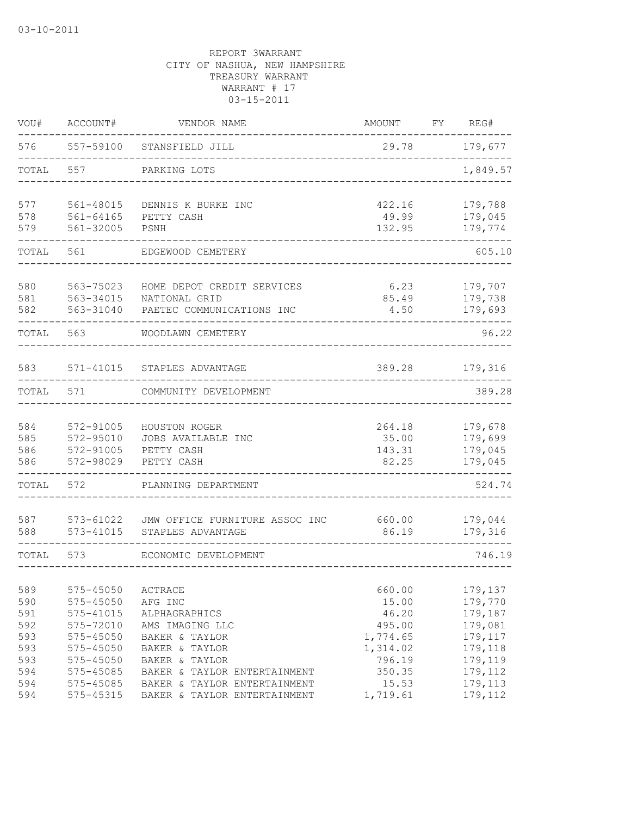| VOU#       | ACCOUNT#                   | VENDOR NAME                                                    | AMOUNT          | FY | REG#               |
|------------|----------------------------|----------------------------------------------------------------|-----------------|----|--------------------|
| 576        |                            | 557-59100 STANSFIELD JILL                                      | 29.78           |    | 179,677            |
| TOTAL      | 557                        | PARKING LOTS                                                   |                 |    | 1,849.57           |
| 577<br>578 | 561-48015<br>$561 - 64165$ | DENNIS K BURKE INC                                             | 422.16<br>49.99 |    | 179,788<br>179,045 |
| 579        | 561-32005                  | PETTY CASH<br>PSNH                                             | 132.95          |    | 179,774            |
| TOTAL      | 561                        | EDGEWOOD CEMETERY                                              |                 |    | 605.10             |
| 580        | 563-75023                  | HOME DEPOT CREDIT SERVICES                                     | 6.23            |    | 179,707            |
| 581<br>582 |                            | 563-34015 NATIONAL GRID<br>563-31040 PAETEC COMMUNICATIONS INC | 85.49<br>4.50   |    | 179,738<br>179,693 |
| TOTAL      | 563                        | WOODLAWN CEMETERY                                              |                 |    | 96.22              |
| 583        |                            | 571-41015 STAPLES ADVANTAGE                                    | 389.28          |    | 179,316            |
| TOTAL      | 571                        | COMMUNITY DEVELOPMENT                                          |                 |    | 389.28             |
| 584        | 572-91005                  | HOUSTON ROGER                                                  | 264.18          |    | 179,678            |
| 585<br>586 | 572-95010<br>572-91005     | JOBS AVAILABLE INC<br>PETTY CASH                               | 35.00<br>143.31 |    | 179,699<br>179,045 |
| 586        | 572-98029                  | PETTY CASH                                                     | 82.25           |    | 179,045            |
| TOTAL      | 572                        | PLANNING DEPARTMENT                                            |                 |    | 524.74             |
| 587        | 573-61022                  | JMW OFFICE FURNITURE ASSOC INC 660.00                          |                 |    | 179,044            |
| 588        | 573-41015                  | STAPLES ADVANTAGE                                              | 86.19           |    | 179,316            |
| TOTAL      | 573                        | ECONOMIC DEVELOPMENT                                           |                 |    | 746.19             |
| 589        | $575 - 45050$              | ACTRACE                                                        | 660.00          |    | 179,137            |
| 590<br>591 | 575-45050<br>575-41015     | AFG INC<br>ALPHAGRAPHICS                                       | 15.00<br>46.20  |    | 179,770<br>179,187 |
| 592        | 575-72010                  | AMS IMAGING LLC                                                | 495.00          |    | 179,081            |
| 593        | 575-45050                  | BAKER & TAYLOR                                                 | 1,774.65        |    | 179,117            |
| 593        | $575 - 45050$              | BAKER & TAYLOR                                                 | 1,314.02        |    | 179,118            |
| 593        | 575-45050                  | BAKER & TAYLOR                                                 | 796.19          |    | 179,119            |
| 594<br>594 | 575-45085<br>575-45085     | BAKER & TAYLOR ENTERTAINMENT<br>BAKER & TAYLOR ENTERTAINMENT   | 350.35<br>15.53 |    | 179,112<br>179,113 |
| 594        | 575-45315                  | BAKER & TAYLOR ENTERTAINMENT                                   | 1,719.61        |    | 179,112            |
|            |                            |                                                                |                 |    |                    |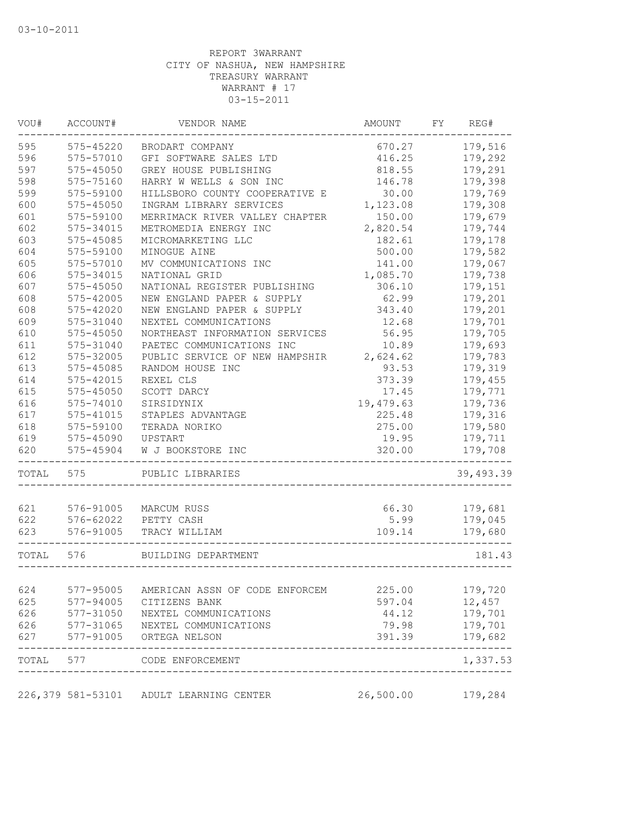| VOU#       | ACCOUNT#                            | VENDOR NAME                             | AMOUNT    | FY. | REG#                   |
|------------|-------------------------------------|-----------------------------------------|-----------|-----|------------------------|
| 595        | 575-45220                           | BRODART COMPANY                         | 670.27    |     | 179,516                |
| 596        | 575-57010                           | GFI SOFTWARE SALES LTD                  | 416.25    |     | 179,292                |
| 597        | 575-45050                           | GREY HOUSE PUBLISHING                   | 818.55    |     | 179,291                |
| 598        | 575-75160                           | HARRY W WELLS & SON INC                 | 146.78    |     | 179,398                |
| 599        | 575-59100                           | HILLSBORO COUNTY COOPERATIVE E          | 30.00     |     | 179,769                |
| 600        | 575-45050                           | INGRAM LIBRARY SERVICES                 | 1,123.08  |     | 179,308                |
| 601        | 575-59100                           | MERRIMACK RIVER VALLEY CHAPTER          | 150.00    |     | 179,679                |
| 602        | 575-34015                           | METROMEDIA ENERGY INC                   | 2,820.54  |     | 179,744                |
| 603        | 575-45085                           | MICROMARKETING LLC                      | 182.61    |     | 179,178                |
| 604        | 575-59100                           | MINOGUE AINE                            | 500.00    |     | 179,582                |
| 605        | 575-57010                           | MV COMMUNICATIONS INC                   | 141.00    |     | 179,067                |
| 606        | 575-34015                           | NATIONAL GRID                           | 1,085.70  |     | 179,738                |
| 607        | 575-45050                           | NATIONAL REGISTER PUBLISHING            | 306.10    |     | 179,151                |
| 608        | 575-42005                           | NEW ENGLAND PAPER & SUPPLY              | 62.99     |     | 179,201                |
| 608        | 575-42020                           | NEW ENGLAND PAPER & SUPPLY              | 343.40    |     | 179,201                |
| 609        | 575-31040                           | NEXTEL COMMUNICATIONS                   | 12.68     |     | 179,701                |
| 610        | 575-45050                           | NORTHEAST INFORMATION SERVICES          | 56.95     |     | 179,705                |
| 611        | 575-31040                           | PAETEC COMMUNICATIONS INC               | 10.89     |     | 179,693                |
| 612        | 575-32005                           | PUBLIC SERVICE OF NEW HAMPSHIR          | 2,624.62  |     | 179,783                |
| 613        | 575-45085                           | RANDOM HOUSE INC                        | 93.53     |     | 179,319                |
| 614        | 575-42015                           | REXEL CLS                               | 373.39    |     | 179,455                |
| 615        | 575-45050                           | SCOTT DARCY                             | 17.45     |     | 179,771                |
| 616        | 575-74010                           | SIRSIDYNIX                              | 19,479.63 |     | 179,736                |
| 617        |                                     | STAPLES ADVANTAGE                       |           |     |                        |
|            | 575-41015                           |                                         | 225.48    |     | 179,316                |
| 618        | 575-59100                           | TERADA NORIKO                           | 275.00    |     | 179,580                |
| 619        | 575-45090                           | UPSTART                                 | 19.95     |     | 179,711                |
| 620        | 575-45904                           | W J BOOKSTORE INC                       | 320.00    |     | 179,708                |
| TOTAL      | 575                                 | PUBLIC LIBRARIES                        |           |     | 39,493.39              |
| 621        | 576-91005                           | MARCUM RUSS                             | 66.30     |     | 179,681                |
| 622        | 576-62022                           | PETTY CASH                              | 5.99      |     | 179,045                |
| 623        | 576-91005                           | TRACY WILLIAM                           | 109.14    |     | 179,680                |
|            |                                     |                                         |           |     |                        |
| TOTAL      | 576                                 | BUILDING DEPARTMENT                     |           |     | 181.43                 |
|            | 577-95005                           | AMERICAN ASSN OF CODE ENFORCEM          |           |     | 179,720                |
| 624<br>625 |                                     | CITIZENS BANK                           | 225.00    |     |                        |
|            | 577-94005                           |                                         | 597.04    |     | 12,457                 |
| 626        |                                     | NEXTEL COMMUNICATIONS                   | 44.12     |     | 179,701                |
| 626        | 577-31050<br>577-31065<br>577-91005 | NEXTEL COMMUNICATIONS                   | 79.98     |     | 179,701                |
| 627        |                                     | ORTEGA NELSON                           | 391.39    |     | 179,682<br>$- - - - -$ |
|            |                                     | TOTAL 577 CODE ENFORCEMENT              |           |     | 1,337.53               |
|            |                                     | 226,379 581-53101 ADULT LEARNING CENTER | 26,500.00 |     | 179,284                |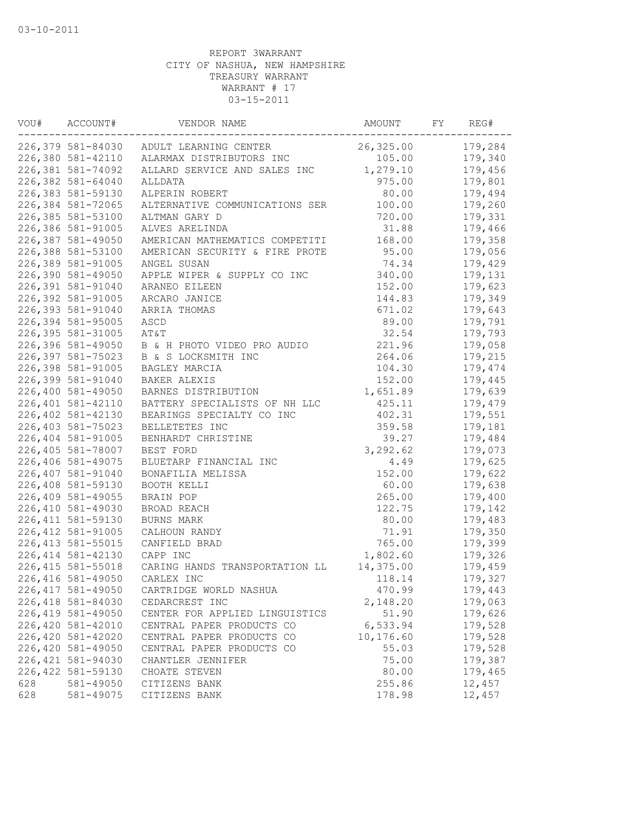| VOU# | ACCOUNT#           | VENDOR NAME                             | AMOUNT    | FY | REG#    |
|------|--------------------|-----------------------------------------|-----------|----|---------|
|      |                    | 226,379 581-84030 ADULT LEARNING CENTER | 26,325.00 |    | 179,284 |
|      | 226,380 581-42110  | ALARMAX DISTRIBUTORS INC                | 105.00    |    | 179,340 |
|      | 226,381 581-74092  | ALLARD SERVICE AND SALES INC            | 1,279.10  |    | 179,456 |
|      | 226,382 581-64040  | ALLDATA                                 | 975.00    |    | 179,801 |
|      | 226,383 581-59130  | ALPERIN ROBERT                          | 80.00     |    | 179,494 |
|      | 226,384 581-72065  | ALTERNATIVE COMMUNICATIONS SER          | 100.00    |    | 179,260 |
|      | 226,385 581-53100  | ALTMAN GARY D                           | 720.00    |    | 179,331 |
|      | 226,386 581-91005  | ALVES ARELINDA                          | 31.88     |    | 179,466 |
|      | 226,387 581-49050  | AMERICAN MATHEMATICS COMPETITI          | 168.00    |    | 179,358 |
|      | 226,388 581-53100  | AMERICAN SECURITY & FIRE PROTE          | 95.00     |    | 179,056 |
|      | 226,389 581-91005  | ANGEL SUSAN                             | 74.34     |    | 179,429 |
|      | 226,390 581-49050  | APPLE WIPER & SUPPLY CO INC             | 340.00    |    | 179,131 |
|      | 226,391 581-91040  | ARANEO EILEEN                           | 152.00    |    | 179,623 |
|      | 226,392 581-91005  | ARCARO JANICE                           | 144.83    |    | 179,349 |
|      | 226,393 581-91040  | ARRIA THOMAS                            | 671.02    |    | 179,643 |
|      | 226,394 581-95005  | ASCD                                    | 89.00     |    | 179,791 |
|      | 226,395 581-31005  | AT&T                                    | 32.54     |    | 179,793 |
|      | 226,396 581-49050  | B & H PHOTO VIDEO PRO AUDIO             | 221.96    |    | 179,058 |
|      | 226,397 581-75023  | B & S LOCKSMITH INC                     | 264.06    |    | 179,215 |
|      | 226,398 581-91005  | BAGLEY MARCIA                           | 104.30    |    | 179,474 |
|      | 226,399 581-91040  | <b>BAKER ALEXIS</b>                     | 152.00    |    | 179,445 |
|      | 226,400 581-49050  | BARNES DISTRIBUTION                     | 1,651.89  |    | 179,639 |
|      | 226,401 581-42110  | BATTERY SPECIALISTS OF NH LLC           | 425.11    |    | 179,479 |
|      | 226,402 581-42130  | BEARINGS SPECIALTY CO INC               | 402.31    |    | 179,551 |
|      | 226,403 581-75023  | BELLETETES INC                          | 359.58    |    | 179,181 |
|      | 226,404 581-91005  | BENHARDT CHRISTINE                      | 39.27     |    | 179,484 |
|      | 226,405 581-78007  | BEST FORD                               | 3,292.62  |    | 179,073 |
|      | 226,406 581-49075  | BLUETARP FINANCIAL INC                  | 4.49      |    | 179,625 |
|      | 226,407 581-91040  | BONAFILIA MELISSA                       | 152.00    |    | 179,622 |
|      | 226,408 581-59130  | BOOTH KELLI                             | 60.00     |    | 179,638 |
|      | 226,409 581-49055  | BRAIN POP                               | 265.00    |    | 179,400 |
|      | 226,410 581-49030  | BROAD REACH                             | 122.75    |    | 179,142 |
|      | 226, 411 581-59130 | BURNS MARK                              | 80.00     |    | 179,483 |
|      | 226, 412 581-91005 | CALHOUN RANDY                           | 71.91     |    | 179,350 |
|      | 226, 413 581-55015 | CANFIELD BRAD                           | 765.00    |    | 179,399 |
|      | 226, 414 581-42130 | CAPP INC                                | 1,802.60  |    | 179,326 |
|      | 226, 415 581-55018 | CARING HANDS TRANSPORTATION LL          | 14,375.00 |    | 179,459 |
|      | 226,416 581-49050  | CARLEX INC                              | 118.14    |    | 179,327 |
|      | 226, 417 581-49050 | CARTRIDGE WORLD NASHUA                  | 470.99    |    | 179,443 |
|      | 226,418 581-84030  | CEDARCREST INC                          | 2,148.20  |    | 179,063 |
|      | 226, 419 581-49050 | CENTER FOR APPLIED LINGUISTICS          | 51.90     |    | 179,626 |
|      | 226,420 581-42010  | CENTRAL PAPER PRODUCTS CO               | 6,533.94  |    | 179,528 |
|      | 226,420 581-42020  | CENTRAL PAPER PRODUCTS CO               | 10,176.60 |    | 179,528 |
|      | 226,420 581-49050  | CENTRAL PAPER PRODUCTS CO               | 55.03     |    | 179,528 |
|      | 226, 421 581-94030 | CHANTLER JENNIFER                       | 75.00     |    | 179,387 |
|      | 226, 422 581-59130 | CHOATE STEVEN                           | 80.00     |    | 179,465 |
| 628  | 581-49050          | CITIZENS BANK                           | 255.86    |    | 12,457  |
| 628  | 581-49075          | CITIZENS BANK                           | 178.98    |    | 12,457  |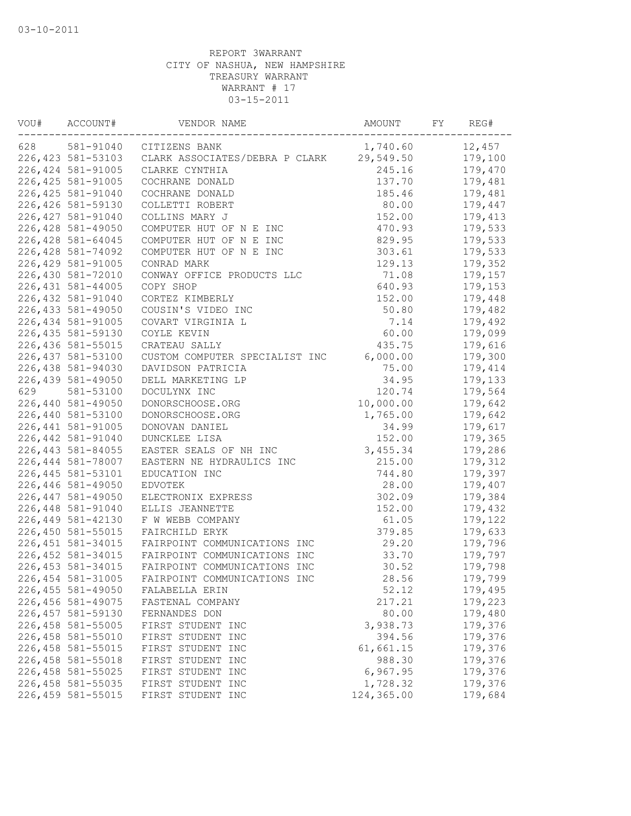| VOU# | ACCOUNT#           | VENDOR NAME                              | AMOUNT     | FY | REG#    |
|------|--------------------|------------------------------------------|------------|----|---------|
| 628  | 581-91040          | CITIZENS BANK                            | 1,740.60   |    | 12,457  |
|      | 226, 423 581-53103 | CLARK ASSOCIATES/DEBRA P CLARK 29,549.50 |            |    | 179,100 |
|      | 226, 424 581-91005 | CLARKE CYNTHIA                           | 245.16     |    | 179,470 |
|      | 226, 425 581-91005 | COCHRANE DONALD                          | 137.70     |    | 179,481 |
|      | 226, 425 581-91040 | COCHRANE DONALD                          | 185.46     |    | 179,481 |
|      | 226,426 581-59130  | COLLETTI ROBERT                          | 80.00      |    | 179,447 |
|      | 226, 427 581-91040 | COLLINS MARY J                           | 152.00     |    | 179,413 |
|      | 226,428 581-49050  | COMPUTER HUT OF N E INC                  | 470.93     |    | 179,533 |
|      | 226,428 581-64045  | COMPUTER HUT OF N E INC                  | 829.95     |    | 179,533 |
|      | 226,428 581-74092  | COMPUTER HUT OF N E INC                  | 303.61     |    | 179,533 |
|      | 226,429 581-91005  | CONRAD MARK                              | 129.13     |    | 179,352 |
|      | 226,430 581-72010  | CONWAY OFFICE PRODUCTS LLC               | 71.08      |    | 179,157 |
|      | 226, 431 581-44005 | COPY SHOP                                | 640.93     |    | 179,153 |
|      | 226,432 581-91040  | CORTEZ KIMBERLY                          | 152.00     |    | 179,448 |
|      | 226, 433 581-49050 | COUSIN'S VIDEO INC                       | 50.80      |    | 179,482 |
|      | 226,434 581-91005  | COVART VIRGINIA L                        | 7.14       |    | 179,492 |
|      | 226, 435 581-59130 | COYLE KEVIN                              | 60.00      |    | 179,099 |
|      | 226,436 581-55015  | CRATEAU SALLY                            | 435.75     |    | 179,616 |
|      | 226, 437 581-53100 | CUSTOM COMPUTER SPECIALIST INC           | 6,000.00   |    | 179,300 |
|      | 226,438 581-94030  | DAVIDSON PATRICIA                        | 75.00      |    | 179,414 |
|      | 226,439 581-49050  | DELL MARKETING LP                        | 34.95      |    | 179,133 |
| 629  | 581-53100          | DOCULYNX INC                             | 120.74     |    | 179,564 |
|      | 226,440 581-49050  | DONORSCHOOSE.ORG                         | 10,000.00  |    | 179,642 |
|      | 226,440 581-53100  | DONORSCHOOSE.ORG                         | 1,765.00   |    | 179,642 |
|      | 226, 441 581-91005 | DONOVAN DANIEL                           | 34.99      |    | 179,617 |
|      | 226,442 581-91040  | DUNCKLEE LISA                            | 152.00     |    | 179,365 |
|      | 226, 443 581-84055 | EASTER SEALS OF NH INC                   | 3,455.34   |    | 179,286 |
|      | 226,444 581-78007  | EASTERN NE HYDRAULICS INC                | 215.00     |    | 179,312 |
|      | 226, 445 581-53101 | EDUCATION INC                            | 744.80     |    | 179,397 |
|      | 226,446 581-49050  | <b>EDVOTEK</b>                           | 28.00      |    | 179,407 |
|      | 226,447 581-49050  | ELECTRONIX EXPRESS                       | 302.09     |    | 179,384 |
|      | 226,448 581-91040  | ELLIS JEANNETTE                          | 152.00     |    | 179,432 |
|      | 226,449 581-42130  | F W WEBB COMPANY                         | 61.05      |    | 179,122 |
|      | 226,450 581-55015  | FAIRCHILD ERYK                           | 379.85     |    | 179,633 |
|      | 226, 451 581-34015 | FAIRPOINT COMMUNICATIONS INC             | 29.20      |    | 179,796 |
|      | 226, 452 581-34015 | FAIRPOINT COMMUNICATIONS INC             | 33.70      |    | 179,797 |
|      | 226, 453 581-34015 | FAIRPOINT COMMUNICATIONS INC             | 30.52      |    | 179,798 |
|      | 226,454 581-31005  | FAIRPOINT COMMUNICATIONS INC             | 28.56      |    | 179,799 |
|      | 226,455 581-49050  | FALABELLA ERIN                           | 52.12      |    | 179,495 |
|      | 226,456 581-49075  | FASTENAL COMPANY                         | 217.21     |    | 179,223 |
|      | 226, 457 581-59130 | FERNANDES DON                            | 80.00      |    | 179,480 |
|      | 226,458 581-55005  | FIRST STUDENT INC                        | 3,938.73   |    | 179,376 |
|      | 226,458 581-55010  | FIRST STUDENT INC                        | 394.56     |    | 179,376 |
|      | 226,458 581-55015  | FIRST STUDENT INC                        | 61,661.15  |    | 179,376 |
|      | 226,458 581-55018  | FIRST STUDENT INC                        | 988.30     |    | 179,376 |
|      | 226,458 581-55025  | FIRST STUDENT INC                        | 6,967.95   |    | 179,376 |
|      | 226,458 581-55035  | FIRST STUDENT INC                        | 1,728.32   |    | 179,376 |
|      | 226,459 581-55015  | FIRST STUDENT INC                        | 124,365.00 |    | 179,684 |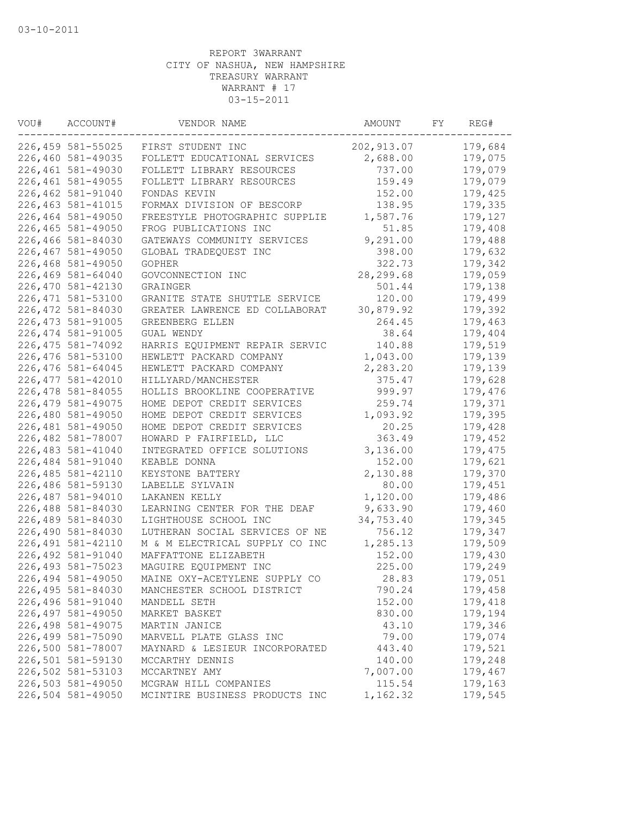| VOU# | ACCOUNT#           | VENDOR NAME                    | AMOUNT      | FY | REG#    |
|------|--------------------|--------------------------------|-------------|----|---------|
|      | 226,459 581-55025  | FIRST STUDENT INC              | 202, 913.07 |    | 179,684 |
|      | 226,460 581-49035  | FOLLETT EDUCATIONAL SERVICES   | 2,688.00    |    | 179,075 |
|      | 226,461 581-49030  | FOLLETT LIBRARY RESOURCES      | 737.00      |    | 179,079 |
|      | 226,461 581-49055  | FOLLETT LIBRARY RESOURCES      | 159.49      |    | 179,079 |
|      | 226,462 581-91040  | FONDAS KEVIN                   | 152.00      |    | 179,425 |
|      | 226, 463 581-41015 | FORMAX DIVISION OF BESCORP     | 138.95      |    | 179,335 |
|      | 226,464 581-49050  | FREESTYLE PHOTOGRAPHIC SUPPLIE | 1,587.76    |    | 179,127 |
|      | 226,465 581-49050  | FROG PUBLICATIONS INC          | 51.85       |    | 179,408 |
|      | 226,466 581-84030  | GATEWAYS COMMUNITY SERVICES    | 9,291.00    |    | 179,488 |
|      | 226,467 581-49050  | GLOBAL TRADEQUEST INC          | 398.00      |    | 179,632 |
|      | 226,468 581-49050  | <b>GOPHER</b>                  | 322.73      |    | 179,342 |
|      | 226,469 581-64040  | GOVCONNECTION INC              | 28, 299.68  |    | 179,059 |
|      | 226,470 581-42130  | GRAINGER                       | 501.44      |    | 179,138 |
|      | 226, 471 581-53100 | GRANITE STATE SHUTTLE SERVICE  | 120.00      |    | 179,499 |
|      | 226,472 581-84030  | GREATER LAWRENCE ED COLLABORAT | 30,879.92   |    | 179,392 |
|      | 226, 473 581-91005 | GREENBERG ELLEN                | 264.45      |    | 179,463 |
|      | 226, 474 581-91005 | GUAL WENDY                     | 38.64       |    | 179,404 |
|      | 226, 475 581-74092 | HARRIS EQUIPMENT REPAIR SERVIC | 140.88      |    | 179,519 |
|      | 226,476 581-53100  | HEWLETT PACKARD COMPANY        | 1,043.00    |    | 179,139 |
|      | 226,476 581-64045  | HEWLETT PACKARD COMPANY        | 2,283.20    |    | 179,139 |
|      | 226, 477 581-42010 | HILLYARD/MANCHESTER            | 375.47      |    | 179,628 |
|      | 226,478 581-84055  | HOLLIS BROOKLINE COOPERATIVE   | 999.97      |    | 179,476 |
|      | 226, 479 581-49075 | HOME DEPOT CREDIT SERVICES     | 259.74      |    | 179,371 |
|      | 226,480 581-49050  | HOME DEPOT CREDIT SERVICES     | 1,093.92    |    | 179,395 |
|      | 226,481 581-49050  | HOME DEPOT CREDIT SERVICES     | 20.25       |    | 179,428 |
|      | 226,482 581-78007  | HOWARD P FAIRFIELD, LLC        | 363.49      |    | 179,452 |
|      | 226,483 581-41040  | INTEGRATED OFFICE SOLUTIONS    | 3,136.00    |    | 179,475 |
|      | 226,484 581-91040  | KEABLE DONNA                   | 152.00      |    | 179,621 |
|      | 226, 485 581-42110 | KEYSTONE BATTERY               | 2,130.88    |    | 179,370 |
|      | 226,486 581-59130  | LABELLE SYLVAIN                | 80.00       |    | 179,451 |
|      | 226,487 581-94010  | LAKANEN KELLY                  | 1,120.00    |    | 179,486 |
|      | 226,488 581-84030  | LEARNING CENTER FOR THE DEAF   | 9,633.90    |    | 179,460 |
|      | 226,489 581-84030  | LIGHTHOUSE SCHOOL INC          | 34,753.40   |    | 179,345 |
|      | 226,490 581-84030  | LUTHERAN SOCIAL SERVICES OF NE | 756.12      |    | 179,347 |
|      | 226, 491 581-42110 | M & M ELECTRICAL SUPPLY CO INC | 1,285.13    |    | 179,509 |
|      | 226,492 581-91040  | MAFFATTONE ELIZABETH           | 152.00      |    | 179,430 |
|      | 226, 493 581-75023 | MAGUIRE EQUIPMENT INC          | 225.00      |    | 179,249 |
|      | 226,494 581-49050  | MAINE OXY-ACETYLENE SUPPLY CO  | 28.83       |    | 179,051 |
|      | 226,495 581-84030  | MANCHESTER SCHOOL DISTRICT     | 790.24      |    | 179,458 |
|      | 226,496 581-91040  | MANDELL SETH                   | 152.00      |    | 179,418 |
|      | 226,497 581-49050  | MARKET BASKET                  | 830.00      |    | 179,194 |
|      | 226,498 581-49075  | MARTIN JANICE                  | 43.10       |    | 179,346 |
|      | 226,499 581-75090  | MARVELL PLATE GLASS INC        | 79.00       |    | 179,074 |
|      | 226,500 581-78007  | MAYNARD & LESIEUR INCORPORATED | 443.40      |    | 179,521 |
|      | 226,501 581-59130  | MCCARTHY DENNIS                | 140.00      |    | 179,248 |
|      | 226,502 581-53103  | MCCARTNEY AMY                  | 7,007.00    |    | 179,467 |
|      | 226,503 581-49050  | MCGRAW HILL COMPANIES          | 115.54      |    | 179,163 |
|      | 226,504 581-49050  | MCINTIRE BUSINESS PRODUCTS INC | 1,162.32    |    | 179,545 |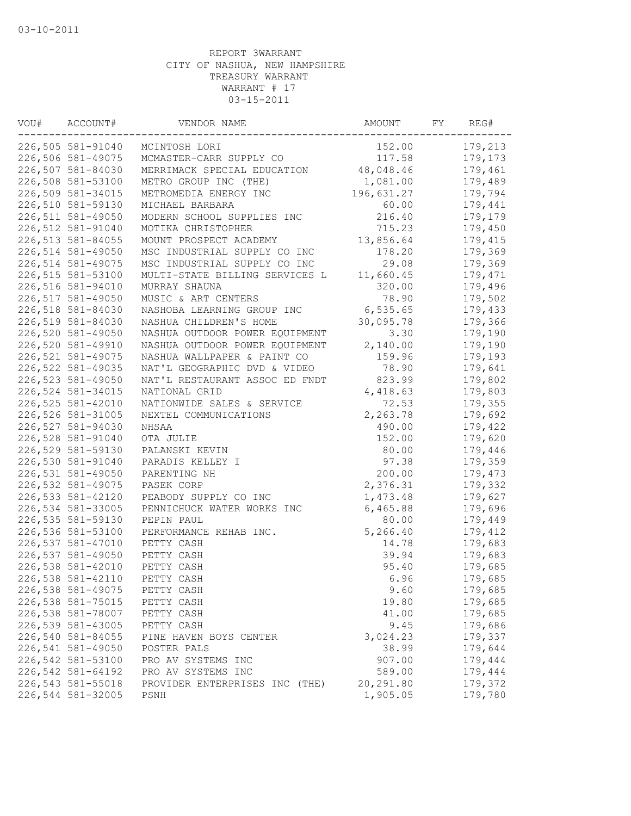| VOU# | ACCOUNT#          | VENDOR NAME                    | AMOUNT     | FY | REG#    |
|------|-------------------|--------------------------------|------------|----|---------|
|      | 226,505 581-91040 | MCINTOSH LORI                  | 152.00     |    | 179,213 |
|      | 226,506 581-49075 | MCMASTER-CARR SUPPLY CO        | 117.58     |    | 179,173 |
|      | 226,507 581-84030 | MERRIMACK SPECIAL EDUCATION    | 48,048.46  |    | 179,461 |
|      | 226,508 581-53100 | METRO GROUP INC (THE)          | 1,081.00   |    | 179,489 |
|      | 226,509 581-34015 | METROMEDIA ENERGY INC          | 196,631.27 |    | 179,794 |
|      | 226,510 581-59130 | MICHAEL BARBARA                | 60.00      |    | 179,441 |
|      | 226,511 581-49050 | MODERN SCHOOL SUPPLIES INC     | 216.40     |    | 179,179 |
|      | 226,512 581-91040 | MOTIKA CHRISTOPHER             | 715.23     |    | 179,450 |
|      | 226,513 581-84055 | MOUNT PROSPECT ACADEMY         | 13,856.64  |    | 179,415 |
|      | 226,514 581-49050 | MSC INDUSTRIAL SUPPLY CO INC   | 178.20     |    | 179,369 |
|      | 226,514 581-49075 | MSC INDUSTRIAL SUPPLY CO INC   | 29.08      |    | 179,369 |
|      | 226,515 581-53100 | MULTI-STATE BILLING SERVICES L | 11,660.45  |    | 179,471 |
|      | 226,516 581-94010 | MURRAY SHAUNA                  | 320.00     |    | 179,496 |
|      | 226,517 581-49050 | MUSIC & ART CENTERS            | 78.90      |    | 179,502 |
|      | 226,518 581-84030 | NASHOBA LEARNING GROUP INC     | 6,535.65   |    | 179,433 |
|      | 226,519 581-84030 | NASHUA CHILDREN'S HOME         | 30,095.78  |    | 179,366 |
|      | 226,520 581-49050 | NASHUA OUTDOOR POWER EQUIPMENT | 3.30       |    | 179,190 |
|      | 226,520 581-49910 | NASHUA OUTDOOR POWER EQUIPMENT | 2,140.00   |    | 179,190 |
|      | 226,521 581-49075 | NASHUA WALLPAPER & PAINT CO    | 159.96     |    | 179,193 |
|      | 226,522 581-49035 | NAT'L GEOGRAPHIC DVD & VIDEO   | 78.90      |    | 179,641 |
|      | 226,523 581-49050 | NAT'L RESTAURANT ASSOC ED FNDT | 823.99     |    | 179,802 |
|      | 226,524 581-34015 | NATIONAL GRID                  | 4,418.63   |    | 179,803 |
|      | 226,525 581-42010 | NATIONWIDE SALES & SERVICE     | 72.53      |    | 179,355 |
|      | 226,526 581-31005 | NEXTEL COMMUNICATIONS          | 2,263.78   |    | 179,692 |
|      | 226,527 581-94030 | NHSAA                          | 490.00     |    | 179,422 |
|      | 226,528 581-91040 | OTA JULIE                      | 152.00     |    | 179,620 |
|      | 226,529 581-59130 | PALANSKI KEVIN                 | 80.00      |    | 179,446 |
|      | 226,530 581-91040 | PARADIS KELLEY I               | 97.38      |    | 179,359 |
|      | 226,531 581-49050 | PARENTING NH                   | 200.00     |    | 179,473 |
|      | 226,532 581-49075 | PASEK CORP                     | 2,376.31   |    | 179,332 |
|      | 226,533 581-42120 | PEABODY SUPPLY CO INC          | 1,473.48   |    | 179,627 |
|      | 226,534 581-33005 | PENNICHUCK WATER WORKS INC     | 6,465.88   |    | 179,696 |
|      | 226,535 581-59130 | PEPIN PAUL                     | 80.00      |    | 179,449 |
|      | 226,536 581-53100 | PERFORMANCE REHAB INC.         | 5,266.40   |    | 179,412 |
|      | 226,537 581-47010 | PETTY CASH                     | 14.78      |    | 179,683 |
|      | 226,537 581-49050 | PETTY CASH                     | 39.94      |    | 179,683 |
|      | 226,538 581-42010 | PETTY CASH                     | 95.40      |    | 179,685 |
|      | 226,538 581-42110 | PETTY CASH                     | 6.96       |    | 179,685 |
|      | 226,538 581-49075 | PETTY CASH                     | 9.60       |    | 179,685 |
|      | 226,538 581-75015 | PETTY CASH                     | 19.80      |    | 179,685 |
|      | 226,538 581-78007 | PETTY CASH                     | 41.00      |    | 179,685 |
|      | 226,539 581-43005 | PETTY CASH                     | 9.45       |    | 179,686 |
|      | 226,540 581-84055 | PINE HAVEN BOYS CENTER         | 3,024.23   |    | 179,337 |
|      | 226,541 581-49050 | POSTER PALS                    | 38.99      |    | 179,644 |
|      | 226,542 581-53100 | PRO AV SYSTEMS INC             | 907.00     |    | 179,444 |
|      | 226,542 581-64192 | PRO AV SYSTEMS INC             | 589.00     |    | 179,444 |
|      | 226,543 581-55018 | PROVIDER ENTERPRISES INC (THE) | 20,291.80  |    | 179,372 |
|      | 226,544 581-32005 |                                |            |    |         |
|      |                   | PSNH                           | 1,905.05   |    | 179,780 |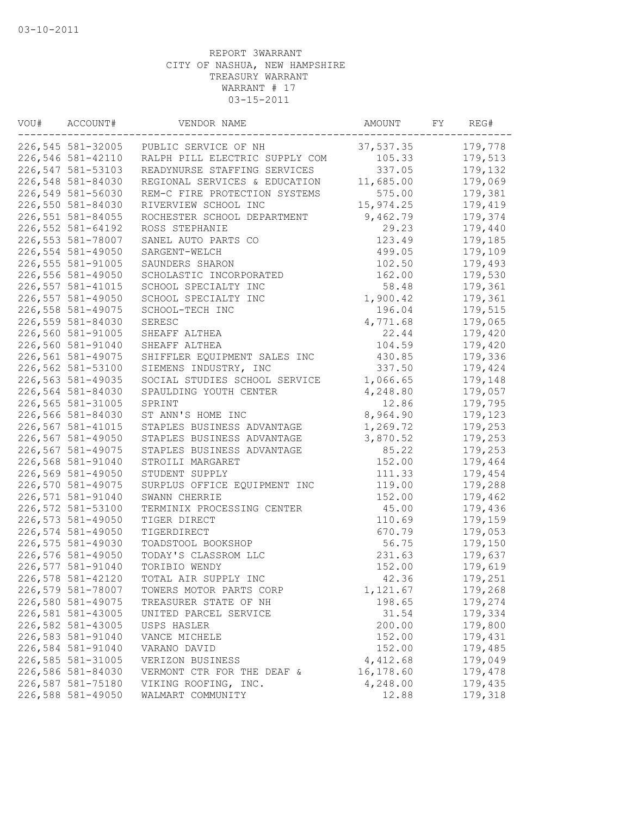| VOU# | ACCOUNT#          | VENDOR NAME                            | AMOUNT    | FY | REG#    |
|------|-------------------|----------------------------------------|-----------|----|---------|
|      |                   | 226,545 581-32005 PUBLIC SERVICE OF NH | 37,537.35 |    | 179,778 |
|      | 226,546 581-42110 | RALPH PILL ELECTRIC SUPPLY COM         | 105.33    |    | 179,513 |
|      | 226,547 581-53103 | READYNURSE STAFFING SERVICES           | 337.05    |    | 179,132 |
|      | 226,548 581-84030 | REGIONAL SERVICES & EDUCATION          | 11,685.00 |    | 179,069 |
|      | 226,549 581-56030 | REM-C FIRE PROTECTION SYSTEMS          | 575.00    |    | 179,381 |
|      | 226,550 581-84030 | RIVERVIEW SCHOOL INC                   | 15,974.25 |    | 179,419 |
|      | 226,551 581-84055 | ROCHESTER SCHOOL DEPARTMENT            | 9,462.79  |    | 179,374 |
|      | 226,552 581-64192 | ROSS STEPHANIE                         | 29.23     |    | 179,440 |
|      | 226,553 581-78007 | SANEL AUTO PARTS CO                    | 123.49    |    | 179,185 |
|      | 226,554 581-49050 | SARGENT-WELCH                          | 499.05    |    | 179,109 |
|      | 226,555 581-91005 | SAUNDERS SHARON                        | 102.50    |    | 179,493 |
|      | 226,556 581-49050 | SCHOLASTIC INCORPORATED                | 162.00    |    | 179,530 |
|      | 226,557 581-41015 | SCHOOL SPECIALTY INC                   | 58.48     |    | 179,361 |
|      | 226,557 581-49050 | SCHOOL SPECIALTY INC                   | 1,900.42  |    | 179,361 |
|      | 226,558 581-49075 | SCHOOL-TECH INC                        | 196.04    |    | 179,515 |
|      | 226,559 581-84030 | SERESC                                 | 4,771.68  |    | 179,065 |
|      | 226,560 581-91005 | SHEAFF ALTHEA                          | 22.44     |    | 179,420 |
|      | 226,560 581-91040 | SHEAFF ALTHEA                          | 104.59    |    | 179,420 |
|      | 226,561 581-49075 | SHIFFLER EQUIPMENT SALES INC           | 430.85    |    | 179,336 |
|      | 226,562 581-53100 | SIEMENS INDUSTRY, INC                  | 337.50    |    | 179,424 |
|      | 226,563 581-49035 | SOCIAL STUDIES SCHOOL SERVICE          | 1,066.65  |    | 179,148 |
|      | 226,564 581-84030 | SPAULDING YOUTH CENTER                 | 4,248.80  |    | 179,057 |
|      | 226,565 581-31005 | SPRINT                                 | 12.86     |    | 179,795 |
|      | 226,566 581-84030 | ST ANN'S HOME INC                      | 8,964.90  |    | 179,123 |
|      | 226,567 581-41015 | STAPLES BUSINESS ADVANTAGE             | 1,269.72  |    | 179,253 |
|      | 226,567 581-49050 | STAPLES BUSINESS ADVANTAGE             | 3,870.52  |    | 179,253 |
|      | 226,567 581-49075 | STAPLES BUSINESS ADVANTAGE             | 85.22     |    | 179,253 |
|      | 226,568 581-91040 | STROILI MARGARET                       | 152.00    |    | 179,464 |
|      | 226,569 581-49050 | STUDENT SUPPLY                         | 111.33    |    | 179,454 |
|      | 226,570 581-49075 | SURPLUS OFFICE EQUIPMENT INC           | 119.00    |    | 179,288 |
|      | 226,571 581-91040 | SWANN CHERRIE                          | 152.00    |    | 179,462 |
|      | 226,572 581-53100 | TERMINIX PROCESSING CENTER             | 45.00     |    | 179,436 |
|      | 226,573 581-49050 | TIGER DIRECT                           | 110.69    |    | 179,159 |
|      | 226,574 581-49050 | TIGERDIRECT                            | 670.79    |    | 179,053 |
|      | 226,575 581-49030 | TOADSTOOL BOOKSHOP                     | 56.75     |    | 179,150 |
|      | 226,576 581-49050 | TODAY'S CLASSROM LLC                   | 231.63    |    | 179,637 |
|      | 226,577 581-91040 | TORIBIO WENDY                          | 152.00    |    | 179,619 |
|      | 226,578 581-42120 | TOTAL AIR SUPPLY INC                   | 42.36     |    | 179,251 |
|      | 226,579 581-78007 | TOWERS MOTOR PARTS CORP                | 1,121.67  |    | 179,268 |
|      | 226,580 581-49075 | TREASURER STATE OF NH                  | 198.65    |    | 179,274 |
|      | 226,581 581-43005 | UNITED PARCEL SERVICE                  | 31.54     |    | 179,334 |
|      | 226,582 581-43005 | USPS HASLER                            | 200.00    |    | 179,800 |
|      | 226,583 581-91040 | VANCE MICHELE                          | 152.00    |    | 179,431 |
|      | 226,584 581-91040 | VARANO DAVID                           | 152.00    |    | 179,485 |
|      | 226,585 581-31005 | VERIZON BUSINESS                       | 4,412.68  |    | 179,049 |
|      | 226,586 581-84030 | VERMONT CTR FOR THE DEAF &             | 16,178.60 |    | 179,478 |
|      | 226,587 581-75180 | VIKING ROOFING, INC.                   | 4,248.00  |    | 179,435 |
|      | 226,588 581-49050 | WALMART COMMUNITY                      | 12.88     |    | 179,318 |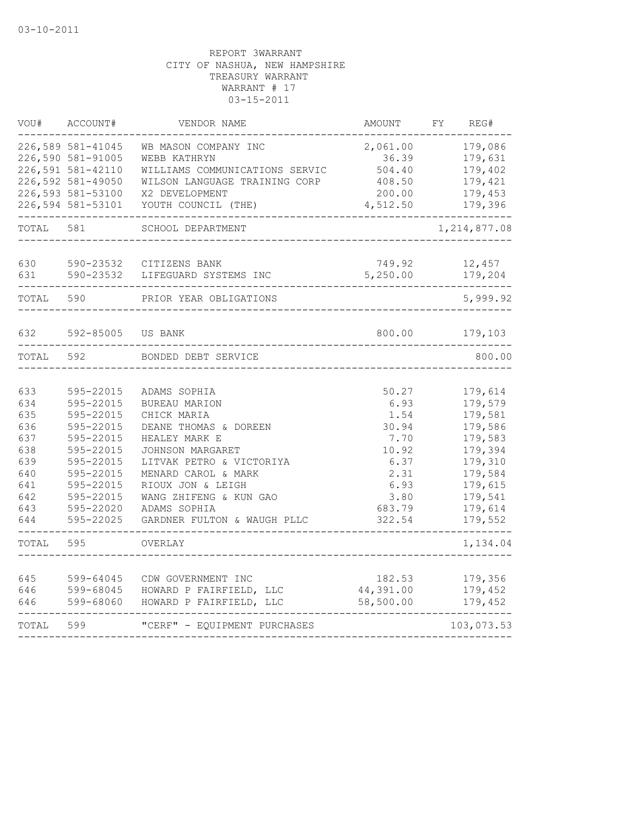| VOU#                                                                             | ACCOUNT#                                                                                                                                                 | VENDOR NAME                                                                                                                                                                                                                                                        | AMOUNT                                                                                              | FY. | REG#                                                                                                                             |
|----------------------------------------------------------------------------------|----------------------------------------------------------------------------------------------------------------------------------------------------------|--------------------------------------------------------------------------------------------------------------------------------------------------------------------------------------------------------------------------------------------------------------------|-----------------------------------------------------------------------------------------------------|-----|----------------------------------------------------------------------------------------------------------------------------------|
|                                                                                  | 226,589 581-41045<br>226,590 581-91005<br>226,591 581-42110<br>226,592 581-49050                                                                         | WB MASON COMPANY INC<br>WEBB KATHRYN<br>WILLIAMS COMMUNICATIONS SERVIC<br>WILSON LANGUAGE TRAINING CORP                                                                                                                                                            | 2,061.00<br>36.39<br>504.40<br>408.50                                                               |     | 179,086<br>179,631<br>179,402<br>179,421                                                                                         |
|                                                                                  | 226,593 581-53100<br>226,594 581-53101                                                                                                                   | X2 DEVELOPMENT<br>YOUTH COUNCIL (THE)                                                                                                                                                                                                                              | 200.00<br>4,512.50                                                                                  |     | 179,453<br>179,396                                                                                                               |
| TOTAL                                                                            | 581                                                                                                                                                      | SCHOOL DEPARTMENT                                                                                                                                                                                                                                                  |                                                                                                     |     | 1, 214, 877.08                                                                                                                   |
| 630<br>631                                                                       | 590-23532<br>590-23532                                                                                                                                   | CITIZENS BANK<br>LIFEGUARD SYSTEMS INC                                                                                                                                                                                                                             | 749.92<br>5,250.00                                                                                  |     | 12,457<br>179,204                                                                                                                |
| TOTAL                                                                            | 590                                                                                                                                                      | PRIOR YEAR OBLIGATIONS                                                                                                                                                                                                                                             |                                                                                                     |     | 5,999.92                                                                                                                         |
| 632                                                                              | 592-85005                                                                                                                                                | US BANK                                                                                                                                                                                                                                                            | 800.00                                                                                              |     | 179,103                                                                                                                          |
| TOTAL                                                                            | 592                                                                                                                                                      | BONDED DEBT SERVICE                                                                                                                                                                                                                                                |                                                                                                     |     | 800.00                                                                                                                           |
| 633<br>634<br>635<br>636<br>637<br>638<br>639<br>640<br>641<br>642<br>643<br>644 | 595-22015<br>595-22015<br>595-22015<br>595-22015<br>595-22015<br>595-22015<br>595-22015<br>595-22015<br>595-22015<br>595-22015<br>595-22020<br>595-22025 | ADAMS SOPHIA<br><b>BUREAU MARION</b><br>CHICK MARIA<br>DEANE THOMAS & DOREEN<br>HEALEY MARK E<br>JOHNSON MARGARET<br>LITVAK PETRO & VICTORIYA<br>MENARD CAROL & MARK<br>RIOUX JON & LEIGH<br>WANG ZHIFENG & KUN GAO<br>ADAMS SOPHIA<br>GARDNER FULTON & WAUGH PLLC | 50.27<br>6.93<br>1.54<br>30.94<br>7.70<br>10.92<br>6.37<br>2.31<br>6.93<br>3.80<br>683.79<br>322.54 |     | 179,614<br>179,579<br>179,581<br>179,586<br>179,583<br>179,394<br>179,310<br>179,584<br>179,615<br>179,541<br>179,614<br>179,552 |
| TOTAL                                                                            | 595                                                                                                                                                      | OVERLAY                                                                                                                                                                                                                                                            |                                                                                                     |     | 1,134.04                                                                                                                         |
| 645<br>646<br>646                                                                | 599-64045<br>599-68045<br>599-68060                                                                                                                      | CDW GOVERNMENT INC<br>HOWARD P FAIRFIELD, LLC<br>HOWARD P FAIRFIELD, LLC                                                                                                                                                                                           | 182.53<br>44,391.00<br>58,500.00                                                                    |     | 179,356<br>179,452<br>179,452                                                                                                    |
| TOTAL                                                                            | 599                                                                                                                                                      | "CERF" - EQUIPMENT PURCHASES                                                                                                                                                                                                                                       |                                                                                                     |     | 103,073.53                                                                                                                       |
|                                                                                  |                                                                                                                                                          |                                                                                                                                                                                                                                                                    |                                                                                                     |     |                                                                                                                                  |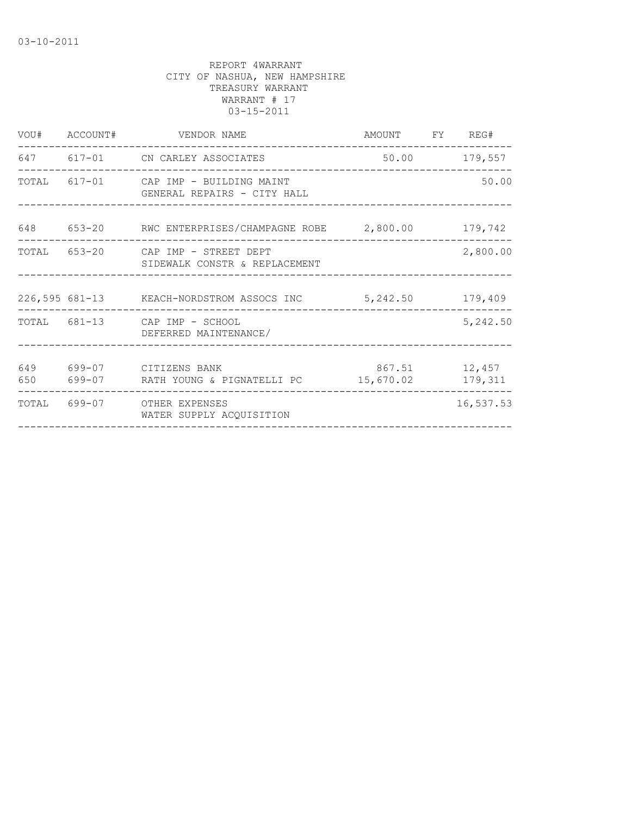|            | VOU# ACCOUNT# VENDOR NAME                                                 | AMOUNT FY REG#             |               |
|------------|---------------------------------------------------------------------------|----------------------------|---------------|
|            | 647 617-01 CN CARLEY ASSOCIATES<br>-------------------------------------- |                            | 50.00 179,557 |
|            | TOTAL 617-01 CAP IMP - BUILDING MAINT<br>GENERAL REPAIRS - CITY HALL      |                            | 50.00         |
| 648        | 653-20 RWC ENTERPRISES/CHAMPAGNE ROBE 2,800.00 179,742                    |                            |               |
|            | TOTAL 653-20 CAP IMP - STREET DEPT<br>SIDEWALK CONSTR & REPLACEMENT       |                            | 2,800.00      |
|            | 226,595 681-13 KEACH-NORDSTROM ASSOCS INC 5,242.50 179,409                |                            |               |
|            | TOTAL 681-13 CAP IMP - SCHOOL<br>DEFERRED MAINTENANCE/                    |                            | 5,242.50      |
| 649<br>650 | 699-07 CITIZENS BANK                                                      | 867.51 12,457<br>15,670.02 | 179,311       |
|            | TOTAL 699-07 OTHER EXPENSES<br>WATER SUPPLY ACQUISITION                   |                            | 16,537.53     |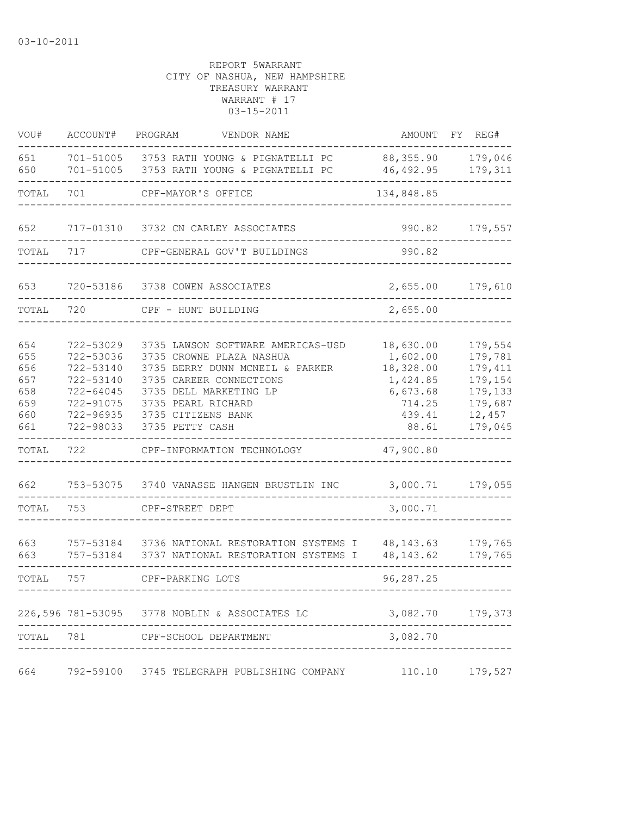| VOU#                                                                          | ACCOUNT#                                                                                                                        | PROGRAM<br>VENDOR NAME                                                                                                                                                                                                                                                                                    |                                                                                                                              | AMOUNT FY REG#                                                                                 |
|-------------------------------------------------------------------------------|---------------------------------------------------------------------------------------------------------------------------------|-----------------------------------------------------------------------------------------------------------------------------------------------------------------------------------------------------------------------------------------------------------------------------------------------------------|------------------------------------------------------------------------------------------------------------------------------|------------------------------------------------------------------------------------------------|
| 651<br>650                                                                    | 701-51005                                                                                                                       | 701-51005 3753 RATH YOUNG & PIGNATELLI PC<br>3753 RATH YOUNG & PIGNATELLI PC                                                                                                                                                                                                                              | 88,355.90<br>46,492.95                                                                                                       | 179,046<br>179,311                                                                             |
| TOTAL                                                                         | 701                                                                                                                             | CPF-MAYOR'S OFFICE                                                                                                                                                                                                                                                                                        | 134,848.85                                                                                                                   |                                                                                                |
| 652                                                                           |                                                                                                                                 | 717-01310 3732 CN CARLEY ASSOCIATES                                                                                                                                                                                                                                                                       | 990.82                                                                                                                       | 179,557                                                                                        |
| TOTAL                                                                         | 717                                                                                                                             | CPF-GENERAL GOV'T BUILDINGS                                                                                                                                                                                                                                                                               | 990.82                                                                                                                       |                                                                                                |
| 653                                                                           |                                                                                                                                 | 720-53186 3738 COWEN ASSOCIATES                                                                                                                                                                                                                                                                           | 2,655.00                                                                                                                     | 179,610                                                                                        |
| TOTAL                                                                         | 720                                                                                                                             | CPF - HUNT BUILDING                                                                                                                                                                                                                                                                                       | 2,655.00                                                                                                                     |                                                                                                |
| 654<br>655<br>656<br>657<br>658<br>659<br>660<br>661<br>TOTAL<br>662<br>TOTAL | 722-53029<br>722-53036<br>722-53140<br>722-53140<br>722-64045<br>722-91075<br>722-96935<br>722-98033<br>722<br>753-53075<br>753 | 3735 LAWSON SOFTWARE AMERICAS-USD<br>3735 CROWNE PLAZA NASHUA<br>3735 BERRY DUNN MCNEIL & PARKER<br>3735 CAREER CONNECTIONS<br>3735 DELL MARKETING LP<br>3735 PEARL RICHARD<br>3735 CITIZENS BANK<br>3735 PETTY CASH<br>CPF-INFORMATION TECHNOLOGY<br>3740 VANASSE HANGEN BRUSTLIN INC<br>CPF-STREET DEPT | 18,630.00<br>1,602.00<br>18,328.00<br>1,424.85<br>6,673.68<br>714.25<br>439.41<br>88.61<br>47,900.80<br>3,000.71<br>3,000.71 | 179,554<br>179,781<br>179,411<br>179,154<br>179,133<br>179,687<br>12,457<br>179,045<br>179,055 |
| 663<br>663                                                                    | 757-53184<br>757-53184                                                                                                          | 3736 NATIONAL RESTORATION SYSTEMS I<br>3737 NATIONAL RESTORATION SYSTEMS I                                                                                                                                                                                                                                | 48, 143. 63<br>48, 143.62                                                                                                    | 179,765<br>179,765                                                                             |
| TOTAL                                                                         | 757                                                                                                                             | CPF-PARKING LOTS                                                                                                                                                                                                                                                                                          | 96,287.25                                                                                                                    |                                                                                                |
|                                                                               |                                                                                                                                 | 226,596 781-53095 3778 NOBLIN & ASSOCIATES LC                                                                                                                                                                                                                                                             | 3,082.70                                                                                                                     | 179,373                                                                                        |
| TOTAL                                                                         | 781                                                                                                                             | CPF-SCHOOL DEPARTMENT                                                                                                                                                                                                                                                                                     | 3,082.70                                                                                                                     |                                                                                                |
| 664                                                                           | 792-59100                                                                                                                       | 3745 TELEGRAPH PUBLISHING COMPANY                                                                                                                                                                                                                                                                         | 110.10                                                                                                                       | 179,527                                                                                        |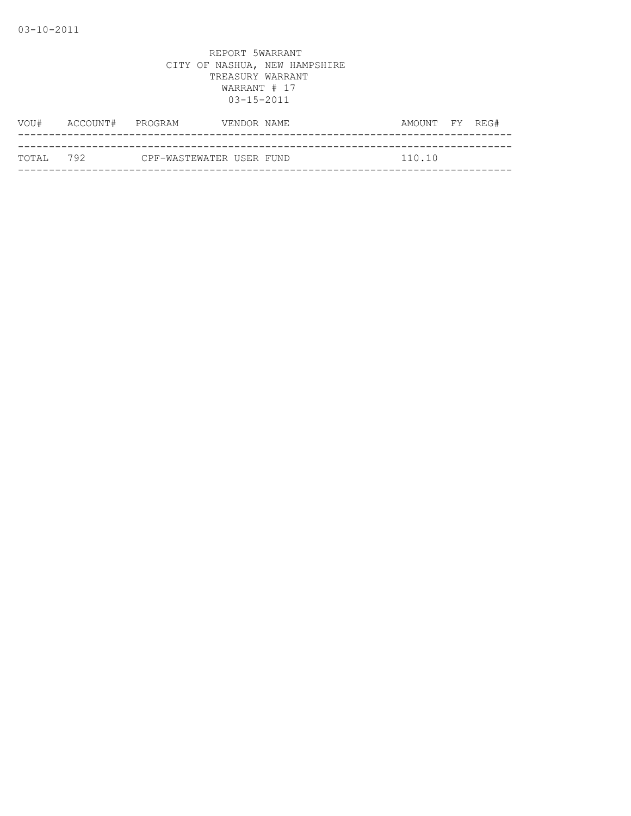| VOU#       | ACCOUNT# PROGRAM |                          | VENDOR NAME | AMOUNT FY REG# |  |
|------------|------------------|--------------------------|-------------|----------------|--|
|            |                  |                          |             |                |  |
| ТОТАІ. 792 |                  | CPF-WASTEWATER USER FUND |             | 110.10         |  |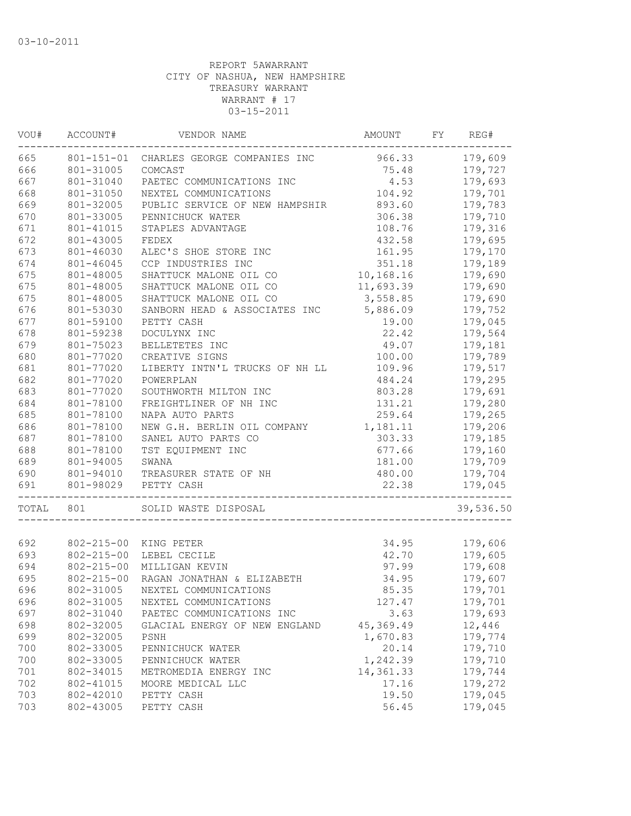| VOU#  | ACCOUNT#         | VENDOR NAME                    | AMOUNT                        | FY | REG#      |
|-------|------------------|--------------------------------|-------------------------------|----|-----------|
| 665   | 801-151-01       | CHARLES GEORGE COMPANIES INC   | 966.33                        |    | 179,609   |
| 666   | 801-31005        | COMCAST                        | 75.48                         |    | 179,727   |
| 667   | 801-31040        | PAETEC COMMUNICATIONS INC      | 4.53                          |    | 179,693   |
| 668   | 801-31050        | NEXTEL COMMUNICATIONS          | 104.92                        |    | 179,701   |
| 669   | 801-32005        | PUBLIC SERVICE OF NEW HAMPSHIR | 893.60                        |    | 179,783   |
| 670   | 801-33005        | PENNICHUCK WATER               | 306.38                        |    | 179,710   |
| 671   | 801-41015        | STAPLES ADVANTAGE              | 108.76                        |    | 179,316   |
| 672   | 801-43005        | FEDEX                          | 432.58                        |    | 179,695   |
| 673   | 801-46030        | ALEC'S SHOE STORE INC          | 161.95                        |    | 179,170   |
| 674   | 801-46045        | CCP INDUSTRIES INC             | 351.18                        |    | 179,189   |
| 675   | 801-48005        | SHATTUCK MALONE OIL CO         | 10,168.16                     |    | 179,690   |
| 675   | 801-48005        | SHATTUCK MALONE OIL CO         | 11,693.39                     |    | 179,690   |
| 675   | 801-48005        | SHATTUCK MALONE OIL CO         | 3,558.85                      |    | 179,690   |
| 676   | 801-53030        | SANBORN HEAD & ASSOCIATES INC  | 5,886.09                      |    | 179,752   |
| 677   | 801-59100        | PETTY CASH                     | 19.00                         |    | 179,045   |
| 678   | 801-59238        | DOCULYNX INC                   | 22.42                         |    | 179,564   |
| 679   | 801-75023        | BELLETETES INC                 | 49.07                         |    | 179,181   |
| 680   | 801-77020        | CREATIVE SIGNS                 | 100.00                        |    | 179,789   |
| 681   | 801-77020        | LIBERTY INTN'L TRUCKS OF NH LL | 109.96                        |    | 179,517   |
| 682   | 801-77020        | POWERPLAN                      | 484.24                        |    | 179,295   |
| 683   | 801-77020        | SOUTHWORTH MILTON INC          | 803.28                        |    | 179,691   |
| 684   | 801-78100        | FREIGHTLINER OF NH INC         | 131.21                        |    | 179,280   |
| 685   | 801-78100        | NAPA AUTO PARTS                | 259.64                        |    | 179,265   |
| 686   | 801-78100        | NEW G.H. BERLIN OIL COMPANY    | 1,181.11                      |    | 179,206   |
| 687   | 801-78100        | SANEL AUTO PARTS CO            | 303.33                        |    | 179,185   |
| 688   | 801-78100        | TST EQUIPMENT INC              | 677.66                        |    | 179,160   |
| 689   | 801-94005        | SWANA                          | 181.00                        |    | 179,709   |
| 690   | 801-94010        | TREASURER STATE OF NH          | 480.00                        |    | 179,704   |
| 691   | 801-98029        | PETTY CASH                     | 22.38                         |    | 179,045   |
|       |                  |                                | ----------------------------- |    |           |
| TOTAL | 801              | SOLID WASTE DISPOSAL           |                               |    | 39,536.50 |
|       |                  |                                |                               |    |           |
| 692   | $802 - 215 - 00$ | KING PETER                     | 34.95                         |    | 179,606   |
| 693   | $802 - 215 - 00$ | LEBEL CECILE                   | 42.70                         |    | 179,605   |
| 694   | $802 - 215 - 00$ | MILLIGAN KEVIN                 | 97.99                         |    | 179,608   |
| 695   | $802 - 215 - 00$ | RAGAN JONATHAN & ELIZABETH     | 34.95                         |    | 179,607   |
| 696   | 802-31005        | NEXTEL COMMUNICATIONS          | 85.35                         |    | 179,701   |
| 696   | 802-31005        | NEXTEL COMMUNICATIONS          | 127.47                        |    | 179,701   |
| 697   | 802-31040        | PAETEC COMMUNICATIONS INC      | 3.63                          |    | 179,693   |
| 698   | 802-32005        | GLACIAL ENERGY OF NEW ENGLAND  | 45,369.49                     |    | 12,446    |
| 699   | 802-32005        | PSNH                           | 1,670.83                      |    | 179,774   |
| 700   | 802-33005        | PENNICHUCK WATER               | 20.14                         |    | 179,710   |
| 700   | 802-33005        | PENNICHUCK WATER               | 1,242.39                      |    | 179,710   |
| 701   | 802-34015        | METROMEDIA ENERGY INC          | 14,361.33                     |    | 179,744   |
| 702   | 802-41015        | MOORE MEDICAL LLC              | 17.16                         |    | 179,272   |
| 703   | 802-42010        | PETTY CASH                     | 19.50                         |    | 179,045   |
| 703   | 802-43005        | PETTY CASH                     | 56.45                         |    | 179,045   |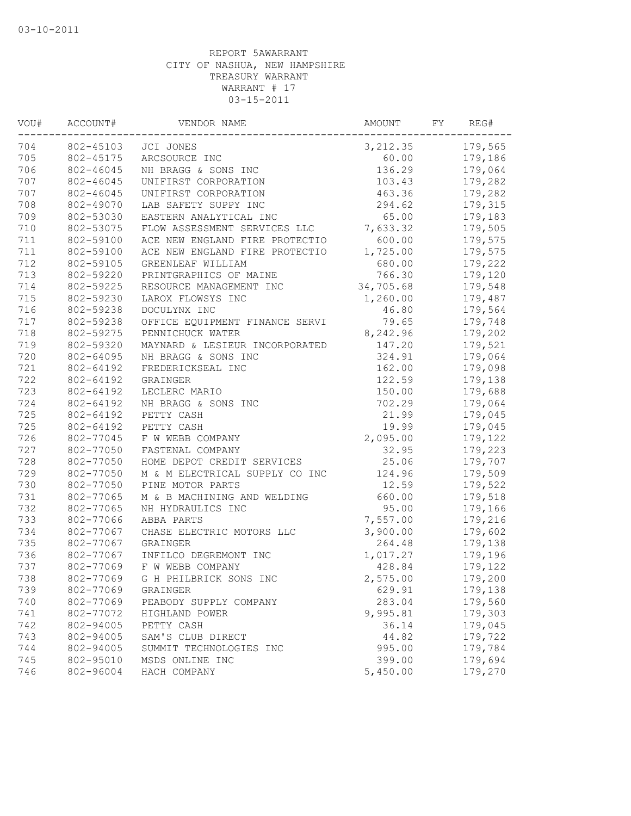| VOU# | ACCOUNT#  | VENDOR NAME                    | AMOUNT    | FΥ | REG#    |
|------|-----------|--------------------------------|-----------|----|---------|
| 704  | 802-45103 | JCI JONES                      | 3, 212.35 |    | 179,565 |
| 705  | 802-45175 | ARCSOURCE INC                  | 60.00     |    | 179,186 |
| 706  | 802-46045 | NH BRAGG & SONS INC            | 136.29    |    | 179,064 |
| 707  | 802-46045 | UNIFIRST CORPORATION           | 103.43    |    | 179,282 |
| 707  | 802-46045 | UNIFIRST CORPORATION           | 463.36    |    | 179,282 |
| 708  | 802-49070 | LAB SAFETY SUPPY INC           | 294.62    |    | 179,315 |
| 709  | 802-53030 | EASTERN ANALYTICAL INC         | 65.00     |    | 179,183 |
| 710  | 802-53075 | FLOW ASSESSMENT SERVICES LLC   | 7,633.32  |    | 179,505 |
| 711  | 802-59100 | ACE NEW ENGLAND FIRE PROTECTIO | 600.00    |    | 179,575 |
| 711  | 802-59100 | ACE NEW ENGLAND FIRE PROTECTIO | 1,725.00  |    | 179,575 |
| 712  | 802-59105 | GREENLEAF WILLIAM              | 680.00    |    | 179,222 |
| 713  | 802-59220 | PRINTGRAPHICS OF MAINE         | 766.30    |    | 179,120 |
| 714  | 802-59225 | RESOURCE MANAGEMENT INC        | 34,705.68 |    | 179,548 |
| 715  | 802-59230 | LAROX FLOWSYS INC              | 1,260.00  |    | 179,487 |
| 716  | 802-59238 | DOCULYNX INC                   | 46.80     |    | 179,564 |
| 717  | 802-59238 | OFFICE EQUIPMENT FINANCE SERVI | 79.65     |    | 179,748 |
| 718  | 802-59275 | PENNICHUCK WATER               | 8,242.96  |    | 179,202 |
| 719  | 802-59320 | MAYNARD & LESIEUR INCORPORATED | 147.20    |    | 179,521 |
| 720  | 802-64095 | NH BRAGG & SONS INC            | 324.91    |    | 179,064 |
| 721  | 802-64192 | FREDERICKSEAL INC              | 162.00    |    | 179,098 |
| 722  | 802-64192 | GRAINGER                       | 122.59    |    | 179,138 |
| 723  | 802-64192 | LECLERC MARIO                  | 150.00    |    | 179,688 |
| 724  | 802-64192 | NH BRAGG & SONS INC            | 702.29    |    | 179,064 |
| 725  | 802-64192 | PETTY CASH                     | 21.99     |    | 179,045 |
| 725  | 802-64192 | PETTY CASH                     | 19.99     |    | 179,045 |
| 726  | 802-77045 | F W WEBB COMPANY               | 2,095.00  |    | 179,122 |
| 727  | 802-77050 | FASTENAL COMPANY               | 32.95     |    | 179,223 |
| 728  | 802-77050 | HOME DEPOT CREDIT SERVICES     | 25.06     |    | 179,707 |
| 729  | 802-77050 | M & M ELECTRICAL SUPPLY CO INC | 124.96    |    | 179,509 |
| 730  | 802-77050 | PINE MOTOR PARTS               | 12.59     |    | 179,522 |
| 731  | 802-77065 | M & B MACHINING AND WELDING    | 660.00    |    | 179,518 |
| 732  | 802-77065 | NH HYDRAULICS INC              | 95.00     |    | 179,166 |
| 733  | 802-77066 | ABBA PARTS                     | 7,557.00  |    | 179,216 |
| 734  | 802-77067 | CHASE ELECTRIC MOTORS LLC      | 3,900.00  |    | 179,602 |
| 735  | 802-77067 | GRAINGER                       | 264.48    |    | 179,138 |
| 736  | 802-77067 | INFILCO DEGREMONT INC          | 1,017.27  |    | 179,196 |
| 737  | 802-77069 | F W WEBB COMPANY               | 428.84    |    | 179,122 |
| 738  | 802-77069 | G H PHILBRICK SONS INC         | 2,575.00  |    | 179,200 |
| 739  | 802-77069 | GRAINGER                       | 629.91    |    | 179,138 |
| 740  | 802-77069 | PEABODY SUPPLY COMPANY         | 283.04    |    | 179,560 |
| 741  | 802-77072 | HIGHLAND POWER                 | 9,995.81  |    | 179,303 |
| 742  | 802-94005 | PETTY CASH                     | 36.14     |    | 179,045 |
| 743  | 802-94005 | SAM'S CLUB DIRECT              | 44.82     |    | 179,722 |
| 744  | 802-94005 | SUMMIT TECHNOLOGIES INC        | 995.00    |    | 179,784 |
| 745  | 802-95010 | MSDS ONLINE INC                | 399.00    |    | 179,694 |
| 746  | 802-96004 | HACH COMPANY                   | 5,450.00  |    | 179,270 |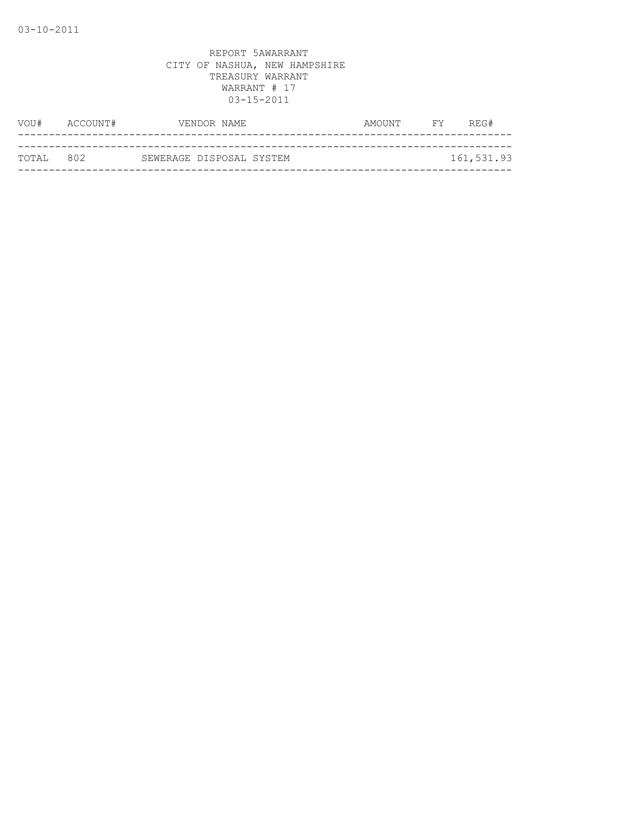| VOU#       | ACCOUNT# | VENDOR NAME              | AMOUNT | FY | REG#       |
|------------|----------|--------------------------|--------|----|------------|
|            |          |                          |        |    |            |
| ТОТАЈ, 802 |          | SEWERAGE DISPOSAL SYSTEM |        |    | 161,531.93 |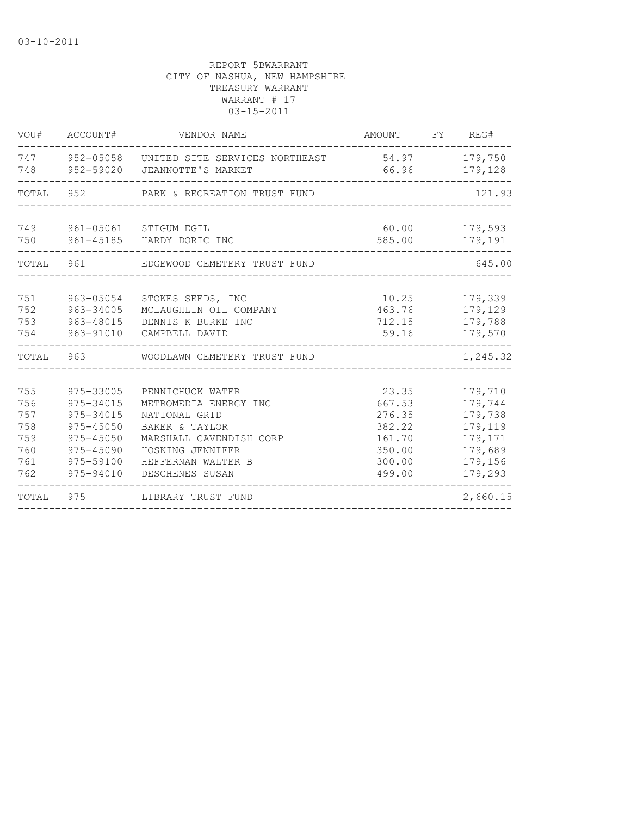|                                                      | VOU# ACCOUNT#                                                                                        | VENDOR NAME                                                                                                                                                          | AMOUNT FY REG#                                                              |                                                                                      |
|------------------------------------------------------|------------------------------------------------------------------------------------------------------|----------------------------------------------------------------------------------------------------------------------------------------------------------------------|-----------------------------------------------------------------------------|--------------------------------------------------------------------------------------|
| 748                                                  |                                                                                                      | 747 952-05058 UNITED SITE SERVICES NORTHEAST<br>952-59020 JEANNOTTE'S MARKET                                                                                         | 54.97 179,750<br>66.96                                                      | 179,128                                                                              |
|                                                      |                                                                                                      | TOTAL 952 PARK & RECREATION TRUST FUND                                                                                                                               |                                                                             | 121.93                                                                               |
| 750                                                  |                                                                                                      | 749 961-05061 STIGUM EGIL<br>961-45185 HARDY DORIC INC                                                                                                               | 60.00 00<br>585.00                                                          | 179,593<br>179,191                                                                   |
| TOTAL                                                | 961                                                                                                  | EDGEWOOD CEMETERY TRUST FUND                                                                                                                                         |                                                                             | 645.00                                                                               |
| 751<br>752<br>753<br>754                             | 963-05054<br>963-34005<br>963-48015<br>963-91010                                                     | STOKES SEEDS, INC<br>MCLAUGHLIN OIL COMPANY<br>DENNIS K BURKE INC<br>CAMPBELL DAVID                                                                                  | 10.25<br>463.76<br>712.15<br>59.16                                          | 179,339<br>179,129<br>179,788<br>179,570                                             |
|                                                      | TOTAL 963                                                                                            | WOODLAWN CEMETERY TRUST FUND                                                                                                                                         |                                                                             | 1,245.32                                                                             |
| 755<br>756<br>757<br>758<br>759<br>760<br>761<br>762 | 975-33005<br>975-34015<br>975-34015<br>975-45050<br>975-45050<br>975-45090<br>975-59100<br>975-94010 | PENNICHUCK WATER<br>METROMEDIA ENERGY INC<br>NATIONAL GRID<br>BAKER & TAYLOR<br>MARSHALL CAVENDISH CORP<br>HOSKING JENNIFER<br>HEFFERNAN WALTER B<br>DESCHENES SUSAN | 23.35<br>667.53<br>276.35<br>382.22<br>161.70<br>350.00<br>300.00<br>499.00 | 179,710<br>179,744<br>179,738<br>179,119<br>179,171<br>179,689<br>179,156<br>179,293 |
| TOTAL                                                | 975                                                                                                  | LIBRARY TRUST FUND                                                                                                                                                   |                                                                             | 2,660.15                                                                             |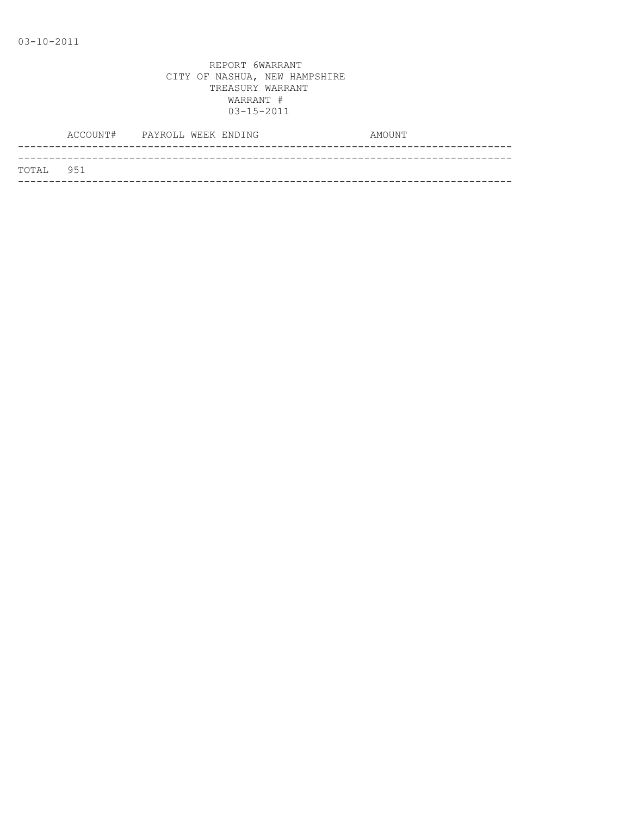|           | ACCOUNT# PAYROLL WEEK ENDING |  | AMOUNT |
|-----------|------------------------------|--|--------|
|           |                              |  |        |
| TOTAL 951 |                              |  |        |
|           |                              |  |        |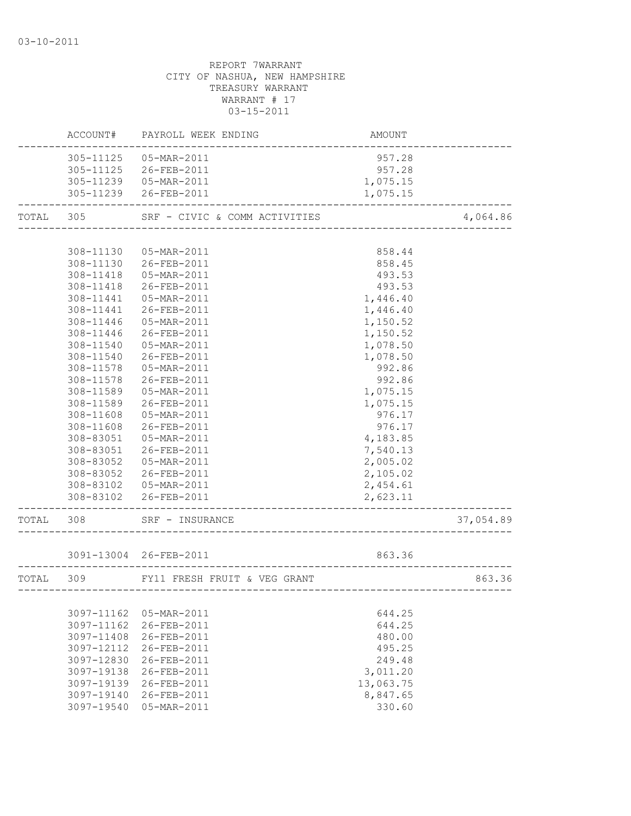| 305-11125<br>05-MAR-2011<br>957.28<br>305-11125<br>26-FEB-2011<br>957.28<br>305-11239  05-MAR-2011<br>1,075.15<br>305-11239 26-FEB-2011<br>1,075.15<br>305<br>TOTAL<br>SRF - CIVIC & COMM ACTIVITIES<br>4,064.86<br>308-11130<br>05-MAR-2011<br>858.44<br>308-11130 26-FEB-2011<br>858.45<br>05-MAR-2011<br>308-11418<br>493.53<br>493.53<br>308-11418<br>26-FEB-2011<br>308-11441  05-MAR-2011<br>1,446.40<br>308-11441 26-FEB-2011<br>1,446.40<br>308-11446<br>05-MAR-2011<br>1,150.52<br>26-FEB-2011<br>308-11446<br>1,150.52<br>308-11540<br>05-MAR-2011<br>1,078.50<br>308-11540<br>26-FEB-2011<br>1,078.50<br>308-11578<br>05-MAR-2011<br>992.86<br>26-FEB-2011<br>992.86<br>308-11578<br>05-MAR-2011<br>1,075.15<br>308-11589<br>1,075.15<br>308-11589<br>26-FEB-2011<br>308-11608<br>05-MAR-2011<br>976.17<br>308-11608<br>26-FEB-2011<br>976.17<br>308-83051  05-MAR-2011<br>4,183.85<br>308-83051 26-FEB-2011<br>7,540.13<br>308-83052<br>05-MAR-2011<br>2,005.02<br>308-83052 26-FEB-2011<br>2,105.02<br>308-83102  05-MAR-2011<br>2,454.61<br>308-83102<br>26-FEB-2011<br>2,623.11<br>TOTAL 308<br>37,054.89<br>SRF - INSURANCE<br>3091-13004 26-FEB-2011<br>863.36<br>863.36<br>TOTAL 309<br>FY11 FRESH FRUIT & VEG GRANT<br>3097-11162<br>05-MAR-2011<br>644.25<br>3097-11162<br>26-FEB-2011<br>644.25<br>26-FEB-2011<br>3097-11408<br>480.00<br>3097-12112<br>26-FEB-2011<br>495.25<br>3097-12830<br>26-FEB-2011<br>249.48<br>3,011.20<br>3097-19138<br>26-FEB-2011<br>3097-19139<br>26-FEB-2011<br>13,063.75<br>3097-19140<br>26-FEB-2011<br>8,847.65<br>330.60<br>3097-19540<br>05-MAR-2011 |  | ACCOUNT# PAYROLL WEEK ENDING | AMOUNT |  |
|--------------------------------------------------------------------------------------------------------------------------------------------------------------------------------------------------------------------------------------------------------------------------------------------------------------------------------------------------------------------------------------------------------------------------------------------------------------------------------------------------------------------------------------------------------------------------------------------------------------------------------------------------------------------------------------------------------------------------------------------------------------------------------------------------------------------------------------------------------------------------------------------------------------------------------------------------------------------------------------------------------------------------------------------------------------------------------------------------------------------------------------------------------------------------------------------------------------------------------------------------------------------------------------------------------------------------------------------------------------------------------------------------------------------------------------------------------------------------------------------------------------------------------------------------------------------------------------------------------------|--|------------------------------|--------|--|
|                                                                                                                                                                                                                                                                                                                                                                                                                                                                                                                                                                                                                                                                                                                                                                                                                                                                                                                                                                                                                                                                                                                                                                                                                                                                                                                                                                                                                                                                                                                                                                                                              |  |                              |        |  |
|                                                                                                                                                                                                                                                                                                                                                                                                                                                                                                                                                                                                                                                                                                                                                                                                                                                                                                                                                                                                                                                                                                                                                                                                                                                                                                                                                                                                                                                                                                                                                                                                              |  |                              |        |  |
|                                                                                                                                                                                                                                                                                                                                                                                                                                                                                                                                                                                                                                                                                                                                                                                                                                                                                                                                                                                                                                                                                                                                                                                                                                                                                                                                                                                                                                                                                                                                                                                                              |  |                              |        |  |
|                                                                                                                                                                                                                                                                                                                                                                                                                                                                                                                                                                                                                                                                                                                                                                                                                                                                                                                                                                                                                                                                                                                                                                                                                                                                                                                                                                                                                                                                                                                                                                                                              |  |                              |        |  |
|                                                                                                                                                                                                                                                                                                                                                                                                                                                                                                                                                                                                                                                                                                                                                                                                                                                                                                                                                                                                                                                                                                                                                                                                                                                                                                                                                                                                                                                                                                                                                                                                              |  |                              |        |  |
|                                                                                                                                                                                                                                                                                                                                                                                                                                                                                                                                                                                                                                                                                                                                                                                                                                                                                                                                                                                                                                                                                                                                                                                                                                                                                                                                                                                                                                                                                                                                                                                                              |  |                              |        |  |
|                                                                                                                                                                                                                                                                                                                                                                                                                                                                                                                                                                                                                                                                                                                                                                                                                                                                                                                                                                                                                                                                                                                                                                                                                                                                                                                                                                                                                                                                                                                                                                                                              |  |                              |        |  |
|                                                                                                                                                                                                                                                                                                                                                                                                                                                                                                                                                                                                                                                                                                                                                                                                                                                                                                                                                                                                                                                                                                                                                                                                                                                                                                                                                                                                                                                                                                                                                                                                              |  |                              |        |  |
|                                                                                                                                                                                                                                                                                                                                                                                                                                                                                                                                                                                                                                                                                                                                                                                                                                                                                                                                                                                                                                                                                                                                                                                                                                                                                                                                                                                                                                                                                                                                                                                                              |  |                              |        |  |
|                                                                                                                                                                                                                                                                                                                                                                                                                                                                                                                                                                                                                                                                                                                                                                                                                                                                                                                                                                                                                                                                                                                                                                                                                                                                                                                                                                                                                                                                                                                                                                                                              |  |                              |        |  |
|                                                                                                                                                                                                                                                                                                                                                                                                                                                                                                                                                                                                                                                                                                                                                                                                                                                                                                                                                                                                                                                                                                                                                                                                                                                                                                                                                                                                                                                                                                                                                                                                              |  |                              |        |  |
|                                                                                                                                                                                                                                                                                                                                                                                                                                                                                                                                                                                                                                                                                                                                                                                                                                                                                                                                                                                                                                                                                                                                                                                                                                                                                                                                                                                                                                                                                                                                                                                                              |  |                              |        |  |
|                                                                                                                                                                                                                                                                                                                                                                                                                                                                                                                                                                                                                                                                                                                                                                                                                                                                                                                                                                                                                                                                                                                                                                                                                                                                                                                                                                                                                                                                                                                                                                                                              |  |                              |        |  |
|                                                                                                                                                                                                                                                                                                                                                                                                                                                                                                                                                                                                                                                                                                                                                                                                                                                                                                                                                                                                                                                                                                                                                                                                                                                                                                                                                                                                                                                                                                                                                                                                              |  |                              |        |  |
|                                                                                                                                                                                                                                                                                                                                                                                                                                                                                                                                                                                                                                                                                                                                                                                                                                                                                                                                                                                                                                                                                                                                                                                                                                                                                                                                                                                                                                                                                                                                                                                                              |  |                              |        |  |
|                                                                                                                                                                                                                                                                                                                                                                                                                                                                                                                                                                                                                                                                                                                                                                                                                                                                                                                                                                                                                                                                                                                                                                                                                                                                                                                                                                                                                                                                                                                                                                                                              |  |                              |        |  |
|                                                                                                                                                                                                                                                                                                                                                                                                                                                                                                                                                                                                                                                                                                                                                                                                                                                                                                                                                                                                                                                                                                                                                                                                                                                                                                                                                                                                                                                                                                                                                                                                              |  |                              |        |  |
|                                                                                                                                                                                                                                                                                                                                                                                                                                                                                                                                                                                                                                                                                                                                                                                                                                                                                                                                                                                                                                                                                                                                                                                                                                                                                                                                                                                                                                                                                                                                                                                                              |  |                              |        |  |
|                                                                                                                                                                                                                                                                                                                                                                                                                                                                                                                                                                                                                                                                                                                                                                                                                                                                                                                                                                                                                                                                                                                                                                                                                                                                                                                                                                                                                                                                                                                                                                                                              |  |                              |        |  |
|                                                                                                                                                                                                                                                                                                                                                                                                                                                                                                                                                                                                                                                                                                                                                                                                                                                                                                                                                                                                                                                                                                                                                                                                                                                                                                                                                                                                                                                                                                                                                                                                              |  |                              |        |  |
|                                                                                                                                                                                                                                                                                                                                                                                                                                                                                                                                                                                                                                                                                                                                                                                                                                                                                                                                                                                                                                                                                                                                                                                                                                                                                                                                                                                                                                                                                                                                                                                                              |  |                              |        |  |
|                                                                                                                                                                                                                                                                                                                                                                                                                                                                                                                                                                                                                                                                                                                                                                                                                                                                                                                                                                                                                                                                                                                                                                                                                                                                                                                                                                                                                                                                                                                                                                                                              |  |                              |        |  |
|                                                                                                                                                                                                                                                                                                                                                                                                                                                                                                                                                                                                                                                                                                                                                                                                                                                                                                                                                                                                                                                                                                                                                                                                                                                                                                                                                                                                                                                                                                                                                                                                              |  |                              |        |  |
|                                                                                                                                                                                                                                                                                                                                                                                                                                                                                                                                                                                                                                                                                                                                                                                                                                                                                                                                                                                                                                                                                                                                                                                                                                                                                                                                                                                                                                                                                                                                                                                                              |  |                              |        |  |
|                                                                                                                                                                                                                                                                                                                                                                                                                                                                                                                                                                                                                                                                                                                                                                                                                                                                                                                                                                                                                                                                                                                                                                                                                                                                                                                                                                                                                                                                                                                                                                                                              |  |                              |        |  |
|                                                                                                                                                                                                                                                                                                                                                                                                                                                                                                                                                                                                                                                                                                                                                                                                                                                                                                                                                                                                                                                                                                                                                                                                                                                                                                                                                                                                                                                                                                                                                                                                              |  |                              |        |  |
|                                                                                                                                                                                                                                                                                                                                                                                                                                                                                                                                                                                                                                                                                                                                                                                                                                                                                                                                                                                                                                                                                                                                                                                                                                                                                                                                                                                                                                                                                                                                                                                                              |  |                              |        |  |
|                                                                                                                                                                                                                                                                                                                                                                                                                                                                                                                                                                                                                                                                                                                                                                                                                                                                                                                                                                                                                                                                                                                                                                                                                                                                                                                                                                                                                                                                                                                                                                                                              |  |                              |        |  |
|                                                                                                                                                                                                                                                                                                                                                                                                                                                                                                                                                                                                                                                                                                                                                                                                                                                                                                                                                                                                                                                                                                                                                                                                                                                                                                                                                                                                                                                                                                                                                                                                              |  |                              |        |  |
|                                                                                                                                                                                                                                                                                                                                                                                                                                                                                                                                                                                                                                                                                                                                                                                                                                                                                                                                                                                                                                                                                                                                                                                                                                                                                                                                                                                                                                                                                                                                                                                                              |  |                              |        |  |
|                                                                                                                                                                                                                                                                                                                                                                                                                                                                                                                                                                                                                                                                                                                                                                                                                                                                                                                                                                                                                                                                                                                                                                                                                                                                                                                                                                                                                                                                                                                                                                                                              |  |                              |        |  |
|                                                                                                                                                                                                                                                                                                                                                                                                                                                                                                                                                                                                                                                                                                                                                                                                                                                                                                                                                                                                                                                                                                                                                                                                                                                                                                                                                                                                                                                                                                                                                                                                              |  |                              |        |  |
|                                                                                                                                                                                                                                                                                                                                                                                                                                                                                                                                                                                                                                                                                                                                                                                                                                                                                                                                                                                                                                                                                                                                                                                                                                                                                                                                                                                                                                                                                                                                                                                                              |  |                              |        |  |
|                                                                                                                                                                                                                                                                                                                                                                                                                                                                                                                                                                                                                                                                                                                                                                                                                                                                                                                                                                                                                                                                                                                                                                                                                                                                                                                                                                                                                                                                                                                                                                                                              |  |                              |        |  |
|                                                                                                                                                                                                                                                                                                                                                                                                                                                                                                                                                                                                                                                                                                                                                                                                                                                                                                                                                                                                                                                                                                                                                                                                                                                                                                                                                                                                                                                                                                                                                                                                              |  |                              |        |  |
|                                                                                                                                                                                                                                                                                                                                                                                                                                                                                                                                                                                                                                                                                                                                                                                                                                                                                                                                                                                                                                                                                                                                                                                                                                                                                                                                                                                                                                                                                                                                                                                                              |  |                              |        |  |
|                                                                                                                                                                                                                                                                                                                                                                                                                                                                                                                                                                                                                                                                                                                                                                                                                                                                                                                                                                                                                                                                                                                                                                                                                                                                                                                                                                                                                                                                                                                                                                                                              |  |                              |        |  |
|                                                                                                                                                                                                                                                                                                                                                                                                                                                                                                                                                                                                                                                                                                                                                                                                                                                                                                                                                                                                                                                                                                                                                                                                                                                                                                                                                                                                                                                                                                                                                                                                              |  |                              |        |  |
|                                                                                                                                                                                                                                                                                                                                                                                                                                                                                                                                                                                                                                                                                                                                                                                                                                                                                                                                                                                                                                                                                                                                                                                                                                                                                                                                                                                                                                                                                                                                                                                                              |  |                              |        |  |
|                                                                                                                                                                                                                                                                                                                                                                                                                                                                                                                                                                                                                                                                                                                                                                                                                                                                                                                                                                                                                                                                                                                                                                                                                                                                                                                                                                                                                                                                                                                                                                                                              |  |                              |        |  |
|                                                                                                                                                                                                                                                                                                                                                                                                                                                                                                                                                                                                                                                                                                                                                                                                                                                                                                                                                                                                                                                                                                                                                                                                                                                                                                                                                                                                                                                                                                                                                                                                              |  |                              |        |  |
|                                                                                                                                                                                                                                                                                                                                                                                                                                                                                                                                                                                                                                                                                                                                                                                                                                                                                                                                                                                                                                                                                                                                                                                                                                                                                                                                                                                                                                                                                                                                                                                                              |  |                              |        |  |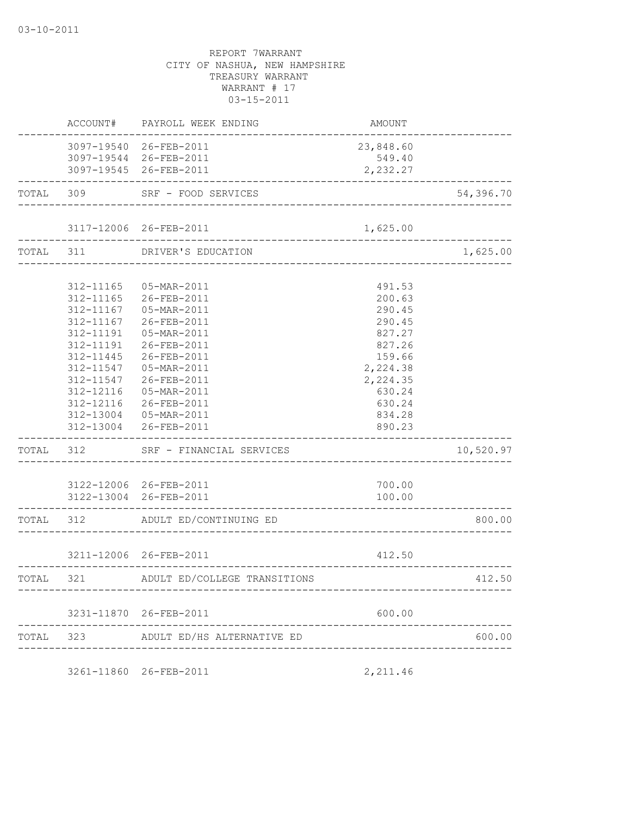|           |             | AMOUNT                                                                                                                                                                                                                                                                                                                                                                                                                                                                                                                                                                                                              |                                                                                       |
|-----------|-------------|---------------------------------------------------------------------------------------------------------------------------------------------------------------------------------------------------------------------------------------------------------------------------------------------------------------------------------------------------------------------------------------------------------------------------------------------------------------------------------------------------------------------------------------------------------------------------------------------------------------------|---------------------------------------------------------------------------------------|
|           |             |                                                                                                                                                                                                                                                                                                                                                                                                                                                                                                                                                                                                                     |                                                                                       |
|           |             | 549.40                                                                                                                                                                                                                                                                                                                                                                                                                                                                                                                                                                                                              |                                                                                       |
|           |             | 2,232.27                                                                                                                                                                                                                                                                                                                                                                                                                                                                                                                                                                                                            |                                                                                       |
|           |             |                                                                                                                                                                                                                                                                                                                                                                                                                                                                                                                                                                                                                     | 54,396.70                                                                             |
|           |             | 1,625.00                                                                                                                                                                                                                                                                                                                                                                                                                                                                                                                                                                                                            |                                                                                       |
|           |             |                                                                                                                                                                                                                                                                                                                                                                                                                                                                                                                                                                                                                     | 1,625.00                                                                              |
|           |             |                                                                                                                                                                                                                                                                                                                                                                                                                                                                                                                                                                                                                     |                                                                                       |
|           |             |                                                                                                                                                                                                                                                                                                                                                                                                                                                                                                                                                                                                                     |                                                                                       |
|           |             |                                                                                                                                                                                                                                                                                                                                                                                                                                                                                                                                                                                                                     |                                                                                       |
| 312-11167 | 26-FEB-2011 | 290.45                                                                                                                                                                                                                                                                                                                                                                                                                                                                                                                                                                                                              |                                                                                       |
| 312-11191 | 05-MAR-2011 | 827.27                                                                                                                                                                                                                                                                                                                                                                                                                                                                                                                                                                                                              |                                                                                       |
| 312-11191 | 26-FEB-2011 | 827.26                                                                                                                                                                                                                                                                                                                                                                                                                                                                                                                                                                                                              |                                                                                       |
| 312-11445 | 26-FEB-2011 | 159.66                                                                                                                                                                                                                                                                                                                                                                                                                                                                                                                                                                                                              |                                                                                       |
| 312-11547 | 05-MAR-2011 | 2,224.38                                                                                                                                                                                                                                                                                                                                                                                                                                                                                                                                                                                                            |                                                                                       |
|           |             | 2,224.35                                                                                                                                                                                                                                                                                                                                                                                                                                                                                                                                                                                                            |                                                                                       |
|           |             | 630.24                                                                                                                                                                                                                                                                                                                                                                                                                                                                                                                                                                                                              |                                                                                       |
|           |             | 630.24                                                                                                                                                                                                                                                                                                                                                                                                                                                                                                                                                                                                              |                                                                                       |
|           |             |                                                                                                                                                                                                                                                                                                                                                                                                                                                                                                                                                                                                                     |                                                                                       |
|           |             | 890.23                                                                                                                                                                                                                                                                                                                                                                                                                                                                                                                                                                                                              |                                                                                       |
|           |             |                                                                                                                                                                                                                                                                                                                                                                                                                                                                                                                                                                                                                     | 10,520.97                                                                             |
|           |             | 700.00                                                                                                                                                                                                                                                                                                                                                                                                                                                                                                                                                                                                              |                                                                                       |
|           |             |                                                                                                                                                                                                                                                                                                                                                                                                                                                                                                                                                                                                                     |                                                                                       |
|           |             |                                                                                                                                                                                                                                                                                                                                                                                                                                                                                                                                                                                                                     | 800.00                                                                                |
|           |             | 412.50                                                                                                                                                                                                                                                                                                                                                                                                                                                                                                                                                                                                              |                                                                                       |
|           |             |                                                                                                                                                                                                                                                                                                                                                                                                                                                                                                                                                                                                                     | 412.50                                                                                |
|           |             |                                                                                                                                                                                                                                                                                                                                                                                                                                                                                                                                                                                                                     |                                                                                       |
|           |             | 600.00                                                                                                                                                                                                                                                                                                                                                                                                                                                                                                                                                                                                              |                                                                                       |
|           |             |                                                                                                                                                                                                                                                                                                                                                                                                                                                                                                                                                                                                                     |                                                                                       |
|           |             | ACCOUNT# PAYROLL WEEK ENDING<br>3097-19540 26-FEB-2011<br>3097-19544 26-FEB-2011<br>3097-19545 26-FEB-2011<br>TOTAL 309 SRF - FOOD SERVICES<br>TOTAL 311 DRIVER'S EDUCATION<br>312-11165  05-MAR-2011<br>312-11165 26-FEB-2011<br>312-11167  05-MAR-2011<br>312-11547 26-FEB-2011<br>312-12116  05-MAR-2011<br>312-12116 26-FEB-2011<br>312-13004  05-MAR-2011<br>312-13004 26-FEB-2011<br>TOTAL 312 SRF - FINANCIAL SERVICES<br>3122-12006 26-FEB-2011<br>3122-13004 26-FEB-2011<br>TOTAL 312 ADULT ED/CONTINUING ED<br>3211-12006 26-FEB-2011<br>TOTAL 321 ADULT ED/COLLEGE TRANSITIONS<br>3231-11870 26-FEB-2011 | 23,848.60<br>491.53<br>200.63<br>290.45<br>834.28<br>100.00<br>______________________ |

3261-11860 26-FEB-2011 2,211.46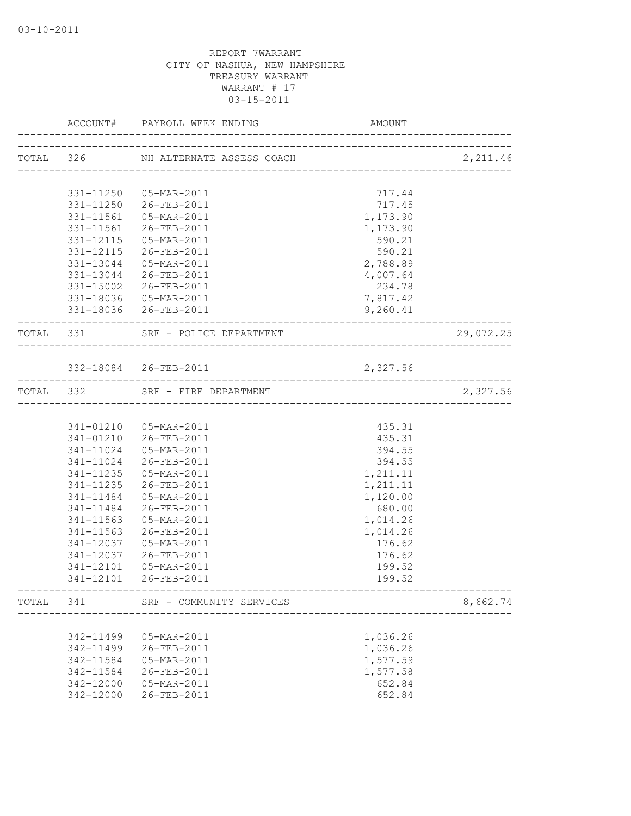|       |           | ACCOUNT# PAYROLL WEEK ENDING        | AMOUNT   |           |
|-------|-----------|-------------------------------------|----------|-----------|
|       |           | TOTAL 326 NH ALTERNATE ASSESS COACH |          | 2,211.46  |
|       |           |                                     |          |           |
|       |           | 331-11250  05-MAR-2011              | 717.44   |           |
|       |           | 331-11250 26-FEB-2011               | 717.45   |           |
|       |           | 331-11561  05-MAR-2011              | 1,173.90 |           |
|       |           | 331-11561 26-FEB-2011               | 1,173.90 |           |
|       |           | 331-12115  05-MAR-2011              | 590.21   |           |
|       |           | 331-12115 26-FEB-2011               | 590.21   |           |
|       |           | 331-13044  05-MAR-2011              | 2,788.89 |           |
|       |           | 331-13044 26-FEB-2011               | 4,007.64 |           |
|       |           | 331-15002 26-FEB-2011               | 234.78   |           |
|       |           | 331-18036  05-MAR-2011              | 7,817.42 |           |
|       |           | 331-18036 26-FEB-2011               | 9,260.41 |           |
|       |           | TOTAL 331 SRF - POLICE DEPARTMENT   |          | 29,072.25 |
|       |           |                                     |          |           |
|       |           | 332-18084 26-FEB-2011               | 2,327.56 |           |
|       |           | TOTAL 332 SRF - FIRE DEPARTMENT     |          | 2,327.56  |
|       |           |                                     |          |           |
|       |           | 341-01210  05-MAR-2011              | 435.31   |           |
|       |           | 341-01210 26-FEB-2011               | 435.31   |           |
|       |           | 341-11024  05-MAR-2011              | 394.55   |           |
|       |           | 341-11024 26-FEB-2011               | 394.55   |           |
|       |           | 341-11235  05-MAR-2011              | 1,211.11 |           |
|       | 341-11235 | 26-FEB-2011                         | 1,211.11 |           |
|       | 341-11484 | 05-MAR-2011                         | 1,120.00 |           |
|       | 341-11484 | 26-FEB-2011                         | 680.00   |           |
|       | 341-11563 | 05-MAR-2011                         | 1,014.26 |           |
|       | 341-11563 | 26-FEB-2011                         | 1,014.26 |           |
|       | 341-12037 | 05-MAR-2011                         | 176.62   |           |
|       |           | 341-12037 26-FEB-2011               | 176.62   |           |
|       | 341-12101 | 05-MAR-2011                         | 199.52   |           |
|       |           | 341-12101 26-FEB-2011               | 199.52   |           |
| TOTAL | 341       | SRF - COMMUNITY SERVICES            |          | 8,662.74  |
|       |           |                                     |          |           |
|       | 342-11499 | 05-MAR-2011                         | 1,036.26 |           |
|       | 342-11499 | 26-FEB-2011                         | 1,036.26 |           |
|       | 342-11584 | 05-MAR-2011                         | 1,577.59 |           |
|       | 342-11584 | 26-FEB-2011                         | 1,577.58 |           |
|       | 342-12000 | 05-MAR-2011                         | 652.84   |           |
|       | 342-12000 | 26-FEB-2011                         | 652.84   |           |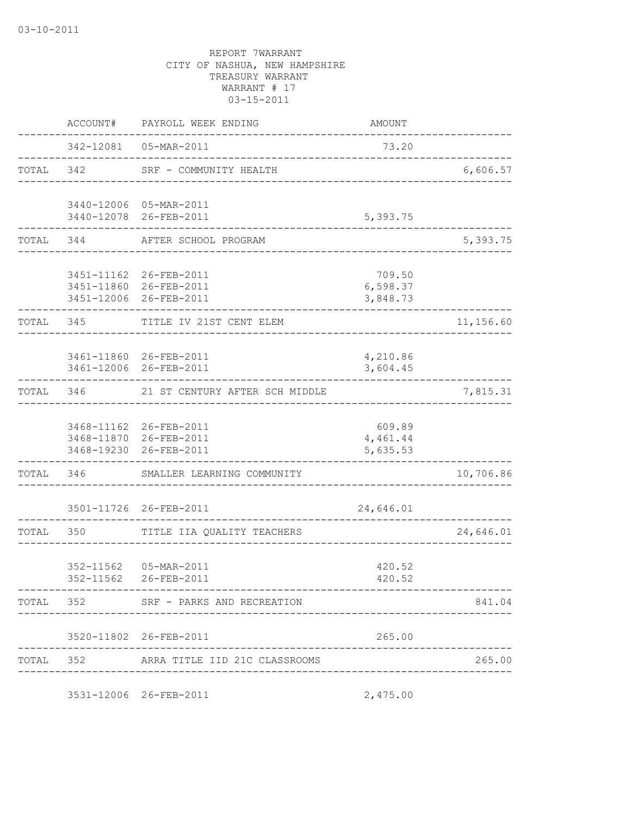|           | ACCOUNT#               | PAYROLL WEEK ENDING                                                        | <b>AMOUNT</b>                  |           |
|-----------|------------------------|----------------------------------------------------------------------------|--------------------------------|-----------|
|           |                        | 342-12081  05-MAR-2011                                                     | 73.20                          |           |
| TOTAL 342 |                        | SRF - COMMUNITY HEALTH<br><u>. Se se se se se se se se se s</u>            |                                | 6,606.57  |
|           |                        | 3440-12006 05-MAR-2011<br>3440-12078 26-FEB-2011                           | 5,393.75                       |           |
| TOTAL     | 344                    | AFTER SCHOOL PROGRAM                                                       |                                | 5,393.75  |
|           |                        | 3451-11162 26-FEB-2011<br>3451-11860 26-FEB-2011<br>3451-12006 26-FEB-2011 | 709.50<br>6,598.37<br>3,848.73 |           |
|           | TOTAL 345              | TITLE IV 21ST CENT ELEM                                                    |                                | 11,156.60 |
|           |                        | 3461-11860 26-FEB-2011<br>3461-12006 26-FEB-2011                           | 4,210.86<br>3,604.45           |           |
| TOTAL     | 346                    | 21 ST CENTURY AFTER SCH MIDDLE                                             |                                | 7,815.31  |
|           |                        | 3468-11162 26-FEB-2011<br>3468-11870 26-FEB-2011<br>3468-19230 26-FEB-2011 | 609.89<br>4,461.44<br>5,635.53 |           |
| TOTAL     |                        | 346 SMALLER LEARNING COMMUNITY                                             |                                | 10,706.86 |
|           |                        | 3501-11726 26-FEB-2011                                                     | 24,646.01                      |           |
| TOTAL     | 350                    | TITLE IIA QUALITY TEACHERS                                                 |                                | 24,646.01 |
|           | 352-11562<br>352-11562 | 05-MAR-2011<br>26-FEB-2011                                                 | 420.52<br>420.52               |           |
|           |                        | TOTAL 352 SRF - PARKS AND RECREATION                                       |                                | 841.04    |
|           |                        | 3520-11802 26-FEB-2011                                                     | 265.00                         |           |
|           |                        | TOTAL 352 ARRA TITLE IID 21C CLASSROOMS                                    |                                | 265.00    |
|           |                        | 3531-12006 26-FEB-2011                                                     | 2,475.00                       |           |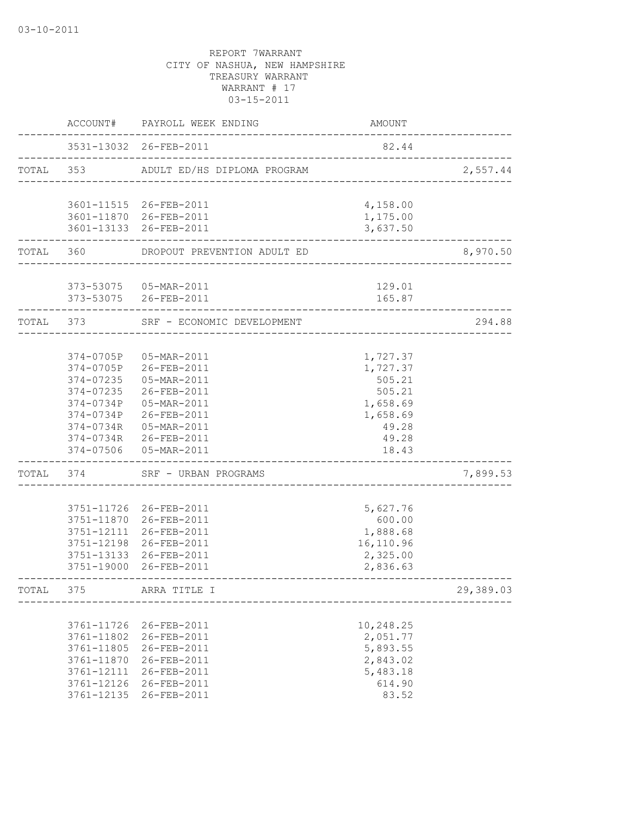|           |            | ACCOUNT# PAYROLL WEEK ENDING                     | AMOUNT               |           |
|-----------|------------|--------------------------------------------------|----------------------|-----------|
|           |            | 3531-13032 26-FEB-2011                           | 82.44                |           |
|           | TOTAL 353  | ADULT ED/HS DIPLOMA PROGRAM                      |                      | 2,557.44  |
|           |            | 3601-11515 26-FEB-2011                           | 4,158.00             |           |
|           |            | 3601-11870 26-FEB-2011<br>3601-13133 26-FEB-2011 | 1,175.00<br>3,637.50 |           |
| TOTAL 360 |            | DROPOUT PREVENTION ADULT ED                      |                      | 8,970.50  |
|           |            | 373-53075  05-MAR-2011                           | 129.01               |           |
|           |            | 373-53075 26-FEB-2011                            | 165.87               |           |
| TOTAL 373 |            | SRF - ECONOMIC DEVELOPMENT                       |                      | 294.88    |
|           | 374-0705P  | 05-MAR-2011                                      | 1,727.37             |           |
|           | 374-0705P  | $26 - FEB - 2011$                                | 1,727.37             |           |
|           | 374-07235  | 05-MAR-2011                                      | 505.21               |           |
|           | 374-07235  | 26-FEB-2011                                      | 505.21               |           |
|           |            | 374-0734P 05-MAR-2011                            | 1,658.69             |           |
|           |            | 374-0734P 26-FEB-2011                            | 1,658.69             |           |
|           |            | 374-0734R 05-MAR-2011                            | 49.28                |           |
|           |            | 374-0734R 26-FEB-2011                            | 49.28                |           |
|           | 374-07506  | 05-MAR-2011                                      | 18.43                |           |
| TOTAL     | 374        | SRF - URBAN PROGRAMS                             |                      | 7,899.53  |
|           | 3751-11726 | 26-FEB-2011                                      | 5,627.76             |           |
|           | 3751-11870 | 26-FEB-2011                                      | 600.00               |           |
|           | 3751-12111 | 26-FEB-2011                                      | 1,888.68             |           |
|           | 3751-12198 | 26-FEB-2011                                      | 16,110.96            |           |
|           | 3751-13133 | 26-FEB-2011                                      | 2,325.00             |           |
|           | 3751-19000 | 26-FEB-2011                                      | 2,836.63             |           |
| TOTAL     | 375        | ARRA TITLE I                                     |                      | 29,389.03 |
|           | 3761-11726 | 26-FEB-2011                                      | 10,248.25            |           |
|           | 3761-11802 | 26-FEB-2011                                      | 2,051.77             |           |
|           | 3761-11805 | 26-FEB-2011                                      | 5,893.55             |           |
|           | 3761-11870 | 26-FEB-2011                                      | 2,843.02             |           |
|           | 3761-12111 | 26-FEB-2011                                      | 5,483.18             |           |
|           | 3761-12126 | 26-FEB-2011                                      | 614.90               |           |
|           | 3761-12135 | 26-FEB-2011                                      | 83.52                |           |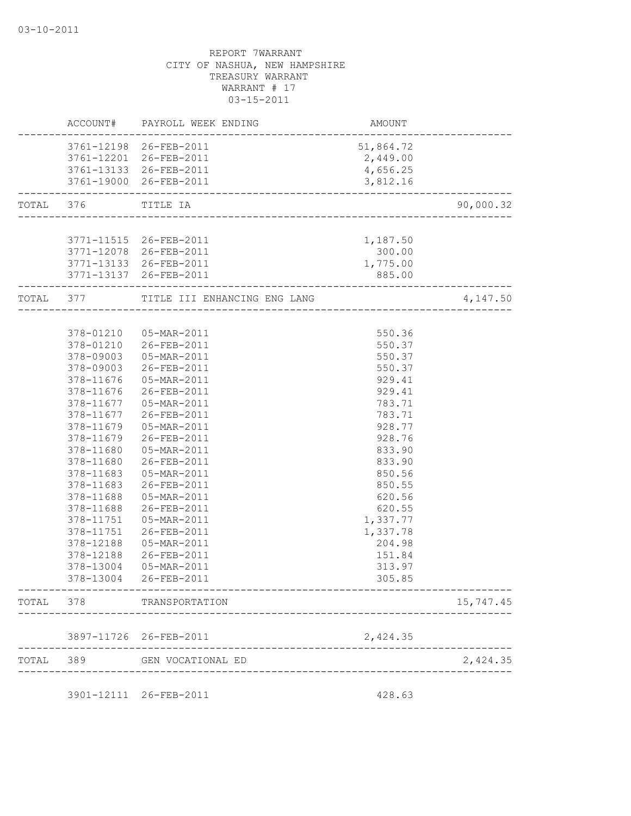| 3761-12198 26-FEB-2011<br>3761-12201 26-FEB-2011<br>3761-13133 26-FEB-2011<br>3761-19000 26-FEB-2011<br>TOTAL 376<br>TITLE IA<br>3771-11515 26-FEB-2011<br>3771-12078 26-FEB-2011<br>3771-13133 26-FEB-2011<br>3771-13137 26-FEB-2011<br>TOTAL 377<br>TITLE III ENHANCING ENG LANG<br>378-01210  05-MAR-2011<br>378-01210 26-FEB-2011 | AMOUNT<br>---------------------<br>51,864.72<br>2,449.00<br>4,656.25 |
|---------------------------------------------------------------------------------------------------------------------------------------------------------------------------------------------------------------------------------------------------------------------------------------------------------------------------------------|----------------------------------------------------------------------|
|                                                                                                                                                                                                                                                                                                                                       |                                                                      |
|                                                                                                                                                                                                                                                                                                                                       |                                                                      |
|                                                                                                                                                                                                                                                                                                                                       |                                                                      |
|                                                                                                                                                                                                                                                                                                                                       | 3,812.16                                                             |
|                                                                                                                                                                                                                                                                                                                                       | 90,000.32<br>_________________________                               |
|                                                                                                                                                                                                                                                                                                                                       |                                                                      |
|                                                                                                                                                                                                                                                                                                                                       | 1,187.50                                                             |
|                                                                                                                                                                                                                                                                                                                                       | 300.00                                                               |
|                                                                                                                                                                                                                                                                                                                                       | 1,775.00                                                             |
|                                                                                                                                                                                                                                                                                                                                       | 885.00                                                               |
|                                                                                                                                                                                                                                                                                                                                       | 4,147.50                                                             |
|                                                                                                                                                                                                                                                                                                                                       |                                                                      |
|                                                                                                                                                                                                                                                                                                                                       | 550.36<br>550.37                                                     |
| 378-09003  05-MAR-2011                                                                                                                                                                                                                                                                                                                | 550.37                                                               |
| 378-09003 26-FEB-2011                                                                                                                                                                                                                                                                                                                 | 550.37                                                               |
| 378-11676  05-MAR-2011                                                                                                                                                                                                                                                                                                                | 929.41                                                               |
| 378-11676<br>26-FEB-2011                                                                                                                                                                                                                                                                                                              | 929.41                                                               |
| 378-11677<br>05-MAR-2011                                                                                                                                                                                                                                                                                                              | 783.71                                                               |
| 378-11677<br>26-FEB-2011                                                                                                                                                                                                                                                                                                              | 783.71                                                               |
| 378-11679<br>05-MAR-2011                                                                                                                                                                                                                                                                                                              | 928.77                                                               |
| 378-11679<br>26-FEB-2011                                                                                                                                                                                                                                                                                                              | 928.76                                                               |
| 378-11680<br>05-MAR-2011                                                                                                                                                                                                                                                                                                              | 833.90                                                               |
| 378-11680<br>26-FEB-2011                                                                                                                                                                                                                                                                                                              | 833.90                                                               |
| 378-11683<br>05-MAR-2011                                                                                                                                                                                                                                                                                                              | 850.56                                                               |
| 26-FEB-2011<br>378-11683                                                                                                                                                                                                                                                                                                              | 850.55                                                               |
| 378-11688<br>05-MAR-2011                                                                                                                                                                                                                                                                                                              | 620.56                                                               |
| 378-11688<br>26-FEB-2011                                                                                                                                                                                                                                                                                                              | 620.55                                                               |
| 378-11751<br>05-MAR-2011                                                                                                                                                                                                                                                                                                              | 1,337.77                                                             |
| 378-11751<br>26-FEB-2011                                                                                                                                                                                                                                                                                                              | 1,337.78                                                             |
| 378-12188<br>05-MAR-2011                                                                                                                                                                                                                                                                                                              | 204.98                                                               |
| 378-12188<br>26-FEB-2011                                                                                                                                                                                                                                                                                                              | 151.84                                                               |
| 378-13004<br>05-MAR-2011                                                                                                                                                                                                                                                                                                              | 313.97                                                               |
| 378-13004<br>26-FEB-2011                                                                                                                                                                                                                                                                                                              | 305.85                                                               |
| TOTAL 378<br>TRANSPORTATION                                                                                                                                                                                                                                                                                                           | 15,747.45                                                            |
|                                                                                                                                                                                                                                                                                                                                       |                                                                      |
| 3897-11726 26-FEB-2011                                                                                                                                                                                                                                                                                                                | 2,424.35                                                             |
| TOTAL<br>389<br>GEN VOCATIONAL ED                                                                                                                                                                                                                                                                                                     | 2,424.35                                                             |
| 3901-12111 26-FEB-2011                                                                                                                                                                                                                                                                                                                | 428.63                                                               |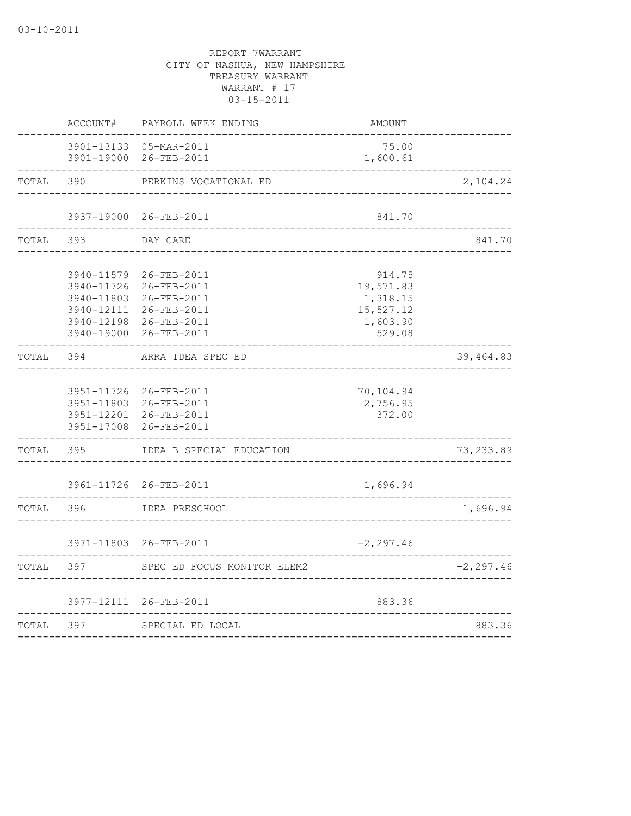|       | ACCOUNT# | PAYROLL WEEK ENDING                                                                                                                                      | AMOUNT                                                             |              |
|-------|----------|----------------------------------------------------------------------------------------------------------------------------------------------------------|--------------------------------------------------------------------|--------------|
|       |          | 3901-13133  05-MAR-2011<br>3901-19000 26-FEB-2011                                                                                                        | 75.00<br>1,600.61                                                  |              |
| TOTAL | 390      | PERKINS VOCATIONAL ED                                                                                                                                    |                                                                    | 2,104.24     |
|       |          | 3937-19000 26-FEB-2011                                                                                                                                   | 841.70                                                             |              |
| TOTAL | 393      | DAY CARE                                                                                                                                                 |                                                                    | 841.70       |
|       |          | 3940-11579 26-FEB-2011<br>3940-11726 26-FEB-2011<br>3940-11803 26-FEB-2011<br>3940-12111 26-FEB-2011<br>3940-12198 26-FEB-2011<br>3940-19000 26-FEB-2011 | 914.75<br>19,571.83<br>1,318.15<br>15,527.12<br>1,603.90<br>529.08 |              |
| TOTAL | 394      | ARRA IDEA SPEC ED                                                                                                                                        |                                                                    | 39,464.83    |
|       |          | 3951-11726 26-FEB-2011<br>3951-11803 26-FEB-2011<br>3951-12201 26-FEB-2011<br>3951-17008 26-FEB-2011                                                     | 70,104.94<br>2,756.95<br>372.00                                    |              |
| TOTAL | 395      | IDEA B SPECIAL EDUCATION                                                                                                                                 |                                                                    | 73, 233.89   |
|       |          | 3961-11726 26-FEB-2011                                                                                                                                   | 1,696.94                                                           |              |
| TOTAL | 396      | IDEA PRESCHOOL                                                                                                                                           |                                                                    | 1,696.94     |
|       |          | 3971-11803 26-FEB-2011                                                                                                                                   | $-2, 297.46$                                                       |              |
| TOTAL | 397      | SPEC ED FOCUS MONITOR ELEM2                                                                                                                              |                                                                    | $-2, 297.46$ |
|       |          | 3977-12111 26-FEB-2011                                                                                                                                   | 883.36                                                             |              |
| TOTAL | 397      | SPECIAL ED LOCAL<br>_______________________                                                                                                              |                                                                    | 883.36       |
|       |          |                                                                                                                                                          |                                                                    |              |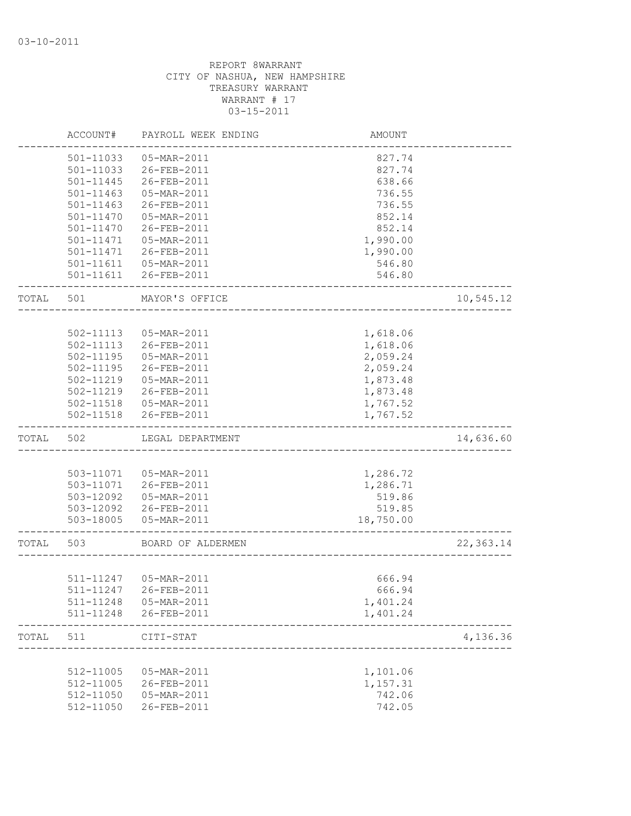|       | ACCOUNT#               | PAYROLL WEEK ENDING        | AMOUNT           |            |
|-------|------------------------|----------------------------|------------------|------------|
|       | 501-11033              | 05-MAR-2011                | 827.74           |            |
|       | 501-11033              | 26-FEB-2011                | 827.74           |            |
|       | 501-11445              | 26-FEB-2011                | 638.66           |            |
|       | 501-11463              | 05-MAR-2011                | 736.55           |            |
|       | $501 - 11463$          | 26-FEB-2011                | 736.55           |            |
|       | 501-11470              | 05-MAR-2011                | 852.14           |            |
|       | 501-11470              | 26-FEB-2011                | 852.14           |            |
|       | 501-11471              | 05-MAR-2011                | 1,990.00         |            |
|       | 501-11471              | 26-FEB-2011                | 1,990.00         |            |
|       |                        | 501-11611  05-MAR-2011     | 546.80           |            |
|       |                        | 501-11611 26-FEB-2011      | 546.80           |            |
| TOTAL | 501                    | MAYOR'S OFFICE             |                  | 10,545.12  |
|       |                        |                            |                  |            |
|       | 502-11113              | 05-MAR-2011                | 1,618.06         |            |
|       | 502-11113              | 26-FEB-2011                | 1,618.06         |            |
|       | $502 - 11195$          | 05-MAR-2011                | 2,059.24         |            |
|       | 502-11195              | 26-FEB-2011                | 2,059.24         |            |
|       | 502-11219              | 05-MAR-2011                | 1,873.48         |            |
|       | 502-11219              | 26-FEB-2011                | 1,873.48         |            |
|       |                        | 502-11518  05-MAR-2011     | 1,767.52         |            |
|       | 502-11518              | 26-FEB-2011                | 1,767.52         |            |
| TOTAL | 502                    | LEGAL DEPARTMENT           |                  | 14,636.60  |
|       |                        |                            |                  |            |
|       |                        | 503-11071  05-MAR-2011     | 1,286.72         |            |
|       |                        | 503-11071 26-FEB-2011      | 1,286.71         |            |
|       | 503-12092              | 05-MAR-2011                | 519.86           |            |
|       | 503-12092              | 26-FEB-2011                | 519.85           |            |
|       | 503-18005              | 05-MAR-2011                | 18,750.00        |            |
| TOTAL | 503                    | BOARD OF ALDERMEN          |                  | 22, 363.14 |
|       |                        |                            |                  |            |
|       |                        | 511-11247  05-MAR-2011     | 666.94           |            |
|       |                        |                            | 666.94           |            |
|       | 511-11248              | 05-MAR-2011                | 1,401.24         |            |
|       | 511-11248              | 26-FEB-2011                | 1,401.24         |            |
| TOTAL | 511                    | CITI-STAT                  |                  | 4,136.36   |
|       |                        |                            |                  |            |
|       | 512-11005              | 05-MAR-2011                | 1,101.06         |            |
|       |                        |                            |                  |            |
|       | 512-11005              | 26-FEB-2011                | 1,157.31         |            |
|       | 512-11050<br>512-11050 | 05-MAR-2011<br>26-FEB-2011 | 742.06<br>742.05 |            |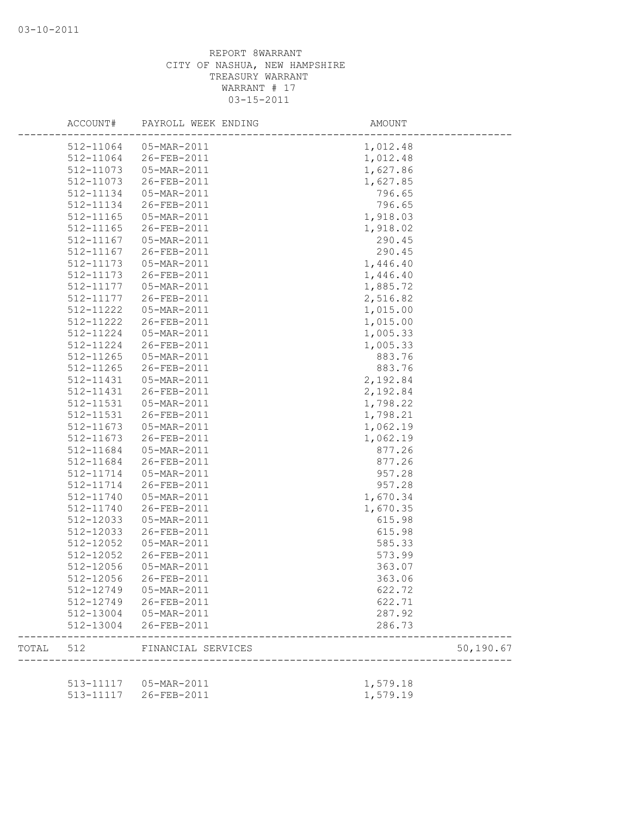|       | ACCOUNT#      | PAYROLL WEEK ENDING                   | AMOUNT           |            |
|-------|---------------|---------------------------------------|------------------|------------|
|       |               | 512-11064 05-MAR-2011                 | 1,012.48         |            |
|       | 512-11064     | 26-FEB-2011                           | 1,012.48         |            |
|       | 512-11073     | 05-MAR-2011                           | 1,627.86         |            |
|       | 512-11073     | 26-FEB-2011                           | 1,627.85         |            |
|       | 512-11134     | 05-MAR-2011                           | 796.65           |            |
|       | 512-11134     | 26-FEB-2011                           | 796.65           |            |
|       | 512-11165     | 05-MAR-2011                           | 1,918.03         |            |
|       | 512-11165     | 26-FEB-2011                           | 1,918.02         |            |
|       | 512-11167     | 05-MAR-2011                           | 290.45           |            |
|       | 512-11167     | 26-FEB-2011                           | 290.45           |            |
|       | 512-11173     | 05-MAR-2011                           | 1,446.40         |            |
|       | 512-11173     | 26-FEB-2011                           | 1,446.40         |            |
|       | 512-11177     | 05-MAR-2011                           | 1,885.72         |            |
|       | 512-11177     | 26-FEB-2011                           | 2,516.82         |            |
|       | 512-11222     | 05-MAR-2011                           | 1,015.00         |            |
|       | 512-11222     | 26-FEB-2011                           | 1,015.00         |            |
|       | 512-11224     | 05-MAR-2011                           | 1,005.33         |            |
|       | 512-11224     | 26-FEB-2011                           | 1,005.33         |            |
|       | $512 - 11265$ | 05-MAR-2011                           | 883.76           |            |
|       | 512-11265     | 26-FEB-2011                           | 883.76           |            |
|       | 512-11431     | 05-MAR-2011                           | 2,192.84         |            |
|       | 512-11431     | 26-FEB-2011                           | 2,192.84         |            |
|       | 512-11531     | 05-MAR-2011                           | 1,798.22         |            |
|       | 512-11531     | 26-FEB-2011                           | 1,798.21         |            |
|       | 512-11673     | 05-MAR-2011                           | 1,062.19         |            |
|       | 512-11673     | 26-FEB-2011                           | 1,062.19         |            |
|       | 512-11684     | 05-MAR-2011                           | 877.26           |            |
|       | 512-11684     | 26-FEB-2011                           | 877.26           |            |
|       | 512-11714     | 05-MAR-2011                           | 957.28           |            |
|       | 512-11714     | 26-FEB-2011                           | 957.28           |            |
|       | 512-11740     | 05-MAR-2011                           | 1,670.34         |            |
|       | 512-11740     | 26-FEB-2011                           | 1,670.35         |            |
|       | 512-12033     | 05-MAR-2011                           | 615.98           |            |
|       | 512-12033     | 26-FEB-2011                           | 615.98           |            |
|       | 512-12052     | 05-MAR-2011                           | 585.33           |            |
|       | 512-12052     | 26-FEB-2011                           | 573.99           |            |
|       | 512-12056     | 05-MAR-2011                           | 363.07           |            |
|       | 512-12056     | 26-FEB-2011                           | 363.06           |            |
|       | 512-12749     | 05-MAR-2011                           | 622.72           |            |
|       |               | 512-12749 26-FEB-2011                 | 622.71           |            |
|       |               |                                       |                  |            |
|       | 512-13004     | 512-13004  05-MAR-2011<br>26-FEB-2011 | 287.92<br>286.73 |            |
|       |               |                                       |                  |            |
| TOTAL | 512           | FINANCIAL SERVICES                    |                  | 50, 190.67 |
|       |               | 513-11117   05-MAR-2011               | 1,579.18         |            |
|       | 513-11117     | 26-FEB-2011                           | 1,579.19         |            |
|       |               |                                       |                  |            |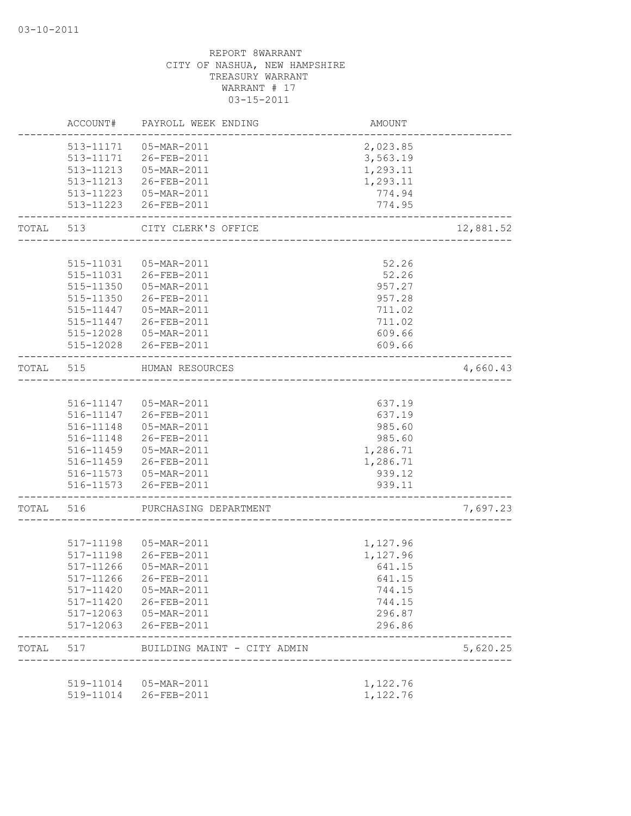|           | ACCOUNT#               | PAYROLL WEEK ENDING                             | AMOUNT                                |           |
|-----------|------------------------|-------------------------------------------------|---------------------------------------|-----------|
|           |                        | 513-11171  05-MAR-2011                          | 2,023.85                              |           |
|           |                        | 513-11171 26-FEB-2011                           | 3,563.19                              |           |
|           |                        | 513-11213  05-MAR-2011                          | 1,293.11                              |           |
|           |                        | 513-11213 26-FEB-2011                           | 1,293.11                              |           |
|           |                        | 513-11223  05-MAR-2011                          | 774.94                                |           |
|           |                        | 513-11223 26-FEB-2011                           | 774.95                                |           |
| TOTAL     | 513                    | CITY CLERK'S OFFICE<br>________________________ |                                       | 12,881.52 |
|           |                        |                                                 |                                       |           |
|           |                        | 515-11031  05-MAR-2011                          | 52.26                                 |           |
|           |                        | 515-11031 26-FEB-2011                           | 52.26                                 |           |
|           | 515-11350              | 05-MAR-2011                                     | 957.27                                |           |
|           |                        | 515-11350 26-FEB-2011                           | 957.28                                |           |
|           | 515-11447              | 05-MAR-2011                                     | 711.02                                |           |
|           | 515-11447              | 26-FEB-2011                                     | 711.02                                |           |
|           |                        | 515-12028  05-MAR-2011                          | 609.66                                |           |
|           |                        | 515-12028 26-FEB-2011                           | 609.66                                |           |
| TOTAL     | 515                    | HUMAN RESOURCES                                 | ------------------------------------- | 4,660.43  |
|           |                        |                                                 |                                       |           |
|           |                        | 516-11147  05-MAR-2011                          | 637.19                                |           |
|           |                        | 516-11147 26-FEB-2011                           | 637.19                                |           |
|           | 516-11148              | 05-MAR-2011                                     | 985.60                                |           |
|           |                        | 516-11148 26-FEB-2011                           | 985.60                                |           |
|           |                        | 516-11459  05-MAR-2011                          | 1,286.71                              |           |
|           |                        | 516-11459 26-FEB-2011                           | 1,286.71                              |           |
|           |                        | 516-11573  05-MAR-2011                          | 939.12                                |           |
|           |                        | 516-11573 26-FEB-2011                           | 939.11                                |           |
| TOTAL 516 |                        | PURCHASING DEPARTMENT                           |                                       | 7,697.23  |
|           |                        |                                                 |                                       |           |
|           |                        | 517-11198   05-MAR-2011                         | 1,127.96                              |           |
|           |                        | 517-11198 26-FEB-2011                           | 1,127.96                              |           |
|           | 517-11266              | 05-MAR-2011                                     | 641.15                                |           |
|           |                        | 517-11266 26-FEB-2011                           | 641.15                                |           |
|           | 517-11420              | 05-MAR-2011                                     | 744.15                                |           |
|           | 517-11420              | 26-FEB-2011                                     | 744.15                                |           |
|           | 517-12063<br>517-12063 | 05-MAR-2011<br>26-FEB-2011                      | 296.87<br>296.86                      |           |
| TOTAL     | 517                    | BUILDING MAINT - CITY ADMIN                     |                                       | 5,620.25  |
|           |                        |                                                 |                                       |           |
|           | 519-11014              | 05-MAR-2011                                     | 1,122.76                              |           |
|           | 519-11014              | 26-FEB-2011                                     | 1,122.76                              |           |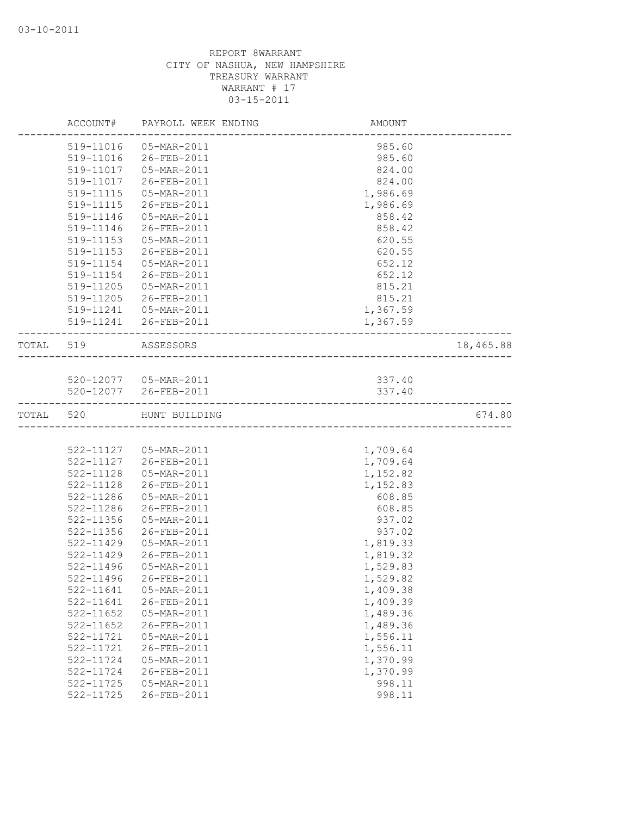|           | ACCOUNT#      | PAYROLL WEEK ENDING     | AMOUNT   |           |
|-----------|---------------|-------------------------|----------|-----------|
|           | 519-11016     | 05-MAR-2011             | 985.60   |           |
|           | 519-11016     | 26-FEB-2011             | 985.60   |           |
|           | 519-11017     | 05-MAR-2011             | 824.00   |           |
|           | 519-11017     | 26-FEB-2011             | 824.00   |           |
|           | 519-11115     | 05-MAR-2011             | 1,986.69 |           |
|           | 519-11115     | 26-FEB-2011             | 1,986.69 |           |
|           | 519-11146     | 05-MAR-2011             | 858.42   |           |
|           | 519-11146     | 26-FEB-2011             | 858.42   |           |
|           | 519-11153     | 05-MAR-2011             | 620.55   |           |
|           | 519-11153     | 26-FEB-2011             | 620.55   |           |
|           | 519-11154     | 05-MAR-2011             | 652.12   |           |
|           | 519-11154     | 26-FEB-2011             | 652.12   |           |
|           | 519-11205     | 05-MAR-2011             | 815.21   |           |
|           | 519-11205     | 26-FEB-2011             | 815.21   |           |
|           |               | 519-11241   05-MAR-2011 | 1,367.59 |           |
|           |               | 519-11241 26-FEB-2011   | 1,367.59 |           |
| TOTAL 519 |               | ASSESSORS               |          | 18,465.88 |
|           |               |                         |          |           |
|           |               | 520-12077   05-MAR-2011 | 337.40   |           |
|           |               | 520-12077 26-FEB-2011   | 337.40   |           |
| TOTAL 520 |               | HUNT BUILDING           |          | 674.80    |
|           |               |                         |          |           |
|           |               | 522-11127  05-MAR-2011  | 1,709.64 |           |
|           |               | 522-11127 26-FEB-2011   | 1,709.64 |           |
|           | 522-11128     | 05-MAR-2011             | 1,152.82 |           |
|           | 522-11128     | 26-FEB-2011             | 1,152.83 |           |
|           | 522-11286     | 05-MAR-2011             | 608.85   |           |
|           | 522-11286     | 26-FEB-2011             | 608.85   |           |
|           | 522-11356     | 05-MAR-2011             | 937.02   |           |
|           | 522-11356     | 26-FEB-2011             | 937.02   |           |
|           | 522-11429     | 05-MAR-2011             | 1,819.33 |           |
|           | 522-11429     | 26-FEB-2011             | 1,819.32 |           |
|           | $522 - 11496$ | 05-MAR-2011             | 1,529.83 |           |
|           |               | 522-11496 26-FEB-2011   | 1,529.82 |           |
|           | 522-11641     | 05-MAR-2011             | 1,409.38 |           |
|           | 522-11641     | 26-FEB-2011             | 1,409.39 |           |
|           | $522 - 11652$ | 05-MAR-2011             | 1,489.36 |           |
|           | $522 - 11652$ | 26-FEB-2011             | 1,489.36 |           |
|           | 522-11721     | 05-MAR-2011             | 1,556.11 |           |
|           | 522-11721     | 26-FEB-2011             | 1,556.11 |           |
|           | 522-11724     | 05-MAR-2011             | 1,370.99 |           |
|           | 522-11724     | 26-FEB-2011             | 1,370.99 |           |
|           | 522-11725     | 05-MAR-2011             | 998.11   |           |
|           | 522-11725     | 26-FEB-2011             | 998.11   |           |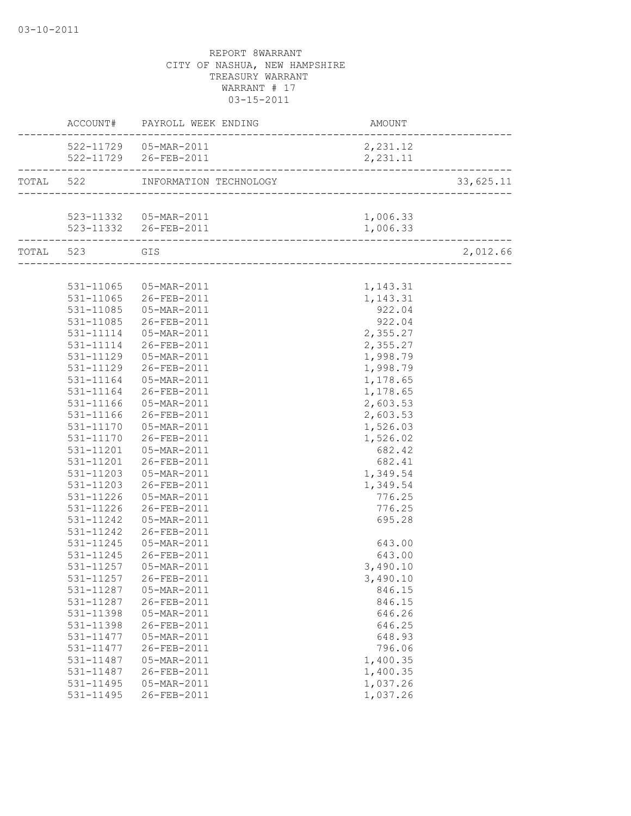|                   | ACCOUNT# PAYROLL WEEK ENDING     | AMOUNT                            |           |
|-------------------|----------------------------------|-----------------------------------|-----------|
|                   | 522-11729  05-MAR-2011           | 2,231.12                          |           |
|                   | 522-11729 26-FEB-2011            | 2, 231.11                         |           |
|                   | TOTAL 522 INFORMATION TECHNOLOGY | --------------------------------- | 33,625.11 |
|                   |                                  |                                   |           |
|                   |                                  | 1,006.33                          |           |
| _________________ |                                  | 1,006.33                          |           |
| TOTAL 523 GIS     |                                  |                                   | 2,012.66  |
|                   |                                  |                                   |           |
|                   | 531-11065  05-MAR-2011           | 1,143.31                          |           |
|                   | 531-11065 26-FEB-2011            | 1,143.31                          |           |
|                   | 531-11085  05-MAR-2011           | 922.04                            |           |
| 531-11085         | 26-FEB-2011                      | 922.04                            |           |
| 531-11114         | 05-MAR-2011                      | 2,355.27                          |           |
| 531-11114         | 26-FEB-2011                      | 2,355.27                          |           |
| 531-11129         | 05-MAR-2011                      | 1,998.79                          |           |
| 531-11129         | 26-FEB-2011                      | 1,998.79                          |           |
|                   | 531-11164  05-MAR-2011           | 1,178.65                          |           |
|                   | 531-11164 26-FEB-2011            | 1,178.65                          |           |
| 531-11166         | 05-MAR-2011                      | 2,603.53                          |           |
| 531-11166         | 26-FEB-2011                      | 2,603.53                          |           |
|                   | 531-11170  05-MAR-2011           | 1,526.03                          |           |
|                   | 531-11170 26-FEB-2011            | 1,526.02                          |           |
|                   | 531-11201  05-MAR-2011           | 682.42                            |           |
|                   | 531-11201 26-FEB-2011            | 682.41                            |           |
|                   | 531-11203  05-MAR-2011           | 1,349.54                          |           |
|                   | 531-11203 26-FEB-2011            | 1,349.54                          |           |
| 531-11226         | 05-MAR-2011                      | 776.25                            |           |
| 531-11226         | 26-FEB-2011                      | 776.25                            |           |
| 531-11242         | 05-MAR-2011                      | 695.28                            |           |
| 531-11242         | 26-FEB-2011                      |                                   |           |
| 531-11245         | 05-MAR-2011                      | 643.00                            |           |
| 531-11245         | 26-FEB-2011                      | 643.00                            |           |
| 531-11257         | 05-MAR-2011                      | 3,490.10                          |           |
|                   |                                  | 3,490.10                          |           |
| 531-11287         | 05-MAR-2011                      | 846.15                            |           |
| 531-11287         | 26-FEB-2011                      | 846.15                            |           |
| 531-11398         | 05-MAR-2011                      | 646.26                            |           |
| 531-11398         | 26-FEB-2011                      | 646.25                            |           |
| 531-11477         | 05-MAR-2011                      | 648.93                            |           |
| 531-11477         | 26-FEB-2011                      | 796.06                            |           |
| 531-11487         | 05-MAR-2011                      | 1,400.35                          |           |
| 531-11487         | 26-FEB-2011                      | 1,400.35                          |           |
| 531-11495         | 05-MAR-2011                      | 1,037.26                          |           |
| 531-11495         | 26-FEB-2011                      | 1,037.26                          |           |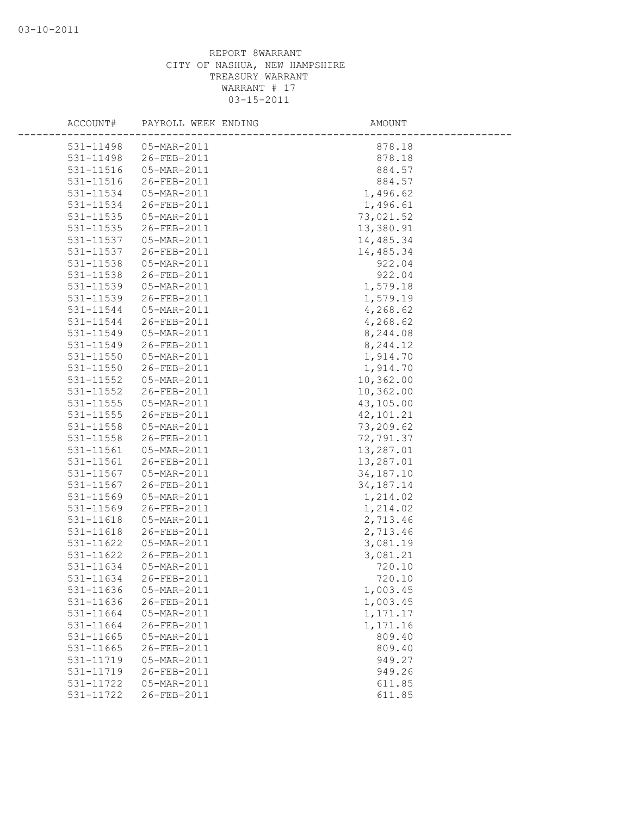| ACCOUNT#               | PAYROLL WEEK ENDING        | AMOUNT               |
|------------------------|----------------------------|----------------------|
| 531-11498              | 05-MAR-2011                | 878.18               |
| 531-11498              | 26-FEB-2011                | 878.18               |
| 531-11516              | 05-MAR-2011                | 884.57               |
| 531-11516              | 26-FEB-2011                | 884.57               |
| 531-11534              | 05-MAR-2011                | 1,496.62             |
| 531-11534              | 26-FEB-2011                | 1,496.61             |
| 531-11535              | 05-MAR-2011                | 73,021.52            |
| 531-11535              | 26-FEB-2011                | 13,380.91            |
| 531-11537              | 05-MAR-2011                | 14,485.34            |
| 531-11537              | 26-FEB-2011                | 14,485.34            |
| 531-11538              | 05-MAR-2011                | 922.04               |
| 531-11538              | 26-FEB-2011                | 922.04               |
| 531-11539              | 05-MAR-2011                | 1,579.18             |
| 531-11539              | 26-FEB-2011                | 1,579.19             |
| 531-11544              | 05-MAR-2011                | 4,268.62             |
| 531-11544              | 26-FEB-2011                | 4,268.62             |
| 531-11549              | 05-MAR-2011                | 8,244.08             |
| 531-11549              | 26-FEB-2011                | 8,244.12             |
| 531-11550              | 05-MAR-2011                | 1,914.70             |
| 531-11550              | 26-FEB-2011                | 1,914.70             |
| 531-11552              | 05-MAR-2011                | 10,362.00            |
| 531-11552              | 26-FEB-2011                | 10,362.00            |
| 531-11555              | 05-MAR-2011                | 43,105.00            |
| $531 - 11555$          | 26-FEB-2011                | 42,101.21            |
| 531-11558              | 05-MAR-2011                | 73,209.62            |
| 531-11558              | 26-FEB-2011                | 72,791.37            |
| $531 - 11561$          | 05-MAR-2011                | 13,287.01            |
| 531-11561              | 26-FEB-2011                | 13,287.01            |
| 531-11567              | 05-MAR-2011                | 34, 187. 10          |
| 531-11567              | 26-FEB-2011                | 34, 187. 14          |
| 531-11569              | 05-MAR-2011                | 1,214.02             |
| 531-11569              | 26-FEB-2011                | 1,214.02             |
| 531-11618              | 05-MAR-2011                | 2,713.46             |
| 531-11618              | 26-FEB-2011                | 2,713.46             |
| 531-11622              | 05-MAR-2011                | 3,081.19             |
| 531-11622              | 26-FEB-2011                | 3,081.21             |
| 531-11634              | 05-MAR-2011                | 720.10               |
| 531-11634              | 26-FEB-2011                | 720.10               |
| 531-11636              | 05-MAR-2011                | 1,003.45             |
| 531-11636<br>531-11664 | 26-FEB-2011<br>05-MAR-2011 | 1,003.45<br>1,171.17 |
| 531-11664              | 26-FEB-2011                | 1,171.16             |
| 531-11665              | 05-MAR-2011                | 809.40               |
| 531-11665              | 26-FEB-2011                | 809.40               |
| 531-11719              | 05-MAR-2011                | 949.27               |
| 531-11719              | 26-FEB-2011                | 949.26               |
| 531-11722              | 05-MAR-2011                | 611.85               |
| 531-11722              | 26-FEB-2011                | 611.85               |
|                        |                            |                      |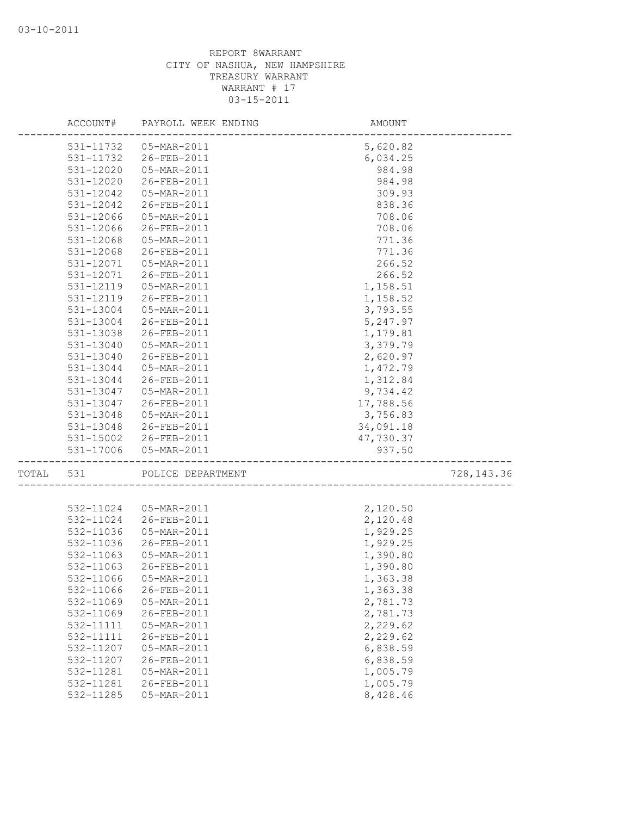|       | ACCOUNT#               | PAYROLL WEEK ENDING        | AMOUNT                           |             |
|-------|------------------------|----------------------------|----------------------------------|-------------|
|       | 531-11732              | 05-MAR-2011                | 5,620.82                         |             |
|       | 531-11732              | 26-FEB-2011                | 6,034.25                         |             |
|       | 531-12020              | 05-MAR-2011                | 984.98                           |             |
|       | 531-12020              | 26-FEB-2011                | 984.98                           |             |
|       | 531-12042              | 05-MAR-2011                | 309.93                           |             |
|       | 531-12042              | 26-FEB-2011                | 838.36                           |             |
|       | 531-12066              | 05-MAR-2011                | 708.06                           |             |
|       | 531-12066              | 26-FEB-2011                | 708.06                           |             |
|       | 531-12068              | 05-MAR-2011                | 771.36                           |             |
|       | 531-12068              | 26-FEB-2011                | 771.36                           |             |
|       | 531-12071              | 05-MAR-2011                | 266.52                           |             |
|       | 531-12071              | 26-FEB-2011                | 266.52                           |             |
|       | 531-12119              | 05-MAR-2011                | 1,158.51                         |             |
|       | 531-12119              | 26-FEB-2011                | 1,158.52                         |             |
|       | 531-13004              | 05-MAR-2011                | 3,793.55                         |             |
|       | 531-13004              | 26-FEB-2011                | 5,247.97                         |             |
|       | 531-13038              | 26-FEB-2011                | 1,179.81                         |             |
|       | 531-13040              | 05-MAR-2011                | 3,379.79                         |             |
|       | 531-13040              | 26-FEB-2011                | 2,620.97                         |             |
|       | 531-13044              | 05-MAR-2011                | 1,472.79                         |             |
|       | 531-13044              | 26-FEB-2011                | 1,312.84                         |             |
|       | 531-13047              | 05-MAR-2011                | 9,734.42                         |             |
|       | 531-13047              | 26-FEB-2011                | 17,788.56                        |             |
|       | 531-13048              | 05-MAR-2011                | 3,756.83                         |             |
|       |                        | 531-13048 26-FEB-2011      | 34,091.18                        |             |
|       |                        | 531-15002 26-FEB-2011      | 47,730.37                        |             |
|       | 531-17006              | 05-MAR-2011                | 937.50                           |             |
| TOTAL | 531                    | POLICE DEPARTMENT          | I\ 1<br>———————————————————————— | 728, 143.36 |
|       |                        |                            |                                  |             |
|       | 532-11024<br>532-11024 | 05-MAR-2011<br>26-FEB-2011 | 2,120.50                         |             |
|       |                        |                            | 2,120.48                         |             |
|       | 532-11036              | 05-MAR-2011<br>26-FEB-2011 | 1,929.25                         |             |
|       | 532-11036              |                            | 1,929.25<br>1,390.80             |             |
|       | 532-11063<br>532-11063 | 05-MAR-2011<br>26-FEB-2011 | 1,390.80                         |             |
|       |                        | 532-11066  05-MAR-2011     |                                  |             |
|       |                        | 26-FEB-2011                | 1,363.38                         |             |
|       | 532-11066<br>532-11069 | 05-MAR-2011                | 1,363.38<br>2,781.73             |             |
|       | 532-11069              | 26-FEB-2011                | 2,781.73                         |             |
|       | 532-11111              | 05-MAR-2011                | 2,229.62                         |             |
|       | 532-11111              | 26-FEB-2011                | 2,229.62                         |             |
|       | 532-11207              | 05-MAR-2011                | 6,838.59                         |             |
|       | 532-11207              | 26-FEB-2011                | 6,838.59                         |             |
|       | 532-11281              | 05-MAR-2011                | 1,005.79                         |             |
|       | 532-11281              | 26-FEB-2011                | 1,005.79                         |             |
|       | 532-11285              | 05-MAR-2011                | 8,428.46                         |             |
|       |                        |                            |                                  |             |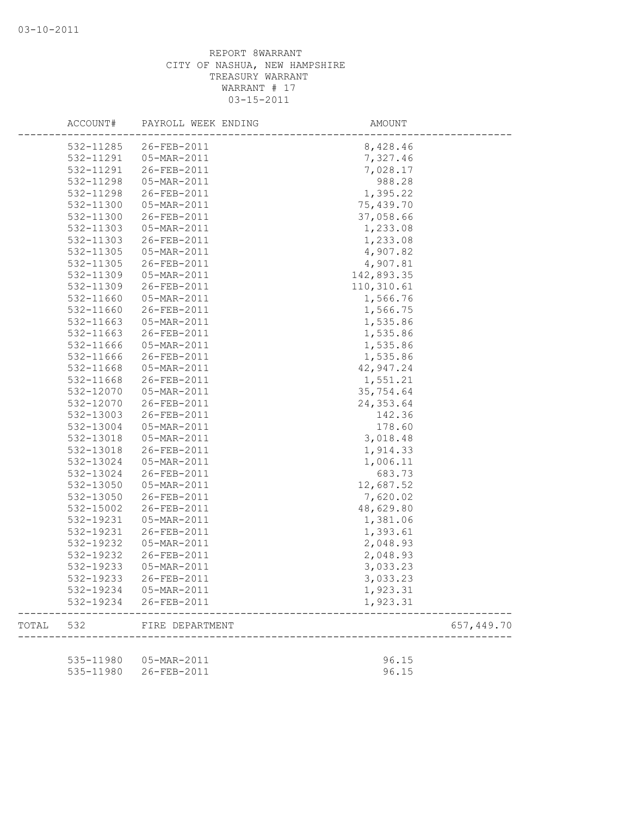|       | ACCOUNT#  | PAYROLL WEEK ENDING    | AMOUNT     |            |
|-------|-----------|------------------------|------------|------------|
|       | 532-11285 | 26-FEB-2011            | 8,428.46   |            |
|       | 532-11291 | 05-MAR-2011            | 7,327.46   |            |
|       | 532-11291 | 26-FEB-2011            | 7,028.17   |            |
|       | 532-11298 | 05-MAR-2011            | 988.28     |            |
|       | 532-11298 | 26-FEB-2011            | 1,395.22   |            |
|       | 532-11300 | 05-MAR-2011            | 75,439.70  |            |
|       | 532-11300 | 26-FEB-2011            | 37,058.66  |            |
|       | 532-11303 | 05-MAR-2011            | 1,233.08   |            |
|       | 532-11303 | 26-FEB-2011            | 1,233.08   |            |
|       | 532-11305 | 05-MAR-2011            | 4,907.82   |            |
|       | 532-11305 | 26-FEB-2011            | 4,907.81   |            |
|       | 532-11309 | 05-MAR-2011            | 142,893.35 |            |
|       | 532-11309 | 26-FEB-2011            | 110,310.61 |            |
|       | 532-11660 | 05-MAR-2011            | 1,566.76   |            |
|       | 532-11660 | 26-FEB-2011            | 1,566.75   |            |
|       | 532-11663 | 05-MAR-2011            | 1,535.86   |            |
|       | 532-11663 | 26-FEB-2011            | 1,535.86   |            |
|       | 532-11666 | 05-MAR-2011            | 1,535.86   |            |
|       | 532-11666 | 26-FEB-2011            | 1,535.86   |            |
|       | 532-11668 | 05-MAR-2011            | 42,947.24  |            |
|       | 532-11668 | 26-FEB-2011            | 1,551.21   |            |
|       | 532-12070 | 05-MAR-2011            | 35,754.64  |            |
|       | 532-12070 | 26-FEB-2011            | 24, 353.64 |            |
|       | 532-13003 | 26-FEB-2011            | 142.36     |            |
|       | 532-13004 | 05-MAR-2011            | 178.60     |            |
|       | 532-13018 | 05-MAR-2011            | 3,018.48   |            |
|       | 532-13018 | 26-FEB-2011            | 1,914.33   |            |
|       | 532-13024 | 05-MAR-2011            | 1,006.11   |            |
|       | 532-13024 | 26-FEB-2011            | 683.73     |            |
|       | 532-13050 | 05-MAR-2011            | 12,687.52  |            |
|       | 532-13050 | 26-FEB-2011            | 7,620.02   |            |
|       | 532-15002 | 26-FEB-2011            | 48,629.80  |            |
|       | 532-19231 | 05-MAR-2011            | 1,381.06   |            |
|       | 532-19231 | 26-FEB-2011            | 1,393.61   |            |
|       | 532-19232 | 05-MAR-2011            | 2,048.93   |            |
|       | 532-19232 | 26-FEB-2011            | 2,048.93   |            |
|       | 532-19233 | 05-MAR-2011            | 3,033.23   |            |
|       | 532-19233 | $26 - FEB - 2011$      | 3,033.23   |            |
|       | 532-19234 | 05-MAR-2011            | 1,923.31   |            |
|       | 532-19234 | 26-FEB-2011            | 1,923.31   |            |
| TOTAL | 532       | FIRE DEPARTMENT        |            | 657,449.70 |
|       |           |                        |            |            |
|       |           | 535-11980  05-MAR-2011 | 96.15      |            |
|       | 535-11980 | 26-FEB-2011            | 96.15      |            |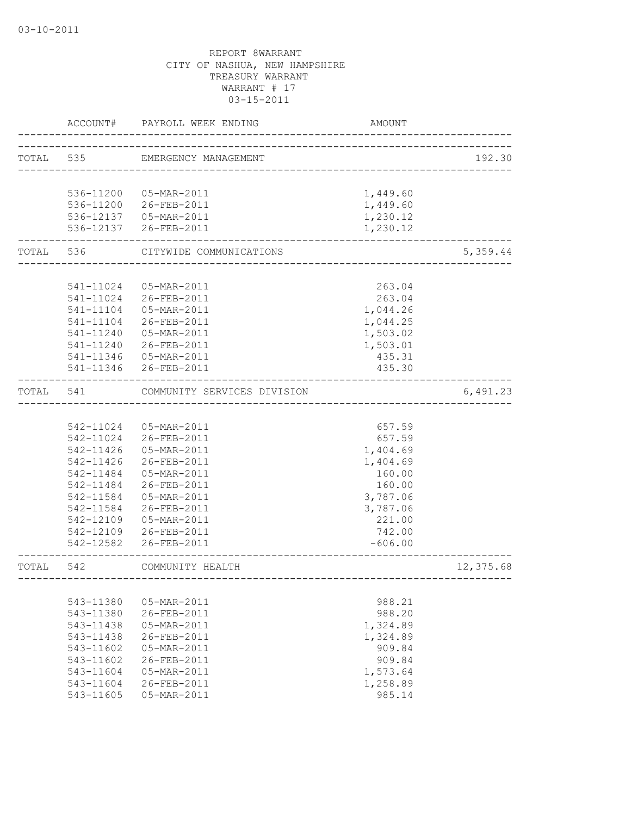|           | ACCOUNT#                                 | PAYROLL WEEK ENDING         | AMOUNT    |           |
|-----------|------------------------------------------|-----------------------------|-----------|-----------|
| TOTAL 535 |                                          | EMERGENCY MANAGEMENT        |           | 192.30    |
|           |                                          |                             |           |           |
|           |                                          | 536-11200 05-MAR-2011       | 1,449.60  |           |
|           |                                          | 536-11200 26-FEB-2011       | 1,449.60  |           |
|           |                                          | 536-12137  05-MAR-2011      | 1,230.12  |           |
|           |                                          | 536-12137 26-FEB-2011       | 1,230.12  |           |
|           | . _ _ _ _ _ _ _ _ _ _ _ _ _<br>TOTAL 536 | CITYWIDE COMMUNICATIONS     |           | 5,359.44  |
|           |                                          |                             |           |           |
|           | 541-11024                                | 05-MAR-2011                 | 263.04    |           |
|           |                                          | 541-11024 26-FEB-2011       | 263.04    |           |
|           | 541-11104                                | 05-MAR-2011                 | 1,044.26  |           |
|           | 541-11104                                | 26-FEB-2011                 | 1,044.25  |           |
|           |                                          | 541-11240  05-MAR-2011      | 1,503.02  |           |
|           |                                          | 541-11240 26-FEB-2011       | 1,503.01  |           |
|           |                                          | 541-11346  05-MAR-2011      | 435.31    |           |
|           |                                          | 541-11346 26-FEB-2011       | 435.30    |           |
| TOTAL 541 |                                          | COMMUNITY SERVICES DIVISION |           | 6,491.23  |
|           |                                          |                             |           |           |
|           |                                          | 542-11024  05-MAR-2011      | 657.59    |           |
|           |                                          | 542-11024 26-FEB-2011       | 657.59    |           |
|           |                                          | 542-11426  05-MAR-2011      | 1,404.69  |           |
|           | 542-11426                                | 26-FEB-2011                 | 1,404.69  |           |
|           | 542-11484                                | 05-MAR-2011                 | 160.00    |           |
|           | 542-11484                                | 26-FEB-2011                 | 160.00    |           |
|           | 542-11584                                | 05-MAR-2011                 | 3,787.06  |           |
|           | 542-11584                                | 26-FEB-2011                 | 3,787.06  |           |
|           | 542-12109                                | 05-MAR-2011                 | 221.00    |           |
|           |                                          | 542-12109 26-FEB-2011       | 742.00    |           |
|           |                                          | 542-12582 26-FEB-2011       | $-606.00$ |           |
| TOTAL     | 542                                      | COMMUNITY HEALTH            |           | 12,375.68 |
|           |                                          |                             |           |           |
|           | 543-11380                                | 05-MAR-2011                 | 988.21    |           |
|           | 543-11380                                | 26-FEB-2011                 | 988.20    |           |
|           | 543-11438                                | $05 - \text{MAR} - 2011$    | 1,324.89  |           |
|           | 543-11438                                | 26-FEB-2011                 | 1,324.89  |           |
|           | 543-11602                                | 05-MAR-2011                 | 909.84    |           |
|           | 543-11602                                | 26-FEB-2011                 | 909.84    |           |
|           | 543-11604                                | $05 - \text{MAR} - 2011$    | 1,573.64  |           |
|           | 543-11604                                | 26-FEB-2011                 | 1,258.89  |           |
|           | 543-11605                                | 05-MAR-2011                 | 985.14    |           |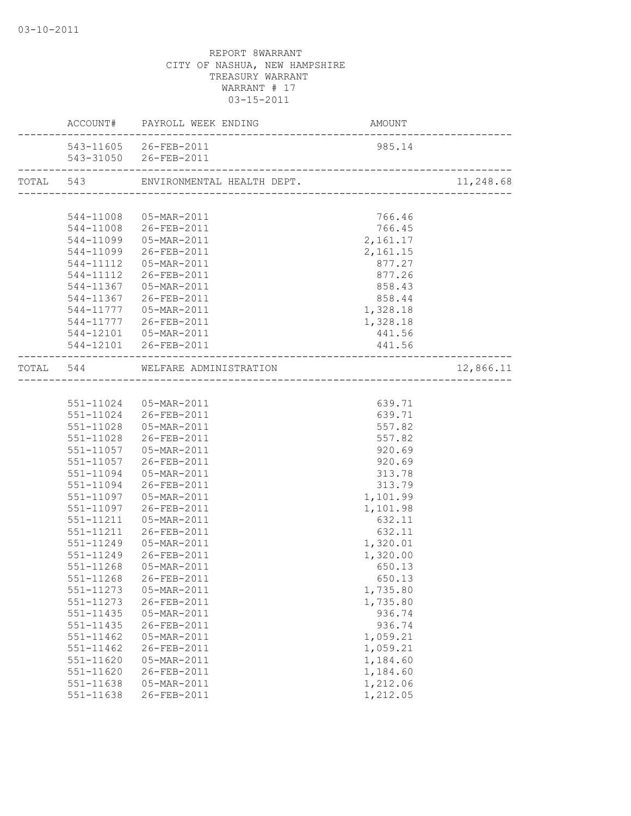|               | ACCOUNT# PAYROLL WEEK ENDING            | AMOUNT<br>------------------------- |           |
|---------------|-----------------------------------------|-------------------------------------|-----------|
|               | 543-11605 26-FEB-2011                   | 985.14                              |           |
|               | 543-31050 26-FEB-2011                   |                                     |           |
|               |                                         |                                     | 11,248.68 |
|               |                                         |                                     |           |
|               | 544-11008  05-MAR-2011                  | 766.46                              |           |
|               | 544-11008 26-FEB-2011                   | 766.45                              |           |
|               | 544-11099  05-MAR-2011                  | 2,161.17                            |           |
|               | 544-11099 26-FEB-2011                   | 2,161.15                            |           |
|               | 544-11112  05-MAR-2011                  | 877.27                              |           |
|               | 544-11112 26-FEB-2011                   | 877.26                              |           |
|               | 544-11367  05-MAR-2011                  | 858.43                              |           |
|               | 544-11367 26-FEB-2011                   | 858.44                              |           |
|               | 544-11777  05-MAR-2011                  | 1,328.18                            |           |
|               | 544-11777 26-FEB-2011                   | 1,328.18                            |           |
|               | 544-12101  05-MAR-2011                  | 441.56                              |           |
|               | 544-12101 26-FEB-2011<br>______________ | 441.56                              |           |
|               | TOTAL 544 WELFARE ADMINISTRATION        |                                     | 12,866.11 |
|               |                                         |                                     |           |
|               | 551-11024  05-MAR-2011                  | 639.71                              |           |
|               | 551-11024 26-FEB-2011                   | 639.71                              |           |
|               | 551-11028  05-MAR-2011                  | 557.82                              |           |
|               | 551-11028 26-FEB-2011                   | 557.82                              |           |
|               | 551-11057  05-MAR-2011                  | 920.69                              |           |
|               | 551-11057 26-FEB-2011                   | 920.69                              |           |
| 551-11094     | 05-MAR-2011                             | 313.78                              |           |
|               | 551-11094 26-FEB-2011                   | 313.79                              |           |
|               | 551-11097  05-MAR-2011                  | 1,101.99                            |           |
| 551-11097     | 26-FEB-2011                             | 1,101.98                            |           |
| 551-11211     | 05-MAR-2011                             | 632.11                              |           |
| 551-11211     | 26-FEB-2011                             | 632.11                              |           |
| 551-11249     | 05-MAR-2011                             | 1,320.01                            |           |
| 551-11249     | 26-FEB-2011                             | 1,320.00                            |           |
| 551-11268     | 05-MAR-2011                             | 650.13                              |           |
| 551-11268     | 26-FEB-2011                             | 650.13                              |           |
| 551-11273     | 05-MAR-2011                             | 1,735.80                            |           |
| 551-11273     | 26-FEB-2011                             | 1,735.80                            |           |
| $551 - 11435$ | 05-MAR-2011                             | 936.74                              |           |
| 551-11435     | 26-FEB-2011                             | 936.74                              |           |
| 551-11462     | 05-MAR-2011                             | 1,059.21                            |           |
| $551 - 11462$ | 26-FEB-2011                             | 1,059.21                            |           |
| $551 - 11620$ | 05-MAR-2011                             | 1,184.60                            |           |
| 551-11620     | 26-FEB-2011                             | 1,184.60                            |           |
| 551-11638     | 05-MAR-2011                             | 1,212.06                            |           |
| 551-11638     | 26-FEB-2011                             | 1,212.05                            |           |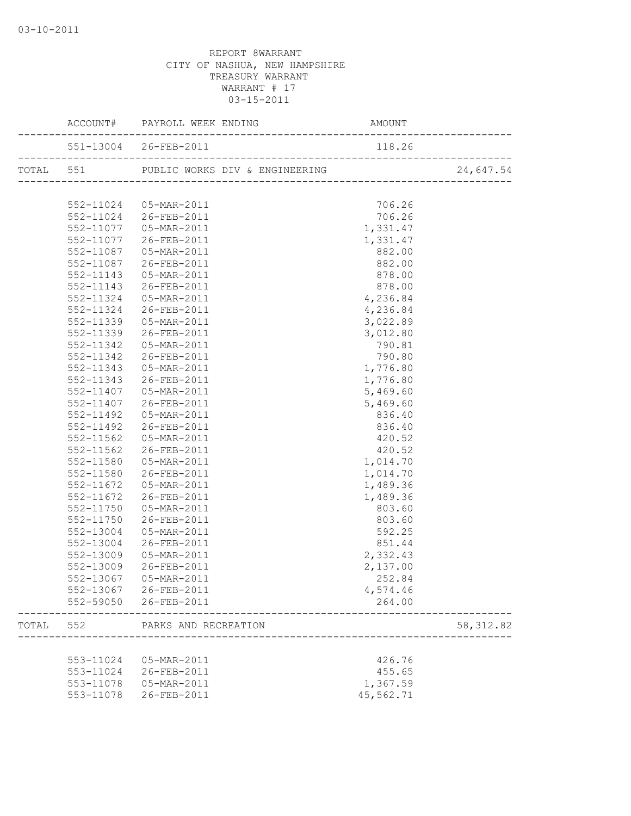|       |           | 551-13004 26-FEB-2011  | 118.26    |            |
|-------|-----------|------------------------|-----------|------------|
|       |           |                        |           | 24,647.54  |
|       |           |                        |           |            |
|       |           | 552-11024  05-MAR-2011 | 706.26    |            |
|       |           | 552-11024 26-FEB-2011  | 706.26    |            |
|       |           | 552-11077  05-MAR-2011 | 1,331.47  |            |
|       |           | 552-11077 26-FEB-2011  | 1,331.47  |            |
|       |           | 552-11087  05-MAR-2011 | 882.00    |            |
|       |           | 552-11087 26-FEB-2011  | 882.00    |            |
|       |           | 552-11143  05-MAR-2011 | 878.00    |            |
|       |           | 552-11143 26-FEB-2011  | 878.00    |            |
|       | 552-11324 | 05-MAR-2011            | 4,236.84  |            |
|       | 552-11324 | 26-FEB-2011            | 4,236.84  |            |
|       | 552-11339 | 05-MAR-2011            | 3,022.89  |            |
|       | 552-11339 | 26-FEB-2011            | 3,012.80  |            |
|       | 552-11342 | 05-MAR-2011            | 790.81    |            |
|       | 552-11342 | 26-FEB-2011            | 790.80    |            |
|       | 552-11343 | 05-MAR-2011            | 1,776.80  |            |
|       |           | 552-11343 26-FEB-2011  | 1,776.80  |            |
|       |           | 552-11407 05-MAR-2011  | 5,469.60  |            |
|       |           | 552-11407 26-FEB-2011  | 5,469.60  |            |
|       | 552-11492 | 05-MAR-2011            | 836.40    |            |
|       |           | 552-11492 26-FEB-2011  | 836.40    |            |
|       | 552-11562 | 05-MAR-2011            | 420.52    |            |
|       |           | 552-11562 26-FEB-2011  | 420.52    |            |
|       |           | 552-11580  05-MAR-2011 | 1,014.70  |            |
|       |           | 552-11580 26-FEB-2011  | 1,014.70  |            |
|       |           | 552-11672  05-MAR-2011 | 1,489.36  |            |
|       | 552-11672 | 26-FEB-2011            | 1,489.36  |            |
|       | 552-11750 | 05-MAR-2011            | 803.60    |            |
|       | 552-11750 | 26-FEB-2011            | 803.60    |            |
|       | 552-13004 | 05-MAR-2011            | 592.25    |            |
|       | 552-13004 | 26-FEB-2011            | 851.44    |            |
|       | 552-13009 | 05-MAR-2011            | 2,332.43  |            |
|       | 552-13009 | 26-FEB-2011            | 2,137.00  |            |
|       |           | 552-13067 05-MAR-2011  | 252.84    |            |
|       |           | 552-13067 26-FEB-2011  | 4,574.46  |            |
|       |           | 552-59050 26-FEB-2011  | 264.00    |            |
| TOTAL | 552       | PARKS AND RECREATION   |           | 58, 312.82 |
|       |           |                        |           |            |
|       | 553-11024 | 05-MAR-2011            | 426.76    |            |
|       |           | 553-11024 26-FEB-2011  | 455.65    |            |
|       |           | 553-11078  05-MAR-2011 | 1,367.59  |            |
|       | 553-11078 | 26-FEB-2011            | 45,562.71 |            |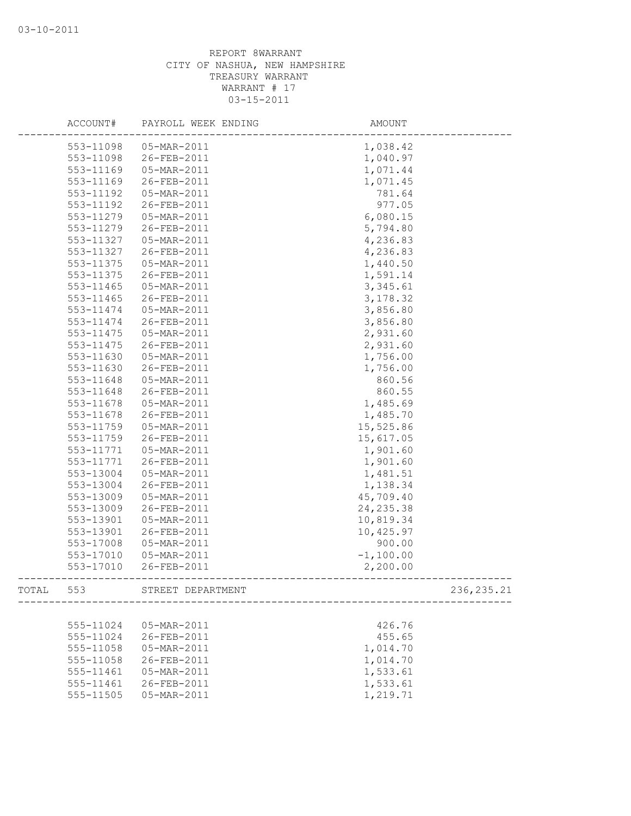|       | ACCOUNT#  | PAYROLL WEEK ENDING | AMOUNT      |             |
|-------|-----------|---------------------|-------------|-------------|
|       | 553-11098 | 05-MAR-2011         | 1,038.42    |             |
|       | 553-11098 | 26-FEB-2011         | 1,040.97    |             |
|       | 553-11169 | 05-MAR-2011         | 1,071.44    |             |
|       | 553-11169 | 26-FEB-2011         | 1,071.45    |             |
|       | 553-11192 | 05-MAR-2011         | 781.64      |             |
|       | 553-11192 | 26-FEB-2011         | 977.05      |             |
|       | 553-11279 | 05-MAR-2011         | 6,080.15    |             |
|       | 553-11279 | 26-FEB-2011         | 5,794.80    |             |
|       | 553-11327 | 05-MAR-2011         | 4,236.83    |             |
|       | 553-11327 | 26-FEB-2011         | 4,236.83    |             |
|       | 553-11375 | 05-MAR-2011         | 1,440.50    |             |
|       | 553-11375 | 26-FEB-2011         | 1,591.14    |             |
|       | 553-11465 | 05-MAR-2011         | 3,345.61    |             |
|       | 553-11465 | 26-FEB-2011         | 3, 178.32   |             |
|       | 553-11474 | 05-MAR-2011         | 3,856.80    |             |
|       | 553-11474 | 26-FEB-2011         | 3,856.80    |             |
|       | 553-11475 | 05-MAR-2011         | 2,931.60    |             |
|       | 553-11475 | 26-FEB-2011         | 2,931.60    |             |
|       | 553-11630 | 05-MAR-2011         | 1,756.00    |             |
|       | 553-11630 | 26-FEB-2011         | 1,756.00    |             |
|       | 553-11648 | 05-MAR-2011         | 860.56      |             |
|       | 553-11648 | 26-FEB-2011         | 860.55      |             |
|       | 553-11678 | 05-MAR-2011         | 1,485.69    |             |
|       | 553-11678 | 26-FEB-2011         | 1,485.70    |             |
|       | 553-11759 | 05-MAR-2011         | 15,525.86   |             |
|       | 553-11759 | 26-FEB-2011         | 15,617.05   |             |
|       | 553-11771 | 05-MAR-2011         | 1,901.60    |             |
|       | 553-11771 | 26-FEB-2011         | 1,901.60    |             |
|       | 553-13004 | 05-MAR-2011         | 1,481.51    |             |
|       | 553-13004 | 26-FEB-2011         | 1,138.34    |             |
|       | 553-13009 | 05-MAR-2011         | 45,709.40   |             |
|       | 553-13009 | 26-FEB-2011         | 24, 235.38  |             |
|       | 553-13901 | 05-MAR-2011         | 10,819.34   |             |
|       | 553-13901 | 26-FEB-2011         | 10,425.97   |             |
|       | 553-17008 | 05-MAR-2011         | 900.00      |             |
|       | 553-17010 | 05-MAR-2011         | $-1,100.00$ |             |
|       | 553-17010 | 26-FEB-2011         | 2,200.00    |             |
| TOTAL | 553       | STREET DEPARTMENT   |             | 236, 235.21 |
|       |           |                     |             |             |
|       | 555-11024 | 05-MAR-2011         | 426.76      |             |
|       | 555-11024 | 26-FEB-2011         | 455.65      |             |
|       | 555-11058 | 05-MAR-2011         | 1,014.70    |             |
|       | 555-11058 | 26-FEB-2011         | 1,014.70    |             |
|       | 555-11461 | 05-MAR-2011         | 1,533.61    |             |
|       | 555-11461 | 26-FEB-2011         | 1,533.61    |             |
|       | 555-11505 | 05-MAR-2011         | 1,219.71    |             |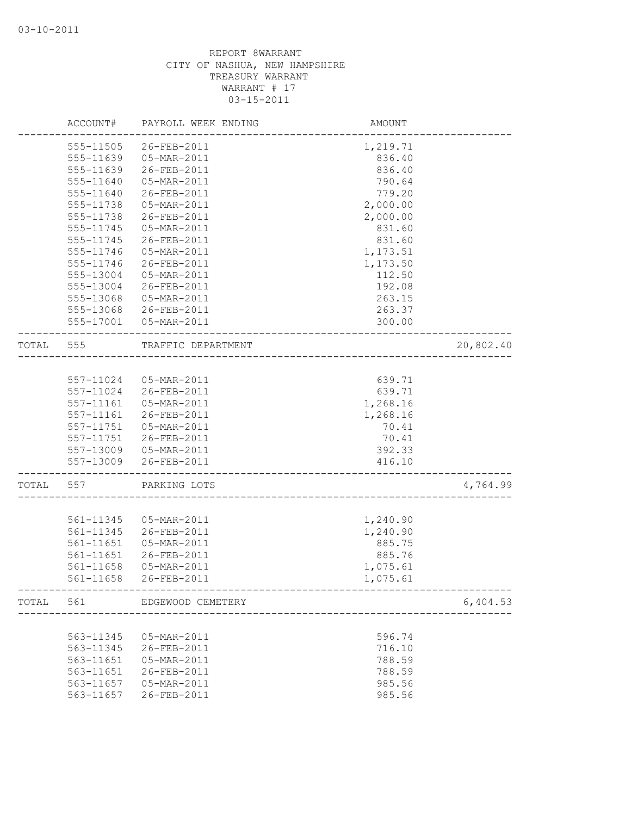|       | ACCOUNT#      | PAYROLL WEEK ENDING         | AMOUNT                |           |
|-------|---------------|-----------------------------|-----------------------|-----------|
|       | 555-11505     | 26-FEB-2011                 | 1,219.71              |           |
|       | 555-11639     | 05-MAR-2011                 | 836.40                |           |
|       | 555-11639     | 26-FEB-2011                 | 836.40                |           |
|       | 555-11640     | 05-MAR-2011                 | 790.64                |           |
|       | 555-11640     | 26-FEB-2011                 | 779.20                |           |
|       | 555-11738     | 05-MAR-2011                 | 2,000.00              |           |
|       | 555-11738     | 26-FEB-2011                 | 2,000.00              |           |
|       | 555-11745     | 05-MAR-2011                 | 831.60                |           |
|       | 555-11745     | 26-FEB-2011                 | 831.60                |           |
|       | 555-11746     | 05-MAR-2011                 | 1,173.51              |           |
|       | 555-11746     | 26-FEB-2011                 | 1,173.50              |           |
|       | 555-13004     | 05-MAR-2011                 | 112.50                |           |
|       | 555-13004     | 26-FEB-2011                 | 192.08                |           |
|       | 555-13068     | 05-MAR-2011                 | 263.15                |           |
|       | 555-13068     | 26-FEB-2011                 | 263.37                |           |
|       | 555-17001     | 05-MAR-2011                 | 300.00                |           |
| TOTAL | 555           | TRAFFIC DEPARTMENT          | _____________________ | 20,802.40 |
|       |               |                             |                       |           |
|       | 557-11024     | 05-MAR-2011                 | 639.71                |           |
|       | 557-11024     | 26-FEB-2011                 | 639.71                |           |
|       | 557-11161     | 05-MAR-2011                 | 1,268.16              |           |
|       | 557-11161     | 26-FEB-2011                 | 1,268.16              |           |
|       | 557-11751     | 05-MAR-2011                 | 70.41                 |           |
|       | 557-11751     | 26-FEB-2011                 | 70.41                 |           |
|       |               | 557-13009  05-MAR-2011      | 392.33                |           |
|       | 557-13009     | 26-FEB-2011                 | 416.10                |           |
| TOTAL | 557           | PARKING LOTS                |                       | 4,764.99  |
|       |               |                             |                       |           |
|       | 561-11345     | 05-MAR-2011                 | 1,240.90              |           |
|       | 561-11345     | 26-FEB-2011                 | 1,240.90              |           |
|       | 561-11651     | 05-MAR-2011                 | 885.75                |           |
|       | $561 - 11651$ | 26-FEB-2011                 | 885.76                |           |
|       | 561-11658     | 05-MAR-2011                 | 1,075.61              |           |
|       | 561-11658     | 26-FEB-2011                 | 1,075.61              |           |
|       |               | TOTAL 561 EDGEWOOD CEMETERY |                       | 6,404.53  |
|       |               |                             |                       |           |
|       | 563-11345     | 05-MAR-2011                 | 596.74                |           |
|       | 563-11345     | 26-FEB-2011                 | 716.10                |           |
|       | 563-11651     | 05-MAR-2011                 | 788.59                |           |
|       | 563-11651     | 26-FEB-2011                 | 788.59                |           |
|       | 563-11657     | 05-MAR-2011                 | 985.56                |           |
|       | 563-11657     | 26-FEB-2011                 | 985.56                |           |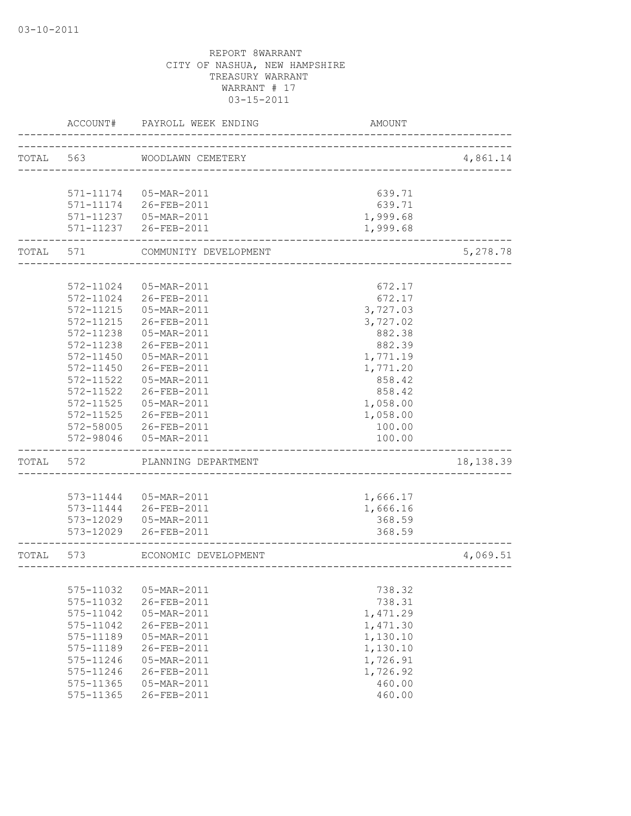| TOTAL<br>563<br>WOODLAWN CEMETERY<br>________________________________ |            |
|-----------------------------------------------------------------------|------------|
|                                                                       | 4,861.14   |
|                                                                       |            |
|                                                                       |            |
| 571-11174  05-MAR-2011<br>639.71                                      |            |
| 571-11174 26-FEB-2011<br>639.71                                       |            |
| 1,999.68<br>571-11237  05-MAR-2011                                    |            |
| 571-11237 26-FEB-2011<br>1,999.68                                     |            |
| TOTAL<br>571<br>COMMUNITY DEVELOPMENT                                 | 5,278.78   |
|                                                                       |            |
| 572-11024<br>05-MAR-2011<br>672.17                                    |            |
| 26-FEB-2011<br>672.17<br>572-11024                                    |            |
| 572-11215<br>05-MAR-2011<br>3,727.03                                  |            |
| 572-11215<br>26-FEB-2011<br>3,727.02                                  |            |
| 882.38<br>572-11238<br>05-MAR-2011                                    |            |
| 572-11238<br>26-FEB-2011<br>882.39                                    |            |
| $572 - 11450$<br>05-MAR-2011<br>1,771.19                              |            |
| 572-11450<br>26-FEB-2011<br>1,771.20                                  |            |
| 572-11522<br>05-MAR-2011<br>858.42                                    |            |
| 26-FEB-2011<br>858.42<br>572-11522                                    |            |
| 1,058.00<br>572-11525<br>05-MAR-2011                                  |            |
| 572-11525<br>26-FEB-2011<br>1,058.00                                  |            |
| 572-58005<br>26-FEB-2011<br>100.00                                    |            |
| 572-98046<br>05-MAR-2011<br>100.00                                    |            |
| TOTAL<br>572<br>PLANNING DEPARTMENT                                   | 18, 138.39 |
|                                                                       |            |
| 1,666.17<br>573-11444<br>05-MAR-2011                                  |            |
| 573-11444 26-FEB-2011<br>1,666.16                                     |            |
| 368.59<br>573-12029<br>05-MAR-2011                                    |            |
| 573-12029<br>26-FEB-2011<br>368.59                                    |            |
| TOTAL<br>573<br>ECONOMIC DEVELOPMENT                                  | 4,069.51   |
| _________________________                                             |            |
| 575-11032<br>05-MAR-2011<br>738.32                                    |            |
| 26-FEB-2011<br>738.31<br>575-11032                                    |            |
| 1,471.29<br>575-11042<br>05-MAR-2011                                  |            |
| 575-11042<br>26-FEB-2011<br>1,471.30                                  |            |
| 05-MAR-2011<br>1,130.10<br>575-11189                                  |            |
| 575-11189<br>26-FEB-2011<br>1,130.10                                  |            |
| 05-MAR-2011<br>1,726.91<br>575-11246                                  |            |
| 1,726.92<br>575-11246<br>26-FEB-2011                                  |            |
| 05-MAR-2011<br>460.00<br>575-11365                                    |            |
| 575-11365<br>26-FEB-2011<br>460.00                                    |            |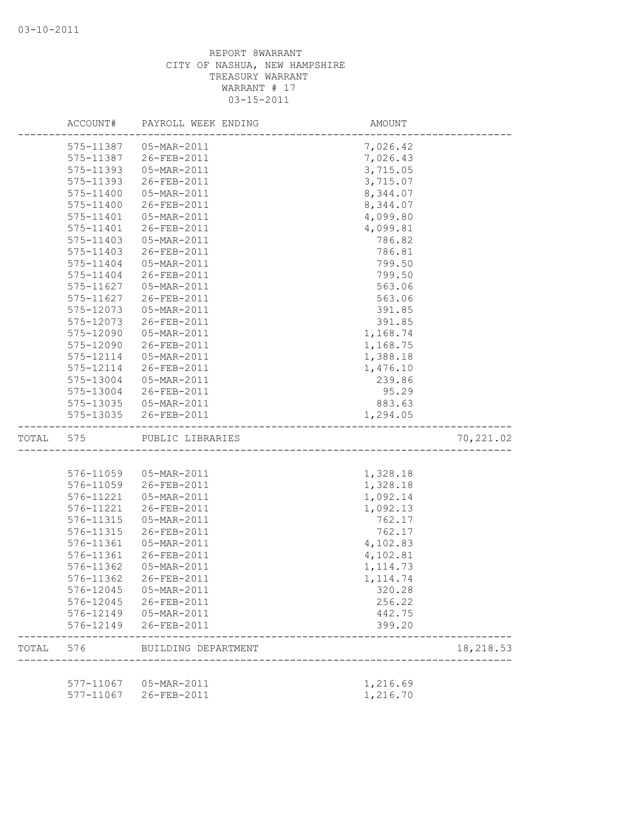|       | ACCOUNT#  | PAYROLL WEEK ENDING     | AMOUNT    |           |
|-------|-----------|-------------------------|-----------|-----------|
|       | 575-11387 | 05-MAR-2011             | 7,026.42  |           |
|       | 575-11387 | 26-FEB-2011             | 7,026.43  |           |
|       | 575-11393 | 05-MAR-2011             | 3,715.05  |           |
|       | 575-11393 | 26-FEB-2011             | 3,715.07  |           |
|       | 575-11400 | 05-MAR-2011             | 8,344.07  |           |
|       | 575-11400 | 26-FEB-2011             | 8,344.07  |           |
|       | 575-11401 | 05-MAR-2011             | 4,099.80  |           |
|       | 575-11401 | 26-FEB-2011             | 4,099.81  |           |
|       | 575-11403 | 05-MAR-2011             | 786.82    |           |
|       | 575-11403 | 26-FEB-2011             | 786.81    |           |
|       | 575-11404 | 05-MAR-2011             | 799.50    |           |
|       | 575-11404 | 26-FEB-2011             | 799.50    |           |
|       | 575-11627 | 05-MAR-2011             | 563.06    |           |
|       | 575-11627 | 26-FEB-2011             | 563.06    |           |
|       | 575-12073 | 05-MAR-2011             | 391.85    |           |
|       | 575-12073 | 26-FEB-2011             | 391.85    |           |
|       | 575-12090 | 05-MAR-2011             | 1,168.74  |           |
|       | 575-12090 | 26-FEB-2011             | 1,168.75  |           |
|       | 575-12114 | 05-MAR-2011             | 1,388.18  |           |
|       | 575-12114 | 26-FEB-2011             | 1,476.10  |           |
|       | 575-13004 | 05-MAR-2011             | 239.86    |           |
|       | 575-13004 | 26-FEB-2011             | 95.29     |           |
|       |           | 575-13035  05-MAR-2011  | 883.63    |           |
|       | 575-13035 | 26-FEB-2011             | 1,294.05  |           |
| TOTAL | 575       | PUBLIC LIBRARIES        |           | 70,221.02 |
|       |           |                         |           |           |
|       | 576-11059 | 05-MAR-2011             | 1,328.18  |           |
|       | 576-11059 | 26-FEB-2011             | 1,328.18  |           |
|       | 576-11221 | 05-MAR-2011             | 1,092.14  |           |
|       | 576-11221 | 26-FEB-2011             | 1,092.13  |           |
|       | 576-11315 | 05-MAR-2011             | 762.17    |           |
|       | 576-11315 | 26-FEB-2011             | 762.17    |           |
|       | 576-11361 | 05-MAR-2011             | 4,102.83  |           |
|       | 576-11361 | 26-FEB-2011             | 4,102.81  |           |
|       | 576-11362 | 05-MAR-2011             | 1, 114.73 |           |
|       | 576-11362 | 26-FEB-2011             | 1, 114.74 |           |
|       |           | 576-12045  05-MAR-2011  | 320.28    |           |
|       |           | 576-12045 26-FEB-2011   | 256.22    |           |
|       |           | 576-12149  05-MAR-2011  | 442.75    |           |
|       | 576-12149 | 26-FEB-2011             | 399.20    |           |
| TOTAL |           | 576 BUILDING DEPARTMENT |           | 18,218.53 |
|       |           |                         |           |           |
|       |           | 577-11067  05-MAR-2011  | 1,216.69  |           |
|       | 577-11067 | 26-FEB-2011             | 1,216.70  |           |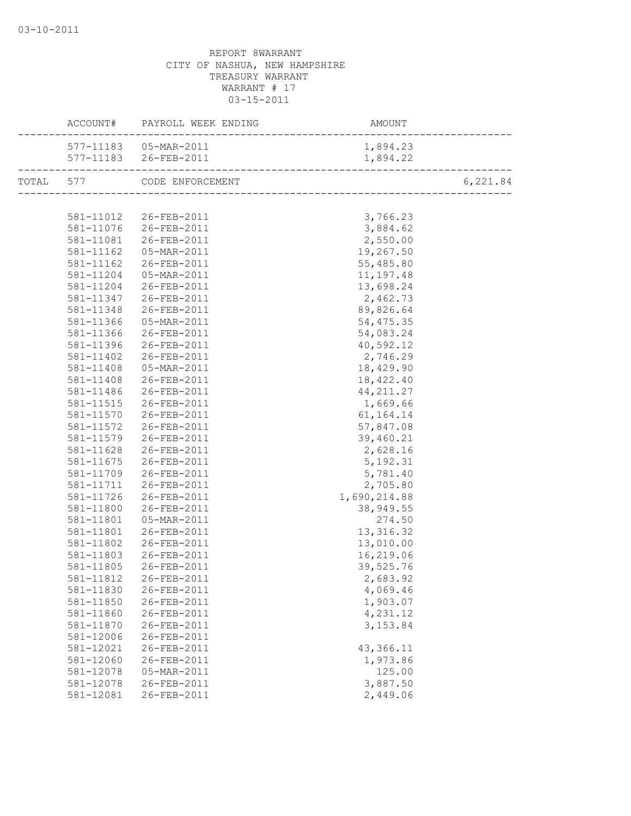|           | ACCOUNT# PAYROLL WEEK ENDING                   | AMOUNT       |          |
|-----------|------------------------------------------------|--------------|----------|
|           | 577-11183  05-MAR-2011                         | 1,894.23     |          |
|           | 577-11183 26-FEB-2011                          | 1,894.22     |          |
|           | TOTAL 577 CODE ENFORCEMENT                     |              | 6,221.84 |
|           |                                                |              |          |
|           | 581-11012  26-FEB-2011                         | 3,766.23     |          |
|           | 581-11076 26-FEB-2011                          | 3,884.62     |          |
|           | 581-11081 26-FEB-2011                          | 2,550.00     |          |
|           | 581-11162  05-MAR-2011                         | 19,267.50    |          |
|           | 581-11162 26-FEB-2011                          | 55,485.80    |          |
|           | 581-11204  05-MAR-2011                         | 11,197.48    |          |
|           | 581-11204 26-FEB-2011                          | 13,698.24    |          |
| 581-11347 | 26-FEB-2011                                    | 2,462.73     |          |
| 581-11348 | 26-FEB-2011                                    | 89,826.64    |          |
| 581-11366 | $-5-MAR-2011$                                  | 54, 475.35   |          |
| 581-11366 | 26-FEB-2011                                    | 54,083.24    |          |
|           | 581-11396 26-FEB-2011                          | 40,592.12    |          |
|           | 581-11402 26-FEB-2011                          | 2,746.29     |          |
|           | 581-11408  05-MAR-2011                         | 18,429.90    |          |
|           | 581-11408 26-FEB-2011                          | 18,422.40    |          |
|           | 581-11486 26-FEB-2011                          | 44, 211.27   |          |
|           | 581-11515 26-FEB-2011                          | 1,669.66     |          |
|           |                                                | 61, 164. 14  |          |
|           | 581-11570 26-FEB-2011<br>581-11572 26-FEB-2011 | 57,847.08    |          |
|           | 581-11579 26-FEB-2011                          | 39,460.21    |          |
|           | 581-11628 26-FEB-2011                          | 2,628.16     |          |
|           | 581-11675 26-FEB-2011                          | 5,192.31     |          |
|           | 581-11709 26-FEB-2011                          | 5,781.40     |          |
| 581-11711 | 26-FEB-2011                                    | 2,705.80     |          |
| 581-11726 | 26-FEB-2011                                    | 1,690,214.88 |          |
| 581-11800 | 26-FEB-2011                                    | 38,949.55    |          |
| 581-11801 | 05-MAR-2011                                    | 274.50       |          |
| 581-11801 | 26-FEB-2011                                    | 13, 316.32   |          |
| 581-11802 | 26-FEB-2011                                    | 13,010.00    |          |
| 581-11803 | 26-FEB-2011                                    | 16,219.06    |          |
| 581-11805 | 26-FEB-2011                                    | 39,525.76    |          |
|           | 581-11812 26-FEB-2011                          | 2,683.92     |          |
| 581-11830 | 26-FEB-2011                                    | 4,069.46     |          |
| 581-11850 | 26-FEB-2011                                    | 1,903.07     |          |
| 581-11860 | 26-FEB-2011                                    | 4,231.12     |          |
| 581-11870 | 26-FEB-2011                                    | 3, 153.84    |          |
| 581-12006 | 26-FEB-2011                                    |              |          |
| 581-12021 | 26-FEB-2011                                    | 43,366.11    |          |
| 581-12060 | 26-FEB-2011                                    | 1,973.86     |          |
| 581-12078 | 05-MAR-2011                                    | 125.00       |          |
| 581-12078 | 26-FEB-2011                                    | 3,887.50     |          |
| 581-12081 | 26-FEB-2011                                    | 2,449.06     |          |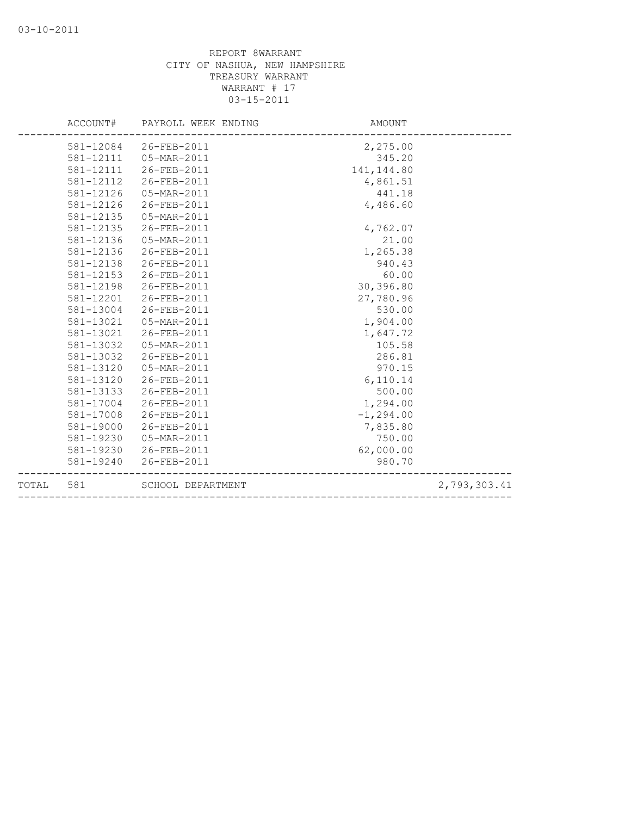| TOTAL | 581       | SCHOOL DEPARTMENT   |              | 2,793,303.41 |
|-------|-----------|---------------------|--------------|--------------|
|       | 581-19240 | 26-FEB-2011         | 980.70       |              |
|       | 581-19230 | 26-FEB-2011         | 62,000.00    |              |
|       | 581-19230 | 05-MAR-2011         | 750.00       |              |
|       | 581-19000 | 26-FEB-2011         | 7,835.80     |              |
|       | 581-17008 | 26-FEB-2011         | $-1, 294.00$ |              |
|       | 581-17004 | 26-FEB-2011         | 1,294.00     |              |
|       | 581-13133 | 26-FEB-2011         | 500.00       |              |
|       | 581-13120 | 26-FEB-2011         | 6,110.14     |              |
|       | 581-13120 | 05-MAR-2011         | 970.15       |              |
|       | 581-13032 | 26-FEB-2011         | 286.81       |              |
|       | 581-13032 | 05-MAR-2011         | 105.58       |              |
|       | 581-13021 | 26-FEB-2011         | 1,647.72     |              |
|       | 581-13021 | 05-MAR-2011         | 1,904.00     |              |
|       | 581-13004 | 26-FEB-2011         | 530.00       |              |
|       | 581-12201 | 26-FEB-2011         | 27,780.96    |              |
|       | 581-12198 | 26-FEB-2011         | 30,396.80    |              |
|       | 581-12153 | 26-FEB-2011         | 60.00        |              |
|       | 581-12138 | 26-FEB-2011         | 940.43       |              |
|       | 581-12136 | 26-FEB-2011         | 1,265.38     |              |
|       | 581-12136 | 05-MAR-2011         | 21.00        |              |
|       | 581-12135 | 26-FEB-2011         | 4,762.07     |              |
|       | 581-12135 | 05-MAR-2011         |              |              |
|       | 581-12126 | 26-FEB-2011         | 4,486.60     |              |
|       | 581-12126 | 05-MAR-2011         | 441.18       |              |
|       | 581-12112 | 26-FEB-2011         | 4,861.51     |              |
|       | 581-12111 | 26-FEB-2011         | 141, 144.80  |              |
|       | 581-12111 | 05-MAR-2011         | 345.20       |              |
|       | 581-12084 | 26-FEB-2011         | 2,275.00     |              |
|       | ACCOUNT#  | PAYROLL WEEK ENDING | AMOUNT       |              |
|       |           |                     |              |              |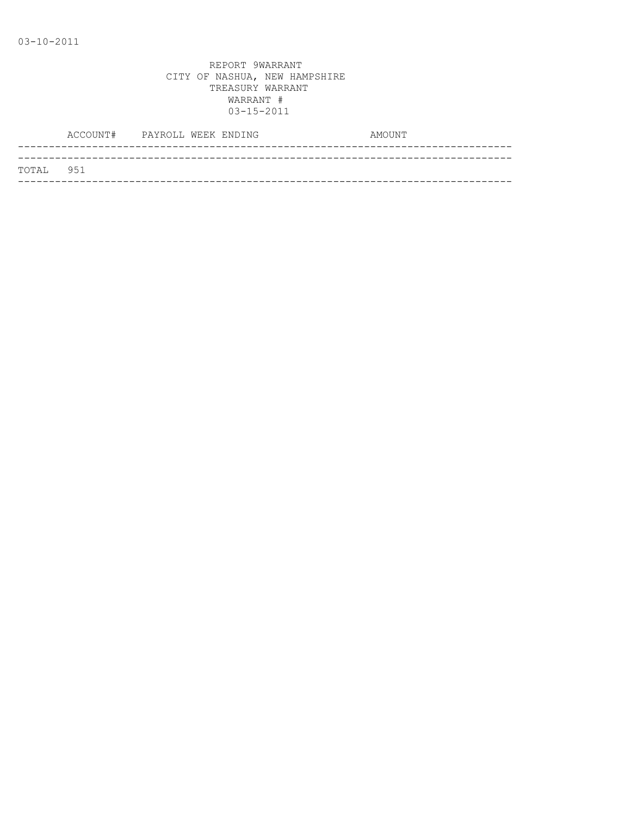| TOTAL 951 |  |
|-----------|--|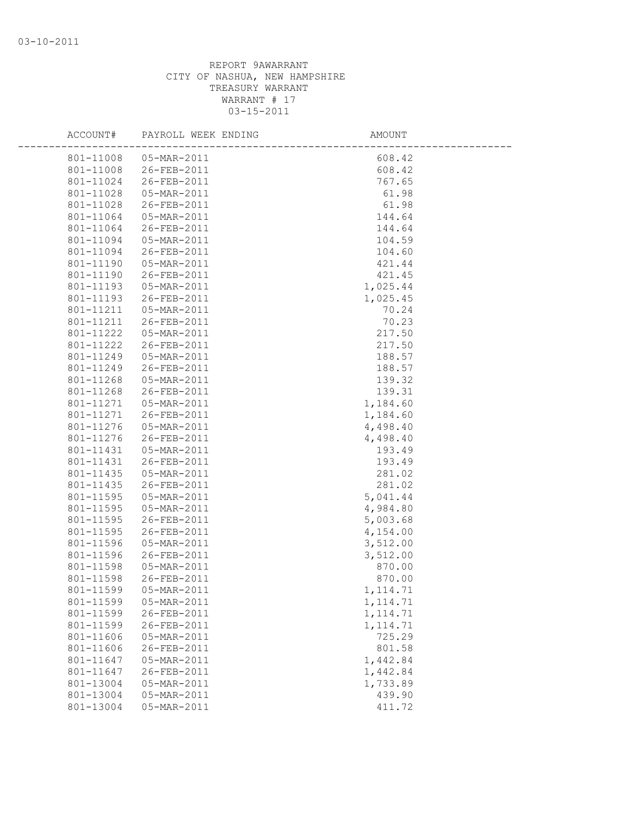| ACCOUNT#  | PAYROLL WEEK ENDING | AMOUNT    |  |
|-----------|---------------------|-----------|--|
| 801-11008 | 05-MAR-2011         | 608.42    |  |
| 801-11008 | 26-FEB-2011         | 608.42    |  |
| 801-11024 | 26-FEB-2011         | 767.65    |  |
| 801-11028 | 05-MAR-2011         | 61.98     |  |
| 801-11028 | 26-FEB-2011         | 61.98     |  |
| 801-11064 | 05-MAR-2011         | 144.64    |  |
| 801-11064 | 26-FEB-2011         | 144.64    |  |
| 801-11094 | 05-MAR-2011         | 104.59    |  |
| 801-11094 | 26-FEB-2011         | 104.60    |  |
| 801-11190 | 05-MAR-2011         | 421.44    |  |
| 801-11190 | 26-FEB-2011         | 421.45    |  |
| 801-11193 | 05-MAR-2011         | 1,025.44  |  |
| 801-11193 | 26-FEB-2011         | 1,025.45  |  |
| 801-11211 | 05-MAR-2011         | 70.24     |  |
| 801-11211 | 26-FEB-2011         | 70.23     |  |
| 801-11222 | 05-MAR-2011         | 217.50    |  |
| 801-11222 | 26-FEB-2011         | 217.50    |  |
| 801-11249 | 05-MAR-2011         | 188.57    |  |
| 801-11249 | 26-FEB-2011         | 188.57    |  |
| 801-11268 | 05-MAR-2011         | 139.32    |  |
| 801-11268 | 26-FEB-2011         | 139.31    |  |
| 801-11271 | 05-MAR-2011         | 1,184.60  |  |
| 801-11271 | 26-FEB-2011         | 1,184.60  |  |
| 801-11276 | 05-MAR-2011         | 4,498.40  |  |
| 801-11276 | 26-FEB-2011         | 4,498.40  |  |
| 801-11431 | 05-MAR-2011         | 193.49    |  |
| 801-11431 | 26-FEB-2011         | 193.49    |  |
| 801-11435 | 05-MAR-2011         | 281.02    |  |
| 801-11435 | 26-FEB-2011         | 281.02    |  |
| 801-11595 | 05-MAR-2011         | 5,041.44  |  |
| 801-11595 | 05-MAR-2011         | 4,984.80  |  |
| 801-11595 | 26-FEB-2011         | 5,003.68  |  |
| 801-11595 | 26-FEB-2011         | 4,154.00  |  |
| 801-11596 | 05-MAR-2011         | 3,512.00  |  |
| 801-11596 | 26-FEB-2011         | 3,512.00  |  |
| 801-11598 | 05-MAR-2011         | 870.00    |  |
| 801-11598 | 26-FEB-2011         | 870.00    |  |
| 801-11599 | 05-MAR-2011         | 1,114.71  |  |
| 801-11599 | 05-MAR-2011         | 1, 114.71 |  |
| 801-11599 | 26-FEB-2011         | 1, 114.71 |  |
| 801-11599 | 26-FEB-2011         | 1, 114.71 |  |
| 801-11606 | 05-MAR-2011         | 725.29    |  |
| 801-11606 | 26-FEB-2011         | 801.58    |  |
| 801-11647 | 05-MAR-2011         | 1,442.84  |  |
| 801-11647 | 26-FEB-2011         | 1,442.84  |  |
| 801-13004 | 05-MAR-2011         | 1,733.89  |  |
| 801-13004 | 05-MAR-2011         | 439.90    |  |
| 801-13004 | 05-MAR-2011         | 411.72    |  |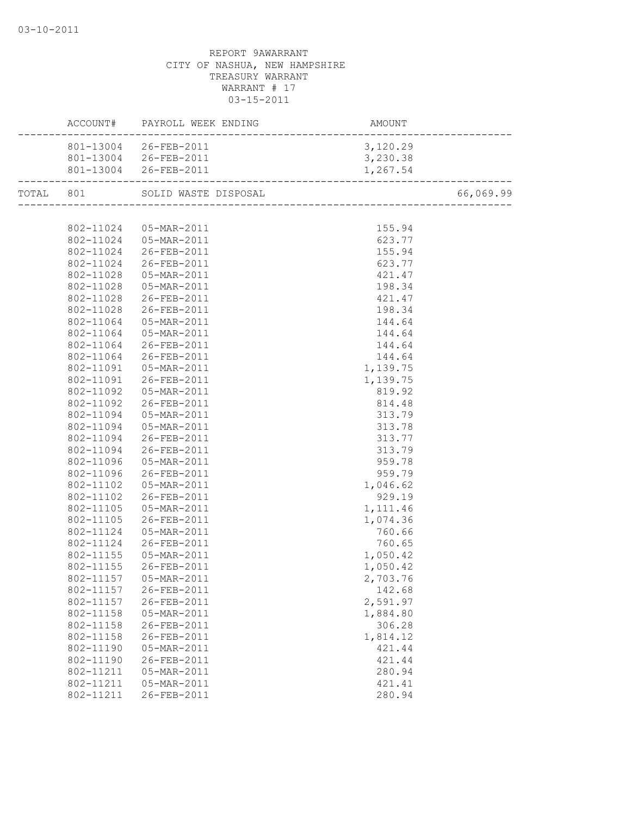|           |           | ACCOUNT# PAYROLL WEEK ENDING | AMOUNT<br>------------------------ |           |
|-----------|-----------|------------------------------|------------------------------------|-----------|
|           |           | 801-13004 26-FEB-2011        | 3,120.29                           |           |
|           |           | 801-13004 26-FEB-2011        | 3,230.38                           |           |
|           |           | 801-13004 26-FEB-2011        | 1,267.54                           |           |
| TOTAL 801 |           | SOLID WASTE DISPOSAL         |                                    | 66,069.99 |
|           |           |                              |                                    |           |
|           |           | 802-11024  05-MAR-2011       | 155.94                             |           |
|           |           | 802-11024  05-MAR-2011       | 623.77                             |           |
|           |           | 802-11024 26-FEB-2011        | 155.94                             |           |
|           |           | 802-11024 26-FEB-2011        | 623.77                             |           |
|           | 802-11028 | 05-MAR-2011                  | 421.47                             |           |
|           | 802-11028 | 05-MAR-2011                  | 198.34                             |           |
|           | 802-11028 | 26-FEB-2011                  | 421.47                             |           |
|           | 802-11028 | 26-FEB-2011                  | 198.34                             |           |
|           | 802-11064 | 05-MAR-2011                  | 144.64                             |           |
|           | 802-11064 | 05-MAR-2011                  | 144.64                             |           |
|           | 802-11064 | 26-FEB-2011                  | 144.64                             |           |
|           |           | 802-11064 26-FEB-2011        | 144.64                             |           |
|           |           | 802-11091  05-MAR-2011       | 1,139.75                           |           |
|           | 802-11091 | 26-FEB-2011                  | 1,139.75                           |           |
|           | 802-11092 | 05-MAR-2011                  | 819.92                             |           |
|           | 802-11092 | 26-FEB-2011                  | 814.48                             |           |
|           | 802-11094 | 05-MAR-2011                  | 313.79                             |           |
|           | 802-11094 | 05-MAR-2011                  | 313.78                             |           |
|           | 802-11094 | 26-FEB-2011                  | 313.77                             |           |
|           |           | 802-11094 26-FEB-2011        | 313.79                             |           |
|           |           | 802-11096  05-MAR-2011       | 959.78                             |           |
|           | 802-11096 | 26-FEB-2011                  | 959.79                             |           |
|           | 802-11102 | 05-MAR-2011                  | 1,046.62                           |           |
|           | 802-11102 | 26-FEB-2011                  | 929.19                             |           |
|           | 802-11105 | 05-MAR-2011                  | 1,111.46                           |           |
|           | 802-11105 | 26-FEB-2011                  | 1,074.36                           |           |
|           | 802-11124 | 05-MAR-2011                  | 760.66                             |           |
|           | 802-11124 | 26-FEB-2011                  | 760.65                             |           |
|           |           | 802-11155  05-MAR-2011       | 1,050.42                           |           |
|           | 802-11155 | 26-FEB-2011                  | 1,050.42                           |           |
|           |           | 802-11157  05-MAR-2011       | 2,703.76                           |           |
|           | 802-11157 | 26-FEB-2011                  | 142.68                             |           |
|           | 802-11157 | 26-FEB-2011                  | 2,591.97                           |           |
|           | 802-11158 | 05-MAR-2011                  | 1,884.80                           |           |
|           | 802-11158 | 26-FEB-2011                  | 306.28                             |           |
|           | 802-11158 | 26-FEB-2011                  | 1,814.12                           |           |
|           | 802-11190 | 05-MAR-2011                  | 421.44                             |           |
|           | 802-11190 | 26-FEB-2011                  | 421.44                             |           |
|           | 802-11211 | 05-MAR-2011                  | 280.94                             |           |
|           | 802-11211 | 05-MAR-2011                  | 421.41                             |           |
|           | 802-11211 | 26-FEB-2011                  | 280.94                             |           |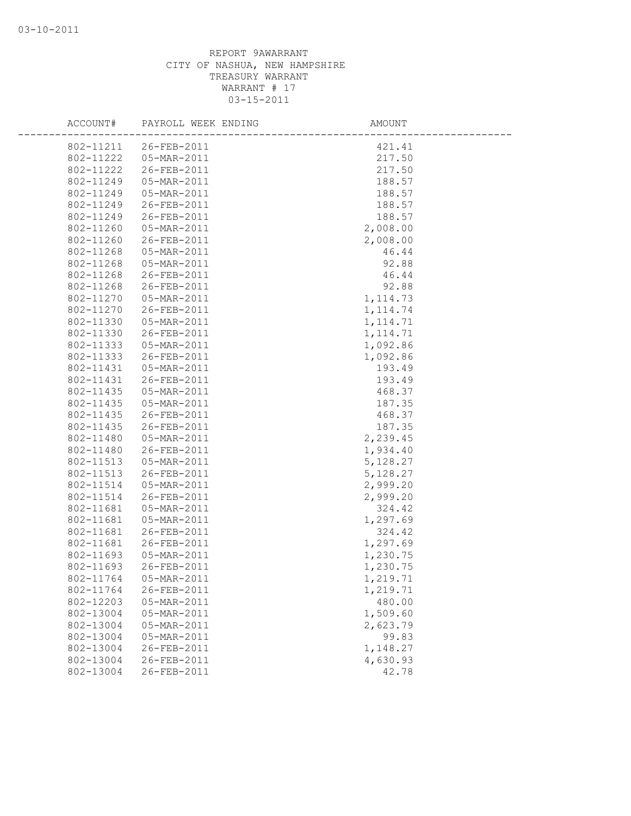| ACCOUNT#               | PAYROLL WEEK ENDING        | AMOUNT               |  |
|------------------------|----------------------------|----------------------|--|
| 802-11211              | 26-FEB-2011                | 421.41               |  |
| 802-11222              | 05-MAR-2011                | 217.50               |  |
| 802-11222              | 26-FEB-2011                | 217.50               |  |
| 802-11249              | 05-MAR-2011                | 188.57               |  |
| 802-11249              | 05-MAR-2011                | 188.57               |  |
| 802-11249              | 26-FEB-2011                | 188.57               |  |
| 802-11249              | 26-FEB-2011                | 188.57               |  |
| 802-11260              | 05-MAR-2011                | 2,008.00             |  |
| 802-11260              | 26-FEB-2011                | 2,008.00             |  |
| 802-11268              | 05-MAR-2011                | 46.44                |  |
| 802-11268              | 05-MAR-2011                | 92.88                |  |
| 802-11268              | 26-FEB-2011                | 46.44                |  |
| 802-11268              | 26-FEB-2011                | 92.88                |  |
| 802-11270              | 05-MAR-2011                | 1, 114.73            |  |
| 802-11270              | 26-FEB-2011                | 1, 114.74            |  |
| 802-11330              | 05-MAR-2011                | 1, 114.71            |  |
| 802-11330              | 26-FEB-2011                | 1, 114.71            |  |
| 802-11333              | 05-MAR-2011                | 1,092.86             |  |
| 802-11333              | 26-FEB-2011                | 1,092.86             |  |
| 802-11431              | 05-MAR-2011                | 193.49               |  |
| 802-11431              | 26-FEB-2011                | 193.49               |  |
| 802-11435              | 05-MAR-2011                | 468.37               |  |
| 802-11435              | 05-MAR-2011                | 187.35               |  |
| 802-11435              | 26-FEB-2011                | 468.37               |  |
| 802-11435              | 26-FEB-2011                | 187.35               |  |
| 802-11480              | 05-MAR-2011                | 2,239.45             |  |
| 802-11480              | 26-FEB-2011                | 1,934.40             |  |
| 802-11513              | 05-MAR-2011<br>26-FEB-2011 | 5,128.27             |  |
| 802-11513<br>802-11514 | 05-MAR-2011                | 5,128.27             |  |
| 802-11514              | 26-FEB-2011                | 2,999.20<br>2,999.20 |  |
| 802-11681              | 05-MAR-2011                | 324.42               |  |
| 802-11681              | 05-MAR-2011                | 1,297.69             |  |
| 802-11681              | 26-FEB-2011                | 324.42               |  |
| 802-11681              | 26-FEB-2011                | 1,297.69             |  |
| 802-11693              | 05-MAR-2011                | 1,230.75             |  |
| 802-11693              | 26-FEB-2011                | 1,230.75             |  |
| 802-11764              | 05-MAR-2011                | 1,219.71             |  |
| 802-11764              | 26-FEB-2011                | 1,219.71             |  |
| 802-12203              | 05-MAR-2011                | 480.00               |  |
| 802-13004              | 05-MAR-2011                | 1,509.60             |  |
| 802-13004              | 05-MAR-2011                | 2,623.79             |  |
| 802-13004              | 05-MAR-2011                | 99.83                |  |
| 802-13004              | 26-FEB-2011                | 1,148.27             |  |
| 802-13004              | 26-FEB-2011                | 4,630.93             |  |
| 802-13004              | 26-FEB-2011                | 42.78                |  |
|                        |                            |                      |  |